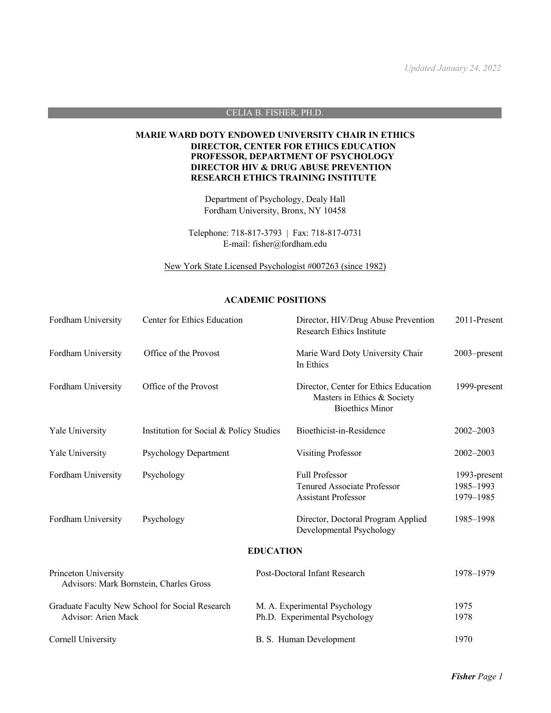## CELIA B. FISHER, PH.D.

# **MARIE WARD DOTY ENDOWED UNIVERSITY CHAIR IN ETHICS DIRECTOR, CENTER FOR ETHICS EDUCATION PROFESSOR, DEPARTMENT OF PSYCHOLOGY DIRECTOR HIV & DRUG ABUSE PREVENTION RESEARCH ETHICS TRAINING INSTITUTE**

Department of Psychology, Dealy Hall Fordham University, Bronx, NY 10458

Telephone: 718-817-3793 | Fax: 718-817-0731 E-mail: fisher@fordham.edu

New York State Licensed Psychologist #007263 (since 1982)

## **ACADEMIC POSITIONS**

| Fordham University                                                     | Center for Ethics Education             |                                                                | Director, HIV/Drug Abuse Prevention<br>Research Ethics Institute                               | 2011-Present                           |
|------------------------------------------------------------------------|-----------------------------------------|----------------------------------------------------------------|------------------------------------------------------------------------------------------------|----------------------------------------|
| Fordham University                                                     | Office of the Provost                   |                                                                | Marie Ward Doty University Chair<br>In Ethics                                                  | 2003–present                           |
| Fordham University                                                     | Office of the Provost                   |                                                                | Director, Center for Ethics Education<br>Masters in Ethics & Society<br><b>Bioethics Minor</b> | 1999-present                           |
| Yale University                                                        | Institution for Social & Policy Studies |                                                                | Bioethicist-in-Residence                                                                       | 2002-2003                              |
| Yale University                                                        | <b>Psychology Department</b>            |                                                                | <b>Visiting Professor</b>                                                                      | $2002 - 2003$                          |
| Fordham University                                                     | Psychology                              |                                                                | <b>Full Professor</b><br><b>Tenured Associate Professor</b><br><b>Assistant Professor</b>      | 1993-present<br>1985-1993<br>1979-1985 |
| Fordham University                                                     | Psychology                              |                                                                | Director, Doctoral Program Applied<br>Developmental Psychology                                 | 1985-1998                              |
|                                                                        |                                         | <b>EDUCATION</b>                                               |                                                                                                |                                        |
| Princeton University<br>Advisors: Mark Bornstein, Charles Gross        |                                         | Post-Doctoral Infant Research                                  |                                                                                                | 1978-1979                              |
| Graduate Faculty New School for Social Research<br>Advisor: Arien Mack |                                         | M. A. Experimental Psychology<br>Ph.D. Experimental Psychology |                                                                                                | 1975<br>1978                           |
| Cornell University                                                     |                                         | B. S. Human Development                                        |                                                                                                | 1970                                   |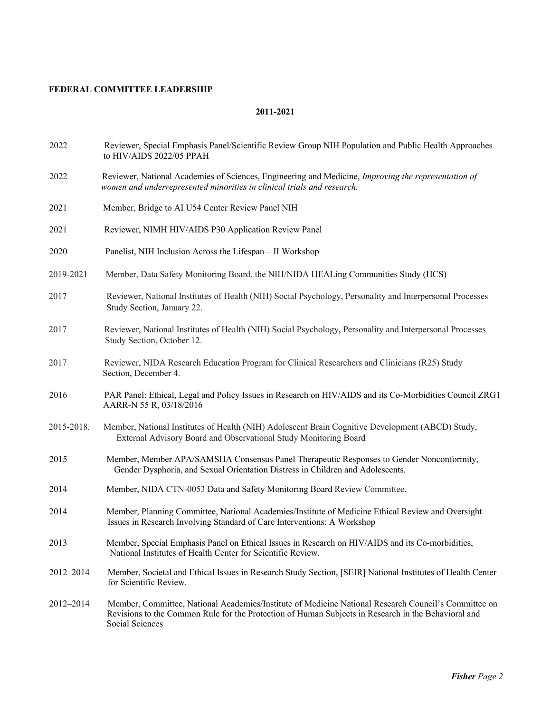# **FEDERAL COMMITTEE LEADERSHIP**

- 2022 Reviewer, Special Emphasis Panel/Scientific Review Group NIH Population and Public Health Approaches to HIV/AIDS 2022/05 PPAH
- 2022 Reviewer, National Academies of Sciences, Engineering and Medicine, *Improving the representation of women and underrepresented minorities in clinical trials and research.*
- 2021 Member, Bridge to AI U54 Center Review Panel NIH
- 2021 Reviewer, NIMH HIV/AIDS P30 Application Review Panel
- 2020 Panelist, NIH Inclusion Across the Lifespan II Workshop
- 2019-2021 Member, Data Safety Monitoring Board, the NIH/NIDA HEALing Communities Study (HCS)
- 2017 Reviewer, National Institutes of Health (NIH) Social Psychology, Personality and Interpersonal Processes Study Section, January 22.
- 2017 Reviewer, National Institutes of Health (NIH) Social Psychology, Personality and Interpersonal Processes Study Section, October 12.
- 2017 Reviewer, NIDA Research Education Program for Clinical Researchers and Clinicians (R25) Study Section, December 4.
- 2016 PAR Panel: Ethical, Legal and Policy Issues in Research on HIV/AIDS and its Co-Morbidities Council ZRG1 AARR-N 55 R, 03/18/2016
- 2015-2018. Member, National Institutes of Health (NIH) Adolescent Brain Cognitive Development (ABCD) Study, External Advisory Board and Observational Study Monitoring Board
- 2015 Member, Member APA/SAMSHA Consensus Panel Therapeutic Responses to Gender Nonconformity, Gender Dysphoria, and Sexual Orientation Distress in Children and Adolescents.
- 2014 Member, NIDA CTN-0053 Data and Safety Monitoring Board Review Committee.
- 2014 Member, Planning Committee, National Academies/Institute of Medicine Ethical Review and Oversight Issues in Research Involving Standard of Care Interventions: A Workshop
- 2013 Member, Special Emphasis Panel on Ethical Issues in Research on HIV/AIDS and its Co-morbidities, National Institutes of Health Center for Scientific Review.
- 2012–2014 Member, Societal and Ethical Issues in Research Study Section, [SEIR] National Institutes of Health Center for Scientific Review.
- 2012–2014 Member, Committee, National Academies/Institute of Medicine National Research Council's Committee on Revisions to the Common Rule for the Protection of Human Subjects in Research in the Behavioral and Social Sciences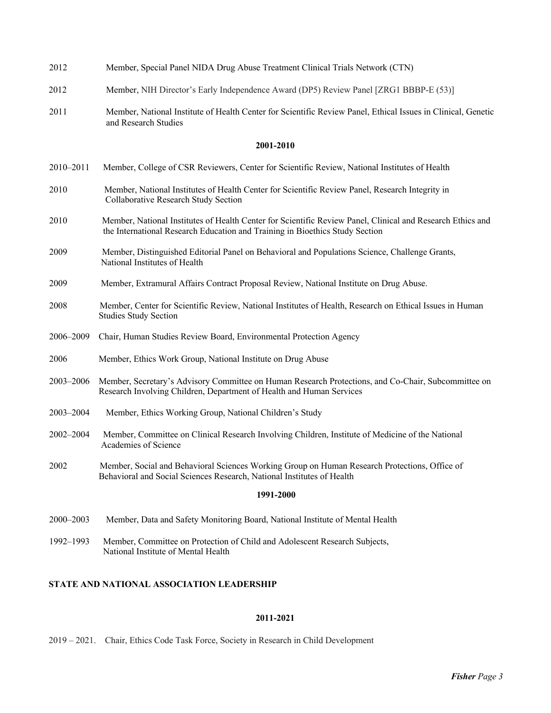| 2012 | Member, Special Panel NIDA Drug Abuse Treatment Clinical Trials Network (CTN)                                                        |
|------|--------------------------------------------------------------------------------------------------------------------------------------|
| 2012 | Member, NIH Director's Early Independence Award (DP5) Review Panel [ZRG1 BBBP-E (53)]                                                |
| 2011 | Member, National Institute of Health Center for Scientific Review Panel, Ethical Issues in Clinical, Genetic<br>and Research Studies |

#### **2001-2010**

|  | 2010–2011 Member, College of CSR Reviewers, Center for Scientific Review, National Institutes of Health |  |
|--|---------------------------------------------------------------------------------------------------------|--|
|  |                                                                                                         |  |

- 2010 Member, National Institutes of Health Center for Scientific Review Panel, Research Integrity in Collaborative Research Study Section
- 2010 Member, National Institutes of Health Center for Scientific Review Panel, Clinical and Research Ethics and the International Research Education and Training in Bioethics Study Section
- 2009 Member, Distinguished Editorial Panel on Behavioral and Populations Science, Challenge Grants, National Institutes of Health
- 2009 Member, Extramural Affairs Contract Proposal Review, National Institute on Drug Abuse.
- 2008 Member, Center for Scientific Review, National Institutes of Health, Research on Ethical Issues in Human Studies Study Section
- 2006–2009 Chair, Human Studies Review Board, Environmental Protection Agency
- 2006 Member, Ethics Work Group, National Institute on Drug Abuse
- 2003–2006 Member, Secretary's Advisory Committee on Human Research Protections, and Co-Chair, Subcommittee on Research Involving Children, Department of Health and Human Services
- 2003–2004 Member, Ethics Working Group, National Children's Study
- 2002–2004 Member, Committee on Clinical Research Involving Children, Institute of Medicine of the National Academies of Science
- 2002 Member, Social and Behavioral Sciences Working Group on Human Research Protections, Office of Behavioral and Social Sciences Research, National Institutes of Health

# **1991-2000**

- 2000–2003 Member, Data and Safety Monitoring Board, National Institute of Mental Health
- 1992–1993 Member, Committee on Protection of Child and Adolescent Research Subjects, National Institute of Mental Health

## **STATE AND NATIONAL ASSOCIATION LEADERSHIP**

## **2011-2021**

2019 – 2021. Chair, Ethics Code Task Force, Society in Research in Child Development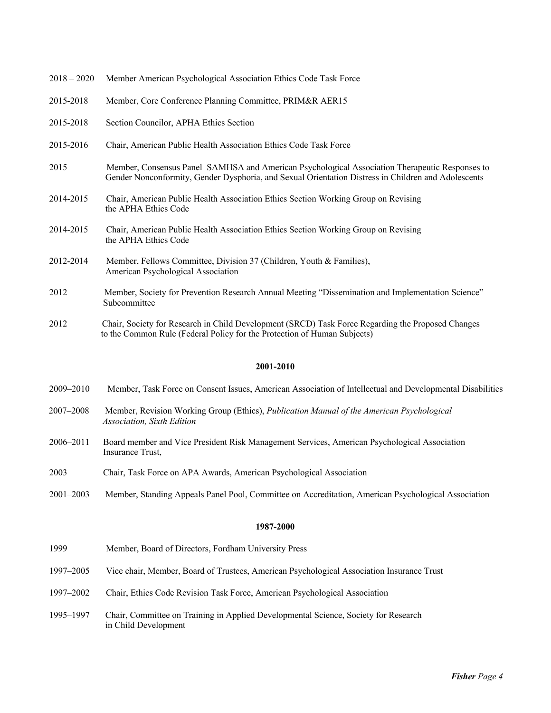| $2018 - 2020$ | Member American Psychological Association Ethics Code Task Force                                                                                                                                      |
|---------------|-------------------------------------------------------------------------------------------------------------------------------------------------------------------------------------------------------|
| 2015-2018     | Member, Core Conference Planning Committee, PRIM&R AER15                                                                                                                                              |
| 2015-2018     | Section Councilor, APHA Ethics Section                                                                                                                                                                |
| 2015-2016     | Chair, American Public Health Association Ethics Code Task Force                                                                                                                                      |
| 2015          | Member, Consensus Panel SAMHSA and American Psychological Association Therapeutic Responses to<br>Gender Nonconformity, Gender Dysphoria, and Sexual Orientation Distress in Children and Adolescents |
| 2014-2015     | Chair, American Public Health Association Ethics Section Working Group on Revising<br>the APHA Ethics Code                                                                                            |
| 2014-2015     | Chair, American Public Health Association Ethics Section Working Group on Revising<br>the APHA Ethics Code                                                                                            |
| 2012-2014     | Member, Fellows Committee, Division 37 (Children, Youth & Families),<br>American Psychological Association                                                                                            |
| 2012          | Member, Society for Prevention Research Annual Meeting "Dissemination and Implementation Science"<br>Subcommittee                                                                                     |
| 2012          | Chair, Society for Research in Child Development (SRCD) Task Force Regarding the Proposed Changes<br>to the Common Rule (Federal Policy for the Protection of Human Subjects)                         |

# **2001-2010**

- 2009–2010 Member, Task Force on Consent Issues, American Association of Intellectual and Developmental Disabilities
- 2007–2008 Member, Revision Working Group (Ethics), *Publication Manual of the American Psychological Association, Sixth Edition*
- 2006–2011 Board member and Vice President Risk Management Services, American Psychological Association Insurance Trust,
- 2003 Chair, Task Force on APA Awards, American Psychological Association
- 2001–2003 Member, Standing Appeals Panel Pool, Committee on Accreditation, American Psychological Association

- 1999 Member, Board of Directors, Fordham University Press
- 1997–2005 Vice chair, Member, Board of Trustees, American Psychological Association Insurance Trust
- 1997–2002 Chair, Ethics Code Revision Task Force, American Psychological Association
- 1995–1997 Chair, Committee on Training in Applied Developmental Science, Society for Research in Child Development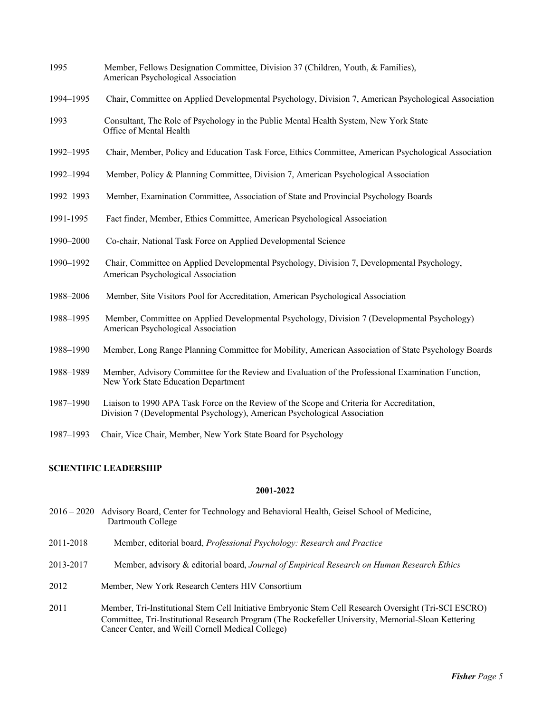| 1995      | Member, Fellows Designation Committee, Division 37 (Children, Youth, & Families),<br>American Psychological Association                                                |
|-----------|------------------------------------------------------------------------------------------------------------------------------------------------------------------------|
| 1994-1995 | Chair, Committee on Applied Developmental Psychology, Division 7, American Psychological Association                                                                   |
| 1993      | Consultant, The Role of Psychology in the Public Mental Health System, New York State<br>Office of Mental Health                                                       |
| 1992-1995 | Chair, Member, Policy and Education Task Force, Ethics Committee, American Psychological Association                                                                   |
| 1992-1994 | Member, Policy & Planning Committee, Division 7, American Psychological Association                                                                                    |
| 1992-1993 | Member, Examination Committee, Association of State and Provincial Psychology Boards                                                                                   |
| 1991-1995 | Fact finder, Member, Ethics Committee, American Psychological Association                                                                                              |
| 1990-2000 | Co-chair, National Task Force on Applied Developmental Science                                                                                                         |
| 1990-1992 | Chair, Committee on Applied Developmental Psychology, Division 7, Developmental Psychology,<br>American Psychological Association                                      |
| 1988-2006 | Member, Site Visitors Pool for Accreditation, American Psychological Association                                                                                       |
| 1988-1995 | Member, Committee on Applied Developmental Psychology, Division 7 (Developmental Psychology)<br>American Psychological Association                                     |
| 1988-1990 | Member, Long Range Planning Committee for Mobility, American Association of State Psychology Boards                                                                    |
| 1988-1989 | Member, Advisory Committee for the Review and Evaluation of the Professional Examination Function,<br>New York State Education Department                              |
| 1987-1990 | Liaison to 1990 APA Task Force on the Review of the Scope and Criteria for Accreditation,<br>Division 7 (Developmental Psychology), American Psychological Association |

1987–1993 Chair, Vice Chair, Member, New York State Board for Psychology

# **SCIENTIFIC LEADERSHIP**

- 2016 2020 Advisory Board, Center for Technology and Behavioral Health, Geisel School of Medicine, Dartmouth College
- 2011-2018 Member, editorial board, *Professional Psychology: Research and Practice*
- 2013-2017 Member, advisory & editorial board, *Journal of Empirical Research on Human Research Ethics*
- 2012 Member, New York Research Centers HIV Consortium
- 2011 Member, Tri-Institutional Stem Cell Initiative Embryonic Stem Cell Research Oversight (Tri-SCI ESCRO) Committee, Tri-Institutional Research Program (The Rockefeller University, Memorial-Sloan Kettering Cancer Center, and Weill Cornell Medical College)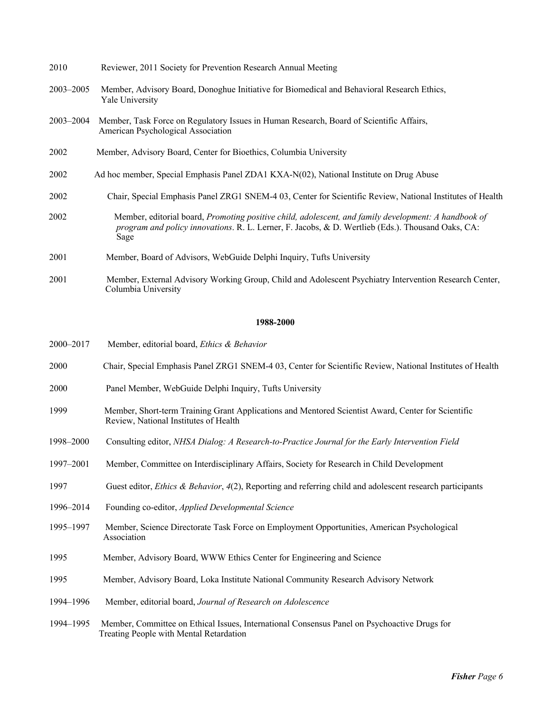| 2010                 | Reviewer, 2011 Society for Prevention Research Annual Meeting                                                                                                                                                     |
|----------------------|-------------------------------------------------------------------------------------------------------------------------------------------------------------------------------------------------------------------|
| $2003 - 2005$        | Member, Advisory Board, Donoghue Initiative for Biomedical and Behavioral Research Ethics,<br>Yale University                                                                                                     |
| $2003 - 2004$        | Member, Task Force on Regulatory Issues in Human Research, Board of Scientific Affairs,<br>American Psychological Association                                                                                     |
| 2002                 | Member, Advisory Board, Center for Bioethics, Columbia University                                                                                                                                                 |
| 2002                 | Ad hoc member, Special Emphasis Panel ZDA1 KXA-N(02), National Institute on Drug Abuse                                                                                                                            |
| 2002                 | Chair, Special Emphasis Panel ZRG1 SNEM-4 03, Center for Scientific Review, National Institutes of Health                                                                                                         |
| 2002                 | Member, editorial board, Promoting positive child, adolescent, and family development: A handbook of<br>program and policy innovations. R. L. Lerner, F. Jacobs, & D. Wertlieb (Eds.). Thousand Oaks, CA:<br>Sage |
| 2001                 | Member, Board of Advisors, WebGuide Delphi Inquiry, Tufts University                                                                                                                                              |
| $\sim$ $\sim$ $\sim$ |                                                                                                                                                                                                                   |

2001 Member, External Advisory Working Group, Child and Adolescent Psychiatry Intervention Research Center, Columbia University

| 2000-2017 | Member, editorial board, Ethics & Behavior                                                                                                  |
|-----------|---------------------------------------------------------------------------------------------------------------------------------------------|
| 2000      | Chair, Special Emphasis Panel ZRG1 SNEM-4 03, Center for Scientific Review, National Institutes of Health                                   |
| 2000      | Panel Member, WebGuide Delphi Inquiry, Tufts University                                                                                     |
| 1999      | Member, Short-term Training Grant Applications and Mentored Scientist Award, Center for Scientific<br>Review, National Institutes of Health |
| 1998-2000 | Consulting editor, NHSA Dialog: A Research-to-Practice Journal for the Early Intervention Field                                             |
| 1997-2001 | Member, Committee on Interdisciplinary Affairs, Society for Research in Child Development                                                   |
| 1997      | Guest editor, <i>Ethics &amp; Behavior</i> , 4(2), Reporting and referring child and adolescent research participants                       |
| 1996–2014 | Founding co-editor, Applied Developmental Science                                                                                           |
| 1995-1997 | Member, Science Directorate Task Force on Employment Opportunities, American Psychological<br>Association                                   |
| 1995      | Member, Advisory Board, WWW Ethics Center for Engineering and Science                                                                       |
| 1995      | Member, Advisory Board, Loka Institute National Community Research Advisory Network                                                         |
| 1994–1996 | Member, editorial board, Journal of Research on Adolescence                                                                                 |
| 1994-1995 | Member, Committee on Ethical Issues, International Consensus Panel on Psychoactive Drugs for<br>Treating People with Mental Retardation     |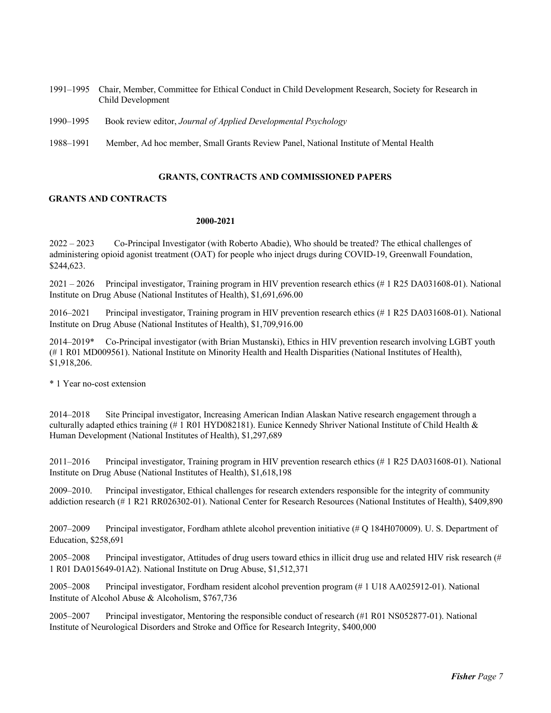- 1991–1995 Chair, Member, Committee for Ethical Conduct in Child Development Research, Society for Research in Child Development
- 1990–1995 Book review editor, *Journal of Applied Developmental Psychology*
- 1988–1991 Member, Ad hoc member, Small Grants Review Panel, National Institute of Mental Health

#### **GRANTS, CONTRACTS AND COMMISSIONED PAPERS**

## **GRANTS AND CONTRACTS**

#### **2000-2021**

2022 – 2023 Co-Principal Investigator (with Roberto Abadie), Who should be treated? The ethical challenges of administering opioid agonist treatment (OAT) for people who inject drugs during COVID-19, Greenwall Foundation, \$244,623.

2021 – 2026 Principal investigator, Training program in HIV prevention research ethics (# 1 R25 DA031608-01). National Institute on Drug Abuse (National Institutes of Health), \$1,691,696.00

2016–2021 Principal investigator, Training program in HIV prevention research ethics (# 1 R25 DA031608-01). National Institute on Drug Abuse (National Institutes of Health), \$1,709,916.00

2014–2019\* Co-Principal investigator (with Brian Mustanski), Ethics in HIV prevention research involving LGBT youth (# 1 R01 MD009561). National Institute on Minority Health and Health Disparities (National Institutes of Health), \$1,918,206.

\* 1 Year no-cost extension

2014–2018 Site Principal investigator, Increasing American Indian Alaskan Native research engagement through a culturally adapted ethics training (# 1 R01 HYD082181). Eunice Kennedy Shriver National Institute of Child Health & Human Development (National Institutes of Health), \$1,297,689

2011–2016 Principal investigator, Training program in HIV prevention research ethics (# 1 R25 DA031608-01). National Institute on Drug Abuse (National Institutes of Health), \$1,618,198

2009–2010. Principal investigator, Ethical challenges for research extenders responsible for the integrity of community addiction research (# 1 R21 RR026302-01). National Center for Research Resources (National Institutes of Health), \$409,890

2007–2009 Principal investigator, Fordham athlete alcohol prevention initiative (# Q 184H070009). U. S. Department of Education, \$258,691

2005–2008 Principal investigator, Attitudes of drug users toward ethics in illicit drug use and related HIV risk research (# 1 R01 DA015649-01A2). National Institute on Drug Abuse, \$1,512,371

2005–2008 Principal investigator, Fordham resident alcohol prevention program (# 1 U18 AA025912-01). National Institute of Alcohol Abuse & Alcoholism, \$767,736

2005–2007 Principal investigator, Mentoring the responsible conduct of research (#1 R01 NS052877-01). National Institute of Neurological Disorders and Stroke and Office for Research Integrity, \$400,000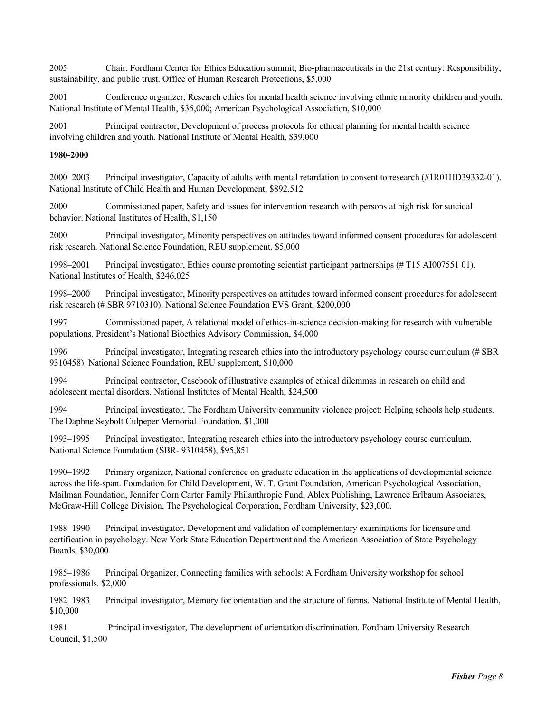2005 Chair, Fordham Center for Ethics Education summit, Bio-pharmaceuticals in the 21st century: Responsibility, sustainability, and public trust. Office of Human Research Protections, \$5,000

2001 Conference organizer, Research ethics for mental health science involving ethnic minority children and youth. National Institute of Mental Health, \$35,000; American Psychological Association, \$10,000

2001 Principal contractor, Development of process protocols for ethical planning for mental health science involving children and youth. National Institute of Mental Health, \$39,000

# **1980-2000**

2000–2003 Principal investigator, Capacity of adults with mental retardation to consent to research (#1R01HD39332-01). National Institute of Child Health and Human Development, \$892,512

2000 Commissioned paper, Safety and issues for intervention research with persons at high risk for suicidal behavior. National Institutes of Health, \$1,150

2000 Principal investigator, Minority perspectives on attitudes toward informed consent procedures for adolescent risk research. National Science Foundation, REU supplement, \$5,000

1998–2001 Principal investigator, Ethics course promoting scientist participant partnerships (# T15 AI007551 01). National Institutes of Health, \$246,025

1998–2000 Principal investigator, Minority perspectives on attitudes toward informed consent procedures for adolescent risk research (# SBR 9710310). National Science Foundation EVS Grant, \$200,000

1997 Commissioned paper, A relational model of ethics-in-science decision-making for research with vulnerable populations. President's National Bioethics Advisory Commission, \$4,000

1996 Principal investigator, Integrating research ethics into the introductory psychology course curriculum (# SBR 9310458). National Science Foundation, REU supplement, \$10,000

1994 Principal contractor, Casebook of illustrative examples of ethical dilemmas in research on child and adolescent mental disorders. National Institutes of Mental Health, \$24,500

1994 Principal investigator, The Fordham University community violence project: Helping schools help students. The Daphne Seybolt Culpeper Memorial Foundation, \$1,000

1993–1995 Principal investigator, Integrating research ethics into the introductory psychology course curriculum. National Science Foundation (SBR- 9310458), \$95,851

1990–1992 Primary organizer, National conference on graduate education in the applications of developmental science across the life-span. Foundation for Child Development, W. T. Grant Foundation, American Psychological Association, Mailman Foundation, Jennifer Corn Carter Family Philanthropic Fund, Ablex Publishing, Lawrence Erlbaum Associates, McGraw-Hill College Division, The Psychological Corporation, Fordham University, \$23,000.

1988–1990 Principal investigator, Development and validation of complementary examinations for licensure and certification in psychology. New York State Education Department and the American Association of State Psychology Boards, \$30,000

1985–1986 Principal Organizer, Connecting families with schools: A Fordham University workshop for school professionals. \$2,000

1982–1983 Principal investigator, Memory for orientation and the structure of forms. National Institute of Mental Health, \$10,000

1981 Principal investigator, The development of orientation discrimination. Fordham University Research Council, \$1,500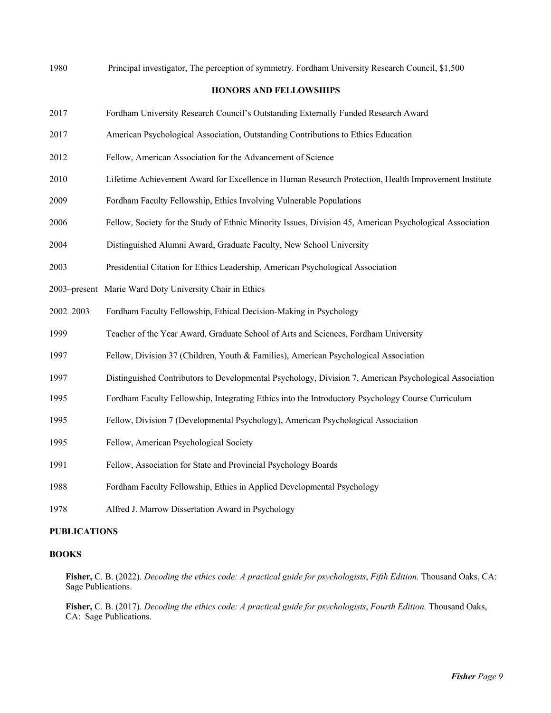| <b>HONORS AND FELLOWSHIPS</b><br>2017<br>Fordham University Research Council's Outstanding Externally Funded Research Award<br>2017<br>American Psychological Association, Outstanding Contributions to Ethics Education<br>2012<br>Fellow, American Association for the Advancement of Science<br>2010<br>Lifetime Achievement Award for Excellence in Human Research Protection, Health Improvement Institute<br>Fordham Faculty Fellowship, Ethics Involving Vulnerable Populations<br>2009<br>2006<br>Fellow, Society for the Study of Ethnic Minority Issues, Division 45, American Psychological Association<br>2004<br>Distinguished Alumni Award, Graduate Faculty, New School University<br>2003<br>Presidential Citation for Ethics Leadership, American Psychological Association<br>2003-present Marie Ward Doty University Chair in Ethics<br>2002-2003<br>Fordham Faculty Fellowship, Ethical Decision-Making in Psychology<br>1999<br>Teacher of the Year Award, Graduate School of Arts and Sciences, Fordham University<br>1997<br>Fellow, Division 37 (Children, Youth & Families), American Psychological Association<br>1997<br>Distinguished Contributors to Developmental Psychology, Division 7, American Psychological Association |
|------------------------------------------------------------------------------------------------------------------------------------------------------------------------------------------------------------------------------------------------------------------------------------------------------------------------------------------------------------------------------------------------------------------------------------------------------------------------------------------------------------------------------------------------------------------------------------------------------------------------------------------------------------------------------------------------------------------------------------------------------------------------------------------------------------------------------------------------------------------------------------------------------------------------------------------------------------------------------------------------------------------------------------------------------------------------------------------------------------------------------------------------------------------------------------------------------------------------------------------------------------|
|                                                                                                                                                                                                                                                                                                                                                                                                                                                                                                                                                                                                                                                                                                                                                                                                                                                                                                                                                                                                                                                                                                                                                                                                                                                            |
|                                                                                                                                                                                                                                                                                                                                                                                                                                                                                                                                                                                                                                                                                                                                                                                                                                                                                                                                                                                                                                                                                                                                                                                                                                                            |
|                                                                                                                                                                                                                                                                                                                                                                                                                                                                                                                                                                                                                                                                                                                                                                                                                                                                                                                                                                                                                                                                                                                                                                                                                                                            |
|                                                                                                                                                                                                                                                                                                                                                                                                                                                                                                                                                                                                                                                                                                                                                                                                                                                                                                                                                                                                                                                                                                                                                                                                                                                            |
|                                                                                                                                                                                                                                                                                                                                                                                                                                                                                                                                                                                                                                                                                                                                                                                                                                                                                                                                                                                                                                                                                                                                                                                                                                                            |
|                                                                                                                                                                                                                                                                                                                                                                                                                                                                                                                                                                                                                                                                                                                                                                                                                                                                                                                                                                                                                                                                                                                                                                                                                                                            |
|                                                                                                                                                                                                                                                                                                                                                                                                                                                                                                                                                                                                                                                                                                                                                                                                                                                                                                                                                                                                                                                                                                                                                                                                                                                            |
|                                                                                                                                                                                                                                                                                                                                                                                                                                                                                                                                                                                                                                                                                                                                                                                                                                                                                                                                                                                                                                                                                                                                                                                                                                                            |
|                                                                                                                                                                                                                                                                                                                                                                                                                                                                                                                                                                                                                                                                                                                                                                                                                                                                                                                                                                                                                                                                                                                                                                                                                                                            |
|                                                                                                                                                                                                                                                                                                                                                                                                                                                                                                                                                                                                                                                                                                                                                                                                                                                                                                                                                                                                                                                                                                                                                                                                                                                            |
|                                                                                                                                                                                                                                                                                                                                                                                                                                                                                                                                                                                                                                                                                                                                                                                                                                                                                                                                                                                                                                                                                                                                                                                                                                                            |
|                                                                                                                                                                                                                                                                                                                                                                                                                                                                                                                                                                                                                                                                                                                                                                                                                                                                                                                                                                                                                                                                                                                                                                                                                                                            |
|                                                                                                                                                                                                                                                                                                                                                                                                                                                                                                                                                                                                                                                                                                                                                                                                                                                                                                                                                                                                                                                                                                                                                                                                                                                            |
|                                                                                                                                                                                                                                                                                                                                                                                                                                                                                                                                                                                                                                                                                                                                                                                                                                                                                                                                                                                                                                                                                                                                                                                                                                                            |
| Fordham Faculty Fellowship, Integrating Ethics into the Introductory Psychology Course Curriculum<br>1995                                                                                                                                                                                                                                                                                                                                                                                                                                                                                                                                                                                                                                                                                                                                                                                                                                                                                                                                                                                                                                                                                                                                                  |
| 1995<br>Fellow, Division 7 (Developmental Psychology), American Psychological Association                                                                                                                                                                                                                                                                                                                                                                                                                                                                                                                                                                                                                                                                                                                                                                                                                                                                                                                                                                                                                                                                                                                                                                  |
| 1995<br>Fellow, American Psychological Society                                                                                                                                                                                                                                                                                                                                                                                                                                                                                                                                                                                                                                                                                                                                                                                                                                                                                                                                                                                                                                                                                                                                                                                                             |
| 1991<br>Fellow, Association for State and Provincial Psychology Boards                                                                                                                                                                                                                                                                                                                                                                                                                                                                                                                                                                                                                                                                                                                                                                                                                                                                                                                                                                                                                                                                                                                                                                                     |
| 1988<br>Fordham Faculty Fellowship, Ethics in Applied Developmental Psychology                                                                                                                                                                                                                                                                                                                                                                                                                                                                                                                                                                                                                                                                                                                                                                                                                                                                                                                                                                                                                                                                                                                                                                             |
| 1978<br>Alfred J. Marrow Dissertation Award in Psychology                                                                                                                                                                                                                                                                                                                                                                                                                                                                                                                                                                                                                                                                                                                                                                                                                                                                                                                                                                                                                                                                                                                                                                                                  |

# **PUBLICATIONS**

# **BOOKS**

**Fisher,** C. B. (2022). *Decoding the ethics code: A practical guide for psychologists*, *Fifth Edition.* Thousand Oaks, CA: Sage Publications.

**Fisher,** C. B. (2017). *Decoding the ethics code: A practical guide for psychologists*, *Fourth Edition.* Thousand Oaks, CA: Sage Publications.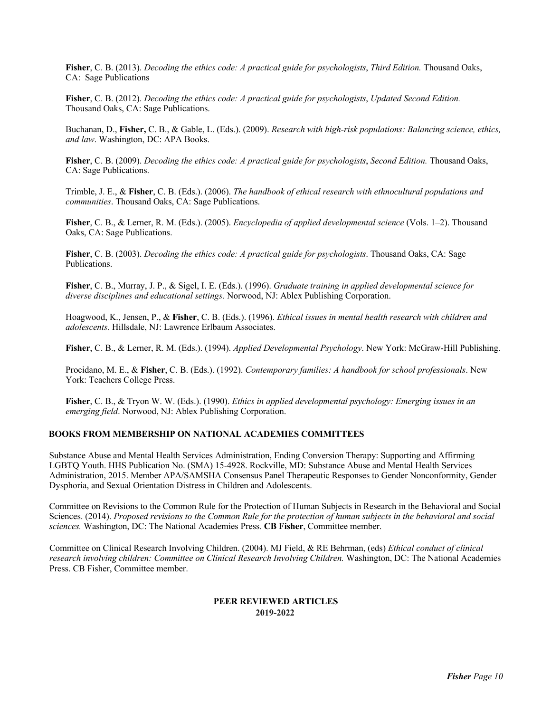**Fisher**, C. B. (2013). *Decoding the ethics code: A practical guide for psychologists*, *Third Edition.* Thousand Oaks, CA: Sage Publications

**Fisher**, C. B. (2012). *Decoding the ethics code: A practical guide for psychologists*, *Updated Second Edition.* Thousand Oaks, CA: Sage Publications.

Buchanan, D., **Fisher,** C. B., & Gable, L. (Eds.). (2009). *Research with high-risk populations: Balancing science, ethics, and law*. Washington, DC: APA Books.

**Fisher**, C. B. (2009). *Decoding the ethics code: A practical guide for psychologists*, *Second Edition.* Thousand Oaks, CA: Sage Publications.

Trimble, J. E., & **Fisher**, C. B. (Eds.). (2006). *The handbook of ethical research with ethnocultural populations and communities*. Thousand Oaks, CA: Sage Publications.

**Fisher**, C. B., & Lerner, R. M. (Eds.). (2005). *Encyclopedia of applied developmental science* (Vols. 1–2). Thousand Oaks, CA: Sage Publications.

**Fisher**, C. B. (2003). *Decoding the ethics code: A practical guide for psychologists*. Thousand Oaks, CA: Sage Publications.

**Fisher**, C. B., Murray, J. P., & Sigel, I. E. (Eds.). (1996). *Graduate training in applied developmental science for diverse disciplines and educational settings.* Norwood, NJ: Ablex Publishing Corporation.

Hoagwood, K., Jensen, P., & **Fisher**, C. B. (Eds.). (1996). *Ethical issues in mental health research with children and adolescents*. Hillsdale, NJ: Lawrence Erlbaum Associates.

**Fisher**, C. B., & Lerner, R. M. (Eds.). (1994). *Applied Developmental Psychology*. New York: McGraw-Hill Publishing.

Procidano, M. E., & **Fisher**, C. B. (Eds.). (1992). *Contemporary families: A handbook for school professionals*. New York: Teachers College Press.

**Fisher**, C. B., & Tryon W. W. (Eds.). (1990). *Ethics in applied developmental psychology: Emerging issues in an emerging field*. Norwood, NJ: Ablex Publishing Corporation.

# **BOOKS FROM MEMBERSHIP ON NATIONAL ACADEMIES COMMITTEES**

Substance Abuse and Mental Health Services Administration, Ending Conversion Therapy: Supporting and Affirming LGBTQ Youth. HHS Publication No. (SMA) 15-4928. Rockville, MD: Substance Abuse and Mental Health Services Administration, 2015. Member APA/SAMSHA Consensus Panel Therapeutic Responses to Gender Nonconformity, Gender Dysphoria, and Sexual Orientation Distress in Children and Adolescents.

Committee on Revisions to the Common Rule for the Protection of Human Subjects in Research in the Behavioral and Social Sciences. (2014). *Proposed revisions to the Common Rule for the protection of human subjects in the behavioral and social sciences.* Washington, DC: The National Academies Press. **CB Fisher**, Committee member.

Committee on Clinical Research Involving Children. (2004). MJ Field, & RE Behrman, (eds) *Ethical conduct of clinical research involving children: Committee on Clinical Research Involving Children.* Washington, DC: The National Academies Press. CB Fisher, Committee member.

## **PEER REVIEWED ARTICLES 2019-2022**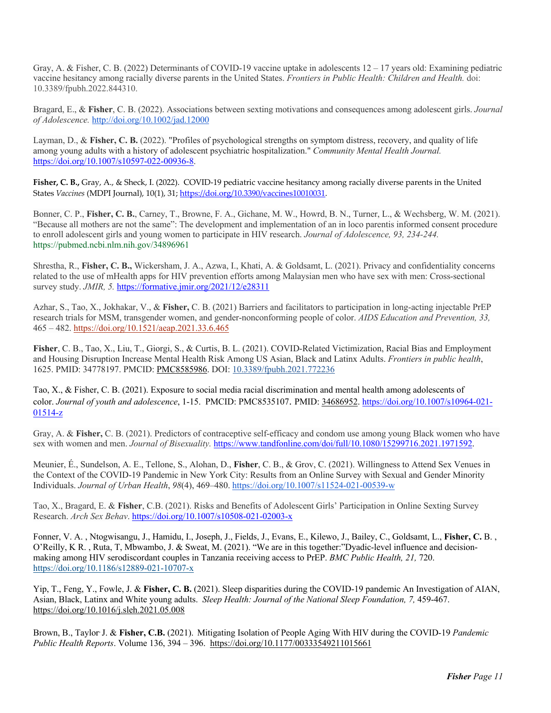Gray, A. & Fisher, C. B. (2022) Determinants of COVID-19 vaccine uptake in adolescents 12 – 17 years old: Examining pediatric vaccine hesitancy among racially diverse parents in the United States. *Frontiers in Public Health: Children and Health.* doi: 10.3389/fpubh.2022.844310.

Bragard, E., & **Fisher**, C. B. (2022). Associations between sexting motivations and consequences among adolescent girls. *Journal of Adolescence.* http://doi.org/10.1002/jad.12000

Layman, D., & **Fisher, C. B.** (2022). "Profiles of psychological strengths on symptom distress, recovery, and quality of life among young adults with a history of adolescent psychiatric hospitalization." *Community Mental Health Journal.* https://doi.org/10.1007/s10597-022-00936-8.

**Fisher, C. B.,** Gray, A., & Sheck, I. (2022). COVID-19 pediatric vaccine hesitancy among racially diverse parents in the United States *Vaccines* (MDPI Journal), 10(1), 31; https://doi.org/10.3390/vaccines10010031.

Bonner, C. P., **Fisher, C. B.**, Carney, T., Browne, F. A., Gichane, M. W., Howrd, B. N., Turner, L., & Wechsberg, W. M. (2021). "Because all mothers are not the same": The development and implementation of an in loco parentis informed consent procedure to enroll adolescent girls and young women to participate in HIV research. *Journal of Adolescence, 93, 234-244.*  https://pubmed.ncbi.nlm.nih.gov/34896961

Shrestha, R., **Fisher, C. B.,** Wickersham, J. A., Azwa, I., Khati, A. & Goldsamt, L. (2021). Privacy and confidentiality concerns related to the use of mHealth apps for HIV prevention efforts among Malaysian men who have sex with men: Cross-sectional survey study. *JMIR*, 5. https://formative.jmir.org/2021/12/e28311

Azhar, S., Tao, X., Jokhakar, V., & **Fisher,** C. B. (2021) Barriers and facilitators to participation in long-acting injectable PrEP research trials for MSM, transgender women, and gender-nonconforming people of color. *AIDS Education and Prevention, 33,*  465 – 482. https://doi.org/10.1521/aeap.2021.33.6.465

**Fisher**, C. B., Tao, X., Liu, T., Giorgi, S., & Curtis, B. L. (2021). COVID-Related Victimization, Racial Bias and Employment and Housing Disruption Increase Mental Health Risk Among US Asian, Black and Latinx Adults. *Frontiers in public health*, 1625. PMID: 34778197. PMCID: PMC8585986. DOI: 10.3389/fpubh.2021.772236

Tao, X., & Fisher, C. B. (2021). Exposure to social media racial discrimination and mental health among adolescents of color. *Journal of youth and adolescence*, 1-15. PMCID: PMC8535107. PMID: 34686952. https://doi.org/10.1007/s10964-021- 01514-z

Gray, A. & **Fisher,** C. B. (2021). Predictors of contraceptive self-efficacy and condom use among young Black women who have sex with women and men. *Journal of Bisexuality.* https://www.tandfonline.com/doi/full/10.1080/15299716.2021.1971592.

Meunier, É., Sundelson, A. E., Tellone, S., Alohan, D., **Fisher**, C. B., & Grov, C. (2021). Willingness to Attend Sex Venues in the Context of the COVID-19 Pandemic in New York City: Results from an Online Survey with Sexual and Gender Minority Individuals. *Journal of Urban Health*, *98*(4), 469–480. https://doi.org/10.1007/s11524-021-00539-w

Tao, X., Bragard, E. & **Fisher**, C.B. (2021). Risks and Benefits of Adolescent Girls' Participation in Online Sexting Survey Research. *Arch Sex Behav*. https://doi.org/10.1007/s10508-021-02003-x

Fonner, V. A. , Ntogwisangu, J., Hamidu, I., Joseph, J., Fields, J., Evans, E., Kilewo, J., Bailey, C., Goldsamt, L., **Fisher, C.** B. , O'Reilly, K R. , Ruta, T, Mbwambo, J. & Sweat, M. (2021). "We are in this together:"Dyadic-level influence and decisionmaking among HIV serodiscordant couples in Tanzania receiving access to PrEP. *BMC Public Health, 21,* 720. https://doi.org/10.1186/s12889-021-10707-x

Yip, T., Feng, Y., Fowle, J. & **Fisher, C. B.** (2021). Sleep disparities during the COVID-19 pandemic An Investigation of AIAN, Asian, Black, Latinx and White young adults. *Sleep Health: Journal of the National Sleep Foundation, 7,* 459-467. https://doi.org/10.1016/j.sleh.2021.05.008

Brown, B., Taylor, J. & **Fisher, C.B.** (2021). Mitigating Isolation of People Aging With HIV during the COVID-19 *Pandemic Public Health Reports*. Volume 136, 394 – 396. https://doi.org/10.1177/00333549211015661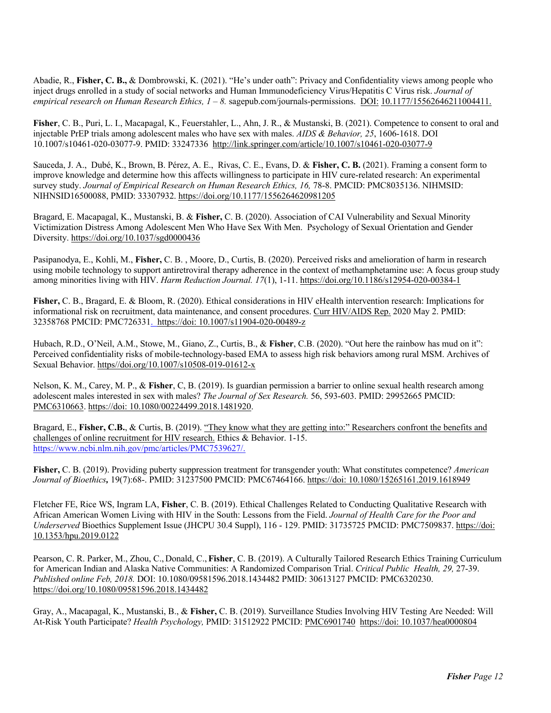Abadie, R., **Fisher, C. B.,** & Dombrowski, K. (2021). "He's under oath": Privacy and Confidentiality views among people who inject drugs enrolled in a study of social networks and Human Immunodeficiency Virus/Hepatitis C Virus risk. *Journal of empirical research on Human Research Ethics, 1 – 8.* sagepub.com/journals-permissions. DOI: 10.1177/15562646211004411.

**Fisher**, C. B., Puri, L. I., Macapagal, K., Feuerstahler, L., Ahn, J. R., & Mustanski, B. (2021). Competence to consent to oral and injectable PrEP trials among adolescent males who have sex with males. *AIDS & Behavior, 25*, 1606-1618. DOI 10.1007/s10461-020-03077-9. PMID: 33247336 http://link.springer.com/article/10.1007/s10461-020-03077-9

Sauceda, J. A., Dubé, K., Brown, B. Pérez, A. E., Rivas, C. E., Evans, D. & **Fisher, C. B.** (2021). Framing a consent form to improve knowledge and determine how this affects willingness to participate in HIV cure-related research: An experimental survey study. *Journal of Empirical Research on Human Research Ethics, 16, 78-8. PMCID: PMC8035136. NIHMSID:* NIHNSID16500088, PMID: 33307932. https://doi.org/10.1177/1556264620981205

Bragard, E. Macapagal, K., Mustanski, B. & **Fisher,** C. B. (2020). Association of CAI Vulnerability and Sexual Minority Victimization Distress Among Adolescent Men Who Have Sex With Men. Psychology of Sexual Orientation and Gender Diversity. https://doi.org/10.1037/sgd0000436

Pasipanodya, E., Kohli, M., **Fisher,** C. B. , Moore, D., Curtis, B. (2020). Perceived risks and amelioration of harm in research using mobile technology to support antiretroviral therapy adherence in the context of methamphetamine use: A focus group study among minorities living with HIV. *Harm Reduction Journal. 17*(1), 1-11. https://doi.org/10.1186/s12954-020-00384-1

**Fisher,** C. B., Bragard, E. & Bloom, R. (2020). Ethical considerations in HIV eHealth intervention research: Implications for informational risk on recruitment, data maintenance, and consent procedures. Curr HIV/AIDS Rep. 2020 May 2. PMID: 32358768 PMCID: PMC726331. https://doi: 10.1007/s11904-020-00489-z

Hubach, R.D., O'Neil, A.M., Stowe, M., Giano, Z., Curtis, B., & **Fisher**, C.B. (2020). "Out here the rainbow has mud on it": Perceived confidentiality risks of mobile-technology-based EMA to assess high risk behaviors among rural MSM. Archives of Sexual Behavior. https//doi.org/10.1007/s10508-019-01612-x

Nelson, K. M., Carey, M. P., & **Fisher**, C, B. (2019). Is guardian permission a barrier to online sexual health research among adolescent males interested in sex with males? *The Journal of Sex Research.* 56, 593-603. PMID: 29952665 PMCID: PMC6310663. https://doi: 10.1080/00224499.2018.1481920.

Bragard, E., Fisher, C.B., & Curtis, B. (2019). "They know what they are getting into:" Researchers confront the benefits and challenges of online recruitment for HIV research. Ethics & Behavior. 1-15. https://www.ncbi.nlm.nih.gov/pmc/articles/PMC7539627/.

**Fisher,** C. B. (2019). Providing puberty suppression treatment for transgender youth: What constitutes competence? *American Journal of Bioethics,* 19(7):68-. PMID: 31237500 PMCID: PMC67464166. https://doi: 10.1080/15265161.2019.1618949

Fletcher FE, Rice WS, Ingram LA, **Fisher**, C. B. (2019). Ethical Challenges Related to Conducting Qualitative Research with African American Women Living with HIV in the South: Lessons from the Field. *Journal of Health Care for the Poor and Underserved* Bioethics Supplement Issue (JHCPU 30.4 Suppl), 116 - 129. PMID: 31735725 PMCID: PMC7509837. https://doi: 10.1353/hpu.2019.0122

Pearson, C. R. Parker, M., Zhou, C., Donald, C., **Fisher**, C. B. (2019). A Culturally Tailored Research Ethics Training Curriculum for American Indian and Alaska Native Communities: A Randomized Comparison Trial. *Critical Public Health, 29,* 27-39. *Published online Feb, 2018.* DOI: 10.1080/09581596.2018.1434482 PMID: 30613127 PMCID: PMC6320230. https://doi.org/10.1080/09581596.2018.1434482

Gray, A., Macapagal, K., Mustanski, B., & **Fisher,** C. B. (2019). Surveillance Studies Involving HIV Testing Are Needed: Will At-Risk Youth Participate? *Health Psychology,* PMID: 31512922 PMCID: PMC6901740 https://doi: 10.1037/hea0000804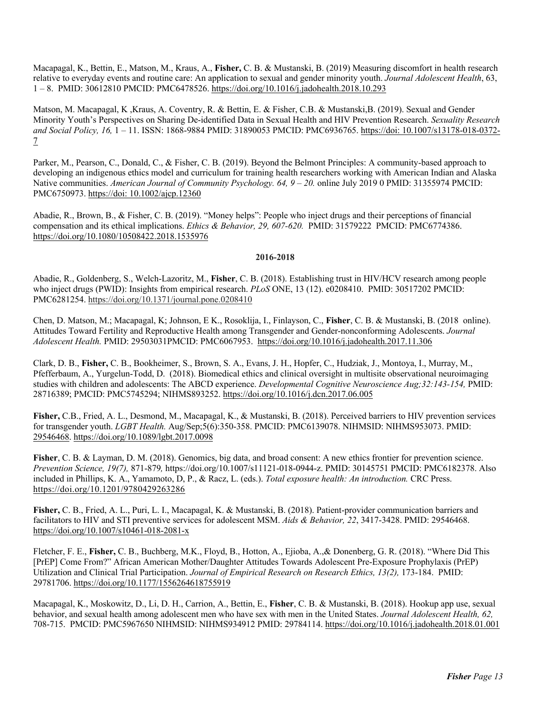Macapagal, K., Bettin, E., Matson, M., Kraus, A., **Fisher,** C. B. & Mustanski, B. (2019) Measuring discomfort in health research relative to everyday events and routine care: An application to sexual and gender minority youth. *Journal Adolescent Health*, 63, 1 – 8. PMID: 30612810 PMCID: PMC6478526. https://doi.org/10.1016/j.jadohealth.2018.10.293

Matson, M. Macapagal, K ,Kraus, A. Coventry, R. & Bettin, E. & Fisher, C.B. & Mustanski,B. (2019). Sexual and Gender Minority Youth's Perspectives on Sharing De-identified Data in Sexual Health and HIV Prevention Research. *Sexuality Research and Social Policy, 16,* 1 – 11. ISSN: 1868-9884 PMID: 31890053 PMCID: PMC6936765. https://doi: 10.1007/s13178-018-0372- 7

Parker, M., Pearson, C., Donald, C., & Fisher, C. B. (2019). Beyond the Belmont Principles: A community-based approach to developing an indigenous ethics model and curriculum for training health researchers working with American Indian and Alaska Native communities. *American Journal of Community Psychology. 64, 9 – 20.* online July 2019 0 PMID: 31355974 PMCID: PMC6750973. https://doi: 10.1002/ajcp.12360

Abadie, R., Brown, B., & Fisher, C. B. (2019). "Money helps": People who inject drugs and their perceptions of financial compensation and its ethical implications. *Ethics & Behavior, 29, 607-620.* PMID: 31579222 PMCID: PMC6774386. https://doi.org/10.1080/10508422.2018.1535976

# **2016-2018**

Abadie, R., Goldenberg, S., Welch-Lazoritz, M., **Fisher**, C. B. (2018). Establishing trust in HIV/HCV research among people who inject drugs (PWID): Insights from empirical research. *PLoS* ONE, 13 (12). e0208410. PMID: 30517202 PMCID: PMC6281254. https://doi.org/10.1371/journal.pone.0208410

Chen, D. Matson, M.; Macapagal, K; Johnson, E K., Rosoklija, I., Finlayson, C., **Fisher**, C. B. & Mustanski, B. (2018 online). Attitudes Toward Fertility and Reproductive Health among Transgender and Gender-nonconforming Adolescents. *Journal Adolescent Health.* PMID: 29503031PMCID: PMC6067953. https://doi.org/10.1016/j.jadohealth.2017.11.306

Clark, D. B., **Fisher,** C. B., Bookheimer, S., Brown, S. A., Evans, J. H., Hopfer, C., Hudziak, J., Montoya, I., Murray, M., Pfefferbaum, A., Yurgelun-Todd, D. (2018). Biomedical ethics and clinical oversight in multisite observational neuroimaging studies with children and adolescents: The ABCD experience. *Developmental Cognitive Neuroscience Aug;32:143-154,* PMID: 28716389; PMCID: PMC5745294; NIHMS893252. https://doi.org/10.1016/j.dcn.2017.06.005

**Fisher,** C.B., Fried, A. L., Desmond, M., Macapagal, K., & Mustanski, B. (2018). Perceived barriers to HIV prevention services for transgender youth. *LGBT Health.* Aug/Sep;5(6):350-358. PMCID: PMC6139078. NIHMSID: NIHMS953073. PMID: 29546468. https://doi.org/10.1089/lgbt.2017.0098

**Fisher**, C. B. & Layman, D. M. (2018). Genomics, big data, and broad consent: A new ethics frontier for prevention science. *Prevention Science, 19(7),* 871-879*,* https://doi.org/10.1007/s11121-018-0944-z. PMID: 30145751 PMCID: PMC6182378. Also included in Phillips, K. A., Yamamoto, D, P., & Racz, L. (eds.). *Total exposure health: An introduction.* CRC Press. https://doi.org/10.1201/9780429263286

**Fisher,** C. B., Fried, A. L., Puri, L. I., Macapagal, K. & Mustanski, B. (2018). Patient-provider communication barriers and facilitators to HIV and STI preventive services for adolescent MSM. *Aids & Behavior, 22*, 3417-3428. PMID: 29546468. https://doi.org/10.1007/s10461-018-2081-x

Fletcher, F. E., **Fisher,** C. B., Buchberg, M.K., Floyd, B., Hotton, A., Ejioba, A.,& Donenberg, G. R. (2018). "Where Did This [PrEP] Come From?" African American Mother/Daughter Attitudes Towards Adolescent Pre-Exposure Prophylaxis (PrEP) Utilization and Clinical Trial Participation. *Journal of Empirical Research on Research Ethics, 13(2),* 173-184. PMID: 29781706. https://doi.org/10.1177/1556264618755919

Macapagal, K., Moskowitz, D., Li, D. H., Carrion, A., Bettin, E., **Fisher**, C. B. & Mustanski, B. (2018). Hookup app use, sexual behavior, and sexual health among adolescent men who have sex with men in the United States. *Journal Adolescent Health, 62,*  708-715. PMCID: PMC5967650 NIHMSID: NIHMS934912 PMID: 29784114. https://doi.org/10.1016/j.jadohealth.2018.01.001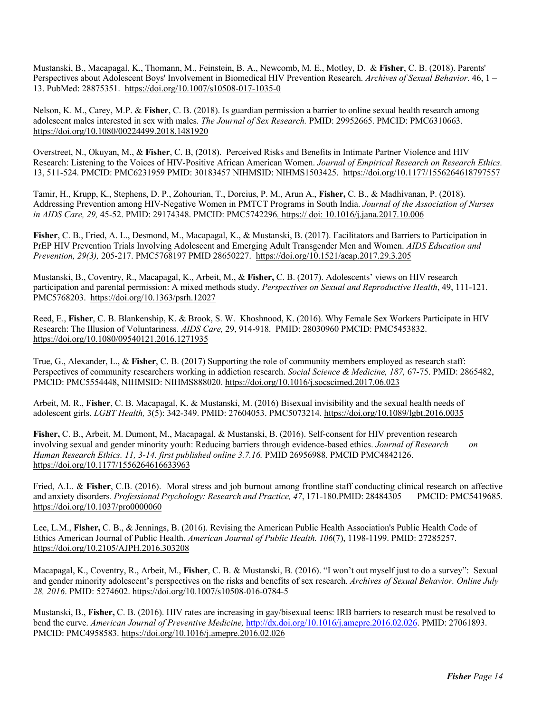Mustanski, B., Macapagal, K., Thomann, M., Feinstein, B. A., Newcomb, M. E., Motley, D. & **Fisher**, C. B. (2018). Parents' Perspectives about Adolescent Boys' Involvement in Biomedical HIV Prevention Research. *Archives of Sexual Behavior*. 46, 1 – 13. PubMed: 28875351. https://doi.org/10.1007/s10508-017-1035-0

Nelson, K. M., Carey, M.P. & **Fisher**, C. B. (2018). Is guardian permission a barrier to online sexual health research among adolescent males interested in sex with males. *The Journal of Sex Research.* PMID: 29952665. PMCID: PMC6310663. https://doi.org/10.1080/00224499.2018.1481920

Overstreet, N., Okuyan, M., & **Fisher**, C. B, (2018). Perceived Risks and Benefits in Intimate Partner Violence and HIV Research: Listening to the Voices of HIV-Positive African American Women. *Journal of Empirical Research on Research Ethics.* 13, 511-524. PMCID: PMC6231959 PMID: 30183457 NIHMSID: NIHMS1503425. https://doi.org/10.1177/1556264618797557

Tamir, H., Krupp, K., Stephens, D. P., Zohourian, T., Dorcius, P. M., Arun A., **Fisher,** C. B., & Madhivanan, P. (2018). Addressing Prevention among HIV-Negative Women in PMTCT Programs in South India. *Journal of the Association of Nurses in AIDS Care, 29,* 45-52. PMID: 29174348. PMCID: PMC5742296*.* https:// doi: 10.1016/j.jana.2017.10.006

**Fisher**, C. B., Fried, A. L., Desmond, M., Macapagal, K., & Mustanski, B. (2017). Facilitators and Barriers to Participation in PrEP HIV Prevention Trials Involving Adolescent and Emerging Adult Transgender Men and Women. *AIDS Education and Prevention, 29(3),* 205-217. PMC5768197 PMID 28650227. https://doi.org/10.1521/aeap.2017.29.3.205

Mustanski, B., Coventry, R., Macapagal, K., Arbeit, M., & **Fisher,** C. B. (2017). Adolescents' views on HIV research participation and parental permission: A mixed methods study. *Perspectives on Sexual and Reproductive Health*, 49, 111-121. PMC5768203. https://doi.org/10.1363/psrh.12027

Reed, E., **Fisher**, C. B. Blankenship, K. & Brook, S. W. Khoshnood, K. (2016). Why Female Sex Workers Participate in HIV Research: The Illusion of Voluntariness. *AIDS Care,* 29, 914-918. PMID: 28030960 PMCID: PMC5453832. https://doi.org/10.1080/09540121.2016.1271935

True, G., Alexander, L., & **Fisher**, C. B. (2017) Supporting the role of community members employed as research staff: Perspectives of community researchers working in addiction research. *Social Science & Medicine, 187,* 67-75. PMID: 2865482, PMCID: PMC5554448, NIHMSID: NIHMS888020. https://doi.org/10.1016/j.socscimed.2017.06.023

Arbeit, M. R., **Fisher**, C. B. Macapagal, K. & Mustanski, M. (2016) Bisexual invisibility and the sexual health needs of adolescent girls. *LGBT Health,* 3(5): 342-349. PMID: 27604053. PMC5073214. https://doi.org/10.1089/lgbt.2016.0035

**Fisher,** C. B., Arbeit, M. Dumont, M., Macapagal, & Mustanski, B. (2016). Self-consent for HIV prevention research involving sexual and gender minority youth: Reducing barriers through evidence-based ethics. *Journal of Research on Human Research Ethics. 11, 3-14. first published online 3.7.16.* PMID 26956988. PMCID PMC4842126. https://doi.org/10.1177/1556264616633963

Fried, A.L. & **Fisher**, C.B. (2016). Moral stress and job burnout among frontline staff conducting clinical research on affective and anxiety disorders. *Professional Psychology: Research and Practice, 47*, 171-180.PMID: 28484305 PMCID: PMC5419685. https://doi.org/10.1037/pro0000060

Lee, L.M., **Fisher,** C. B., & Jennings, B. (2016). Revising the American Public Health Association's Public Health Code of Ethics American Journal of Public Health. *American Journal of Public Health. 106*(7), 1198-1199. PMID: 27285257. https://doi.org/10.2105/AJPH.2016.303208

Macapagal, K., Coventry, R., Arbeit, M., **Fisher**, C. B. & Mustanski, B. (2016). "I won't out myself just to do a survey": Sexual and gender minority adolescent's perspectives on the risks and benefits of sex research. *Archives of Sexual Behavior. Online July 28, 2016*. PMID: 5274602. https://doi.org/10.1007/s10508-016-0784-5

Mustanski, B., **Fisher,** C. B. (2016). HIV rates are increasing in gay/bisexual teens: IRB barriers to research must be resolved to bend the curve. *American Journal of Preventive Medicine,* http://dx.doi.org/10.1016/j.amepre.2016.02.026. PMID: 27061893. PMCID: PMC4958583. https://doi.org/10.1016/j.amepre.2016.02.026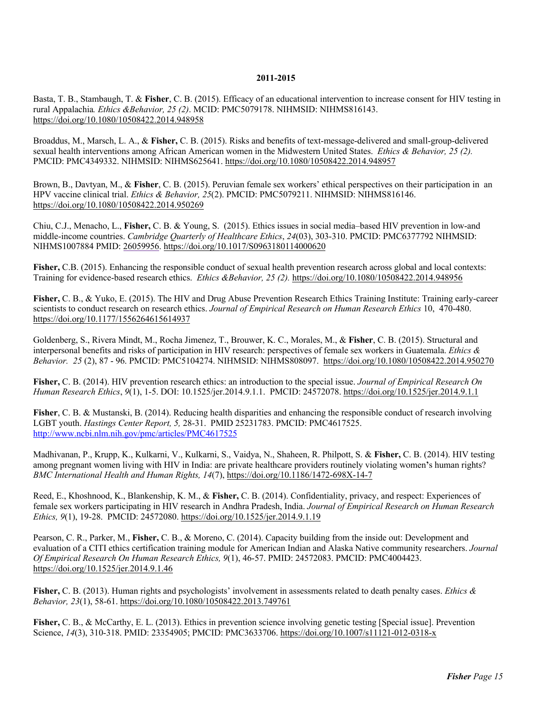#### **2011-2015**

Basta, T. B., Stambaugh, T. & **Fisher**, C. B. (2015). Efficacy of an educational intervention to increase consent for HIV testing in rural Appalachia*. Ethics &Behavior, 25 (2)*. MCID: PMC5079178. NIHMSID: NIHMS816143. https://doi.org/10.1080/10508422.2014.948958

Broaddus, M., Marsch, L. A., & **Fisher,** C. B. (2015). Risks and benefits of text-message-delivered and small-group-delivered sexual health interventions among African American women in the Midwestern United States. *Ethics & Behavior, 25 (2).* PMCID: PMC4349332. NIHMSID: NIHMS625641. https://doi.org/10.1080/10508422.2014.948957

Brown, B., Davtyan, M., & **Fisher**, C. B. (2015). Peruvian female sex workers' ethical perspectives on their participation in an HPV vaccine clinical trial. *Ethics & Behavior, 25*(2). PMCID: PMC5079211. NIHMSID: NIHMS816146. https://doi.org/10.1080/10508422.2014.950269

Chiu, C.J., Menacho, L., **Fisher,** C. B. & Young, S. (2015). Ethics issues in social media–based HIV prevention in low-and middle-income countries. *Cambridge Quarterly of Healthcare Ethics*, *24*(03), 303-310. PMCID: PMC6377792 NIHMSID: NIHMS1007884 PMID: 26059956. https://doi.org/10.1017/S0963180114000620

**Fisher,** C.B. (2015). Enhancing the responsible conduct of sexual health prevention research across global and local contexts: Training for evidence-based research ethics. *Ethics &Behavior, 25 (2).* https://doi.org/10.1080/10508422.2014.948956

**Fisher,** C. B., & Yuko, E. (2015). The HIV and Drug Abuse Prevention Research Ethics Training Institute: Training early-career scientists to conduct research on research ethics. *Journal of Empirical Research on Human Research Ethics* 10, 470-480. https://doi.org/10.1177/1556264615614937

Goldenberg, S., Rivera Mindt, M., Rocha Jimenez, T., Brouwer, K. C., Morales, M., & **Fisher**, C. B. (2015). Structural and interpersonal benefits and risks of participation in HIV research: perspectives of female sex workers in Guatemala. *Ethics & Behavior. 25* (2), 87 - 96. PMCID: PMC5104274. NIHMSID: NIHMS808097. https://doi.org/10.1080/10508422.2014.950270

**Fisher,** C. B. (2014). HIV prevention research ethics: an introduction to the special issue. *Journal of Empirical Research On Human Research Ethics*, *9*(1), 1-5. DOI: 10.1525/jer.2014.9.1.1. PMCID: 24572078. https://doi.org/10.1525/jer.2014.9.1.1

**Fisher**, C. B. & Mustanski, B. (2014). Reducing health disparities and enhancing the responsible conduct of research involving LGBT youth. *Hastings Center Report, 5,* 28-31. PMID 25231783. PMCID: PMC4617525. http://www.ncbi.nlm.nih.gov/pmc/articles/PMC4617525

Madhivanan, P., Krupp, K., Kulkarni, V., Kulkarni, S., Vaidya, N., Shaheen, R. Philpott, S. & **Fisher,** C. B. (2014). HIV testing among pregnant women living with HIV in India: are private healthcare providers routinely violating women**'**s human rights? *BMC International Health and Human Rights, 14*(7), https://doi.org/10.1186/1472-698X-14-7

Reed, E., Khoshnood, K., Blankenship, K. M., & **Fisher,** C. B. (2014). Confidentiality, privacy, and respect: Experiences of female sex workers participating in HIV research in Andhra Pradesh, India. *Journal of Empirical Research on Human Research Ethics, 9*(1), 19-28. PMCID: 24572080. https://doi.org/10.1525/jer.2014.9.1.19

Pearson, C. R., Parker, M., **Fisher,** C. B., & Moreno, C. (2014). Capacity building from the inside out: Development and evaluation of a CITI ethics certification training module for American Indian and Alaska Native community researchers. *Journal Of Empirical Research On Human Research Ethics, 9*(1), 46-57. PMID: 24572083. PMCID: PMC4004423. https://doi.org/10.1525/jer.2014.9.1.46

**Fisher,** C. B. (2013). Human rights and psychologists' involvement in assessments related to death penalty cases. *Ethics & Behavior, 23*(1), 58-61. https://doi.org/10.1080/10508422.2013.749761

**Fisher,** C. B., & McCarthy, E. L. (2013). Ethics in prevention science involving genetic testing [Special issue]. Prevention Science, *14*(3), 310-318. PMID: 23354905; PMCID: PMC3633706. https://doi.org/10.1007/s11121-012-0318-x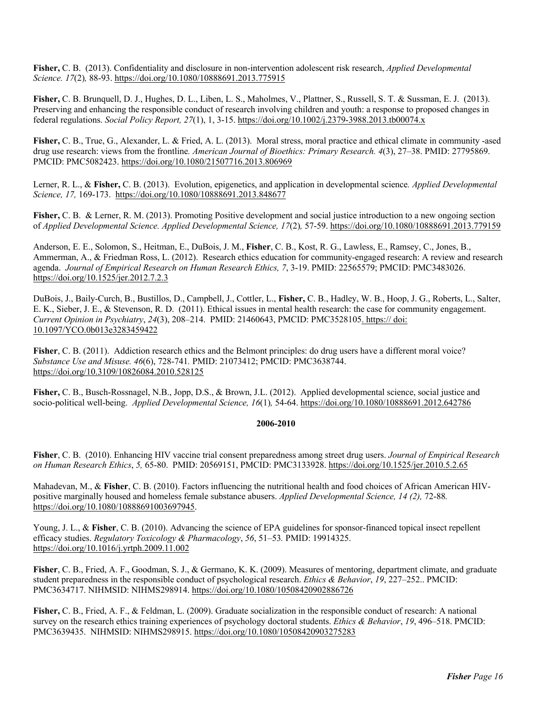**Fisher,** C. B. (2013). Confidentiality and disclosure in non-intervention adolescent risk research, *Applied Developmental Science. 17*(2)*,* 88-93. https://doi.org/10.1080/10888691.2013.775915

**Fisher,** C. B. Brunquell, D. J., Hughes, D. L., Liben, L. S., Maholmes, V., Plattner, S., Russell, S. T. & Sussman, E. J. (2013). Preserving and enhancing the responsible conduct of research involving children and youth: a response to proposed changes in federal regulations. *Social Policy Report, 27*(1), 1, 3-15. https://doi.org/10.1002/j.2379-3988.2013.tb00074.x

**Fisher,** C. B., True, G., Alexander, L. & Fried, A. L. (2013). Moral stress, moral practice and ethical climate in community -ased drug use research: views from the frontline*. American Journal of Bioethics: Primary Research. 4*(3), 27–38. PMID: 27795869. PMCID: PMC5082423. https://doi.org/10.1080/21507716.2013.806969

Lerner, R. L., & **Fisher,** C. B. (2013). Evolution, epigenetics, and application in developmental science*. Applied Developmental Science, 17,* 169-173. https://doi.org/10.1080/10888691.2013.848677

**Fisher, C. B. & Lerner, R. M. (2013). Promoting Positive development and social justice introduction to a new ongoing section** of *Applied Developmental Science. Applied Developmental Science, 17*(2)*,* 57-59. https://doi.org/10.1080/10888691.2013.779159

Anderson, E. E., Solomon, S., Heitman, E., DuBois, J. M., **Fisher**, C. B., Kost, R. G., Lawless, E., Ramsey, C., Jones, B., Ammerman, A., & Friedman Ross, L. (2012). Research ethics education for community-engaged research: A review and research agenda. *Journal of Empirical Research on Human Research Ethics, 7*, 3-19. PMID: 22565579; PMCID: PMC3483026. https://doi.org/10.1525/jer.2012.7.2.3

DuBois, J., Baily-Curch, B., Bustillos, D., Campbell, J., Cottler, L., **Fisher,** C. B., Hadley, W. B., Hoop, J. G., Roberts, L., Salter, E. K., Sieber, J. E., & Stevenson, R. D. (2011). Ethical issues in mental health research: the case for community engagement. *Current Opinion in Psychiatry*, *24*(3), 208–214. PMID: 21460643, PMCID: PMC3528105. https:// doi: 10.1097/YCO.0b013e3283459422

**Fisher**, C. B. (2011). Addiction research ethics and the Belmont principles: do drug users have a different moral voice? *Substance Use and Misuse. 46*(6), 728-741*.* PMID: 21073412; PMCID: PMC3638744. https://doi.org/10.3109/10826084.2010.528125

**Fisher,** C. B., Busch-Rossnagel, N.B., Jopp, D.S., & Brown, J.L. (2012). Applied developmental science, social justice and socio-political well-being. *Applied Developmental Science, 16*(1)*,* 54-64. https://doi.org/10.1080/10888691.2012.642786

#### **2006-2010**

**Fisher**, C. B. (2010). Enhancing HIV vaccine trial consent preparedness among street drug users. *Journal of Empirical Research on Human Research Ethics*, *5,* 65-80. PMID: 20569151, PMCID: PMC3133928. https://doi.org/10.1525/jer.2010.5.2.65

Mahadevan, M., & **Fisher**, C. B. (2010). Factors influencing the nutritional health and food choices of African American HIVpositive marginally housed and homeless female substance abusers. *Applied Developmental Science, 14 (2),* 72-88*.*  https://doi.org/10.1080/10888691003697945.

Young, J. L., & **Fisher**, C. B. (2010). Advancing the science of EPA guidelines for sponsor-financed topical insect repellent efficacy studies. *Regulatory Toxicology & Pharmacology*, *56*, 51–53*.* PMID: 19914325. https://doi.org/10.1016/j.yrtph.2009.11.002

**Fisher**, C. B., Fried, A. F., Goodman, S. J., & Germano, K. K. (2009). Measures of mentoring, department climate, and graduate student preparedness in the responsible conduct of psychological research. *Ethics & Behavior*, *19*, 227–252.. PMCID: PMC3634717. NIHMSID: NIHMS298914. https://doi.org/10.1080/10508420902886726

**Fisher,** C. B., Fried, A. F., & Feldman, L. (2009). Graduate socialization in the responsible conduct of research: A national survey on the research ethics training experiences of psychology doctoral students. *Ethics & Behavior*, *19*, 496–518. PMCID: PMC3639435. NIHMSID: NIHMS298915. https://doi.org/10.1080/10508420903275283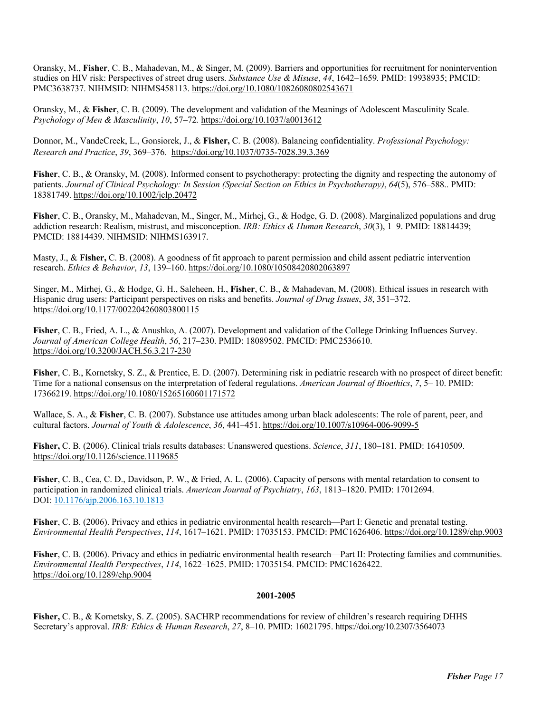Oransky, M., **Fisher**, C. B., Mahadevan, M., & Singer, M. (2009). Barriers and opportunities for recruitment for nonintervention studies on HIV risk: Perspectives of street drug users. *Substance Use & Misuse*, *44*, 1642–1659*.* PMID: 19938935; PMCID: PMC3638737. NIHMSID: NIHMS458113. https://doi.org/10.1080/10826080802543671

Oransky, M., & **Fisher**, C. B. (2009). The development and validation of the Meanings of Adolescent Masculinity Scale. *Psychology of Men & Masculinity*, *10*, 57–72*.* https://doi.org/10.1037/a0013612

Donnor, M., VandeCreek, L., Gonsiorek, J., & **Fisher,** C. B. (2008). Balancing confidentiality. *Professional Psychology: Research and Practice*, *39*, 369–376. https://doi.org/10.1037/0735-7028.39.3.369

**Fisher**, C. B., & Oransky, M. (2008). Informed consent to psychotherapy: protecting the dignity and respecting the autonomy of patients. *Journal of Clinical Psychology: In Session (Special Section on Ethics in Psychotherapy)*, *64*(5), 576–588.. PMID: 18381749. https://doi.org/10.1002/jclp.20472

**Fisher**, C. B., Oransky, M., Mahadevan, M., Singer, M., Mirhej, G., & Hodge, G. D. (2008). Marginalized populations and drug addiction research: Realism, mistrust, and misconception. *IRB: Ethics & Human Research*, *30*(3), 1–9. PMID: 18814439; PMCID: 18814439. NIHMSID: NIHMS163917.

Masty, J., & **Fisher,** C. B. (2008). A goodness of fit approach to parent permission and child assent pediatric intervention research. *Ethics & Behavior*, *13*, 139–160. https://doi.org/10.1080/10508420802063897

Singer, M., Mirhej, G., & Hodge, G. H., Saleheen, H., **Fisher**, C. B., & Mahadevan, M. (2008). Ethical issues in research with Hispanic drug users: Participant perspectives on risks and benefits. *Journal of Drug Issues*, *38*, 351–372. https://doi.org/10.1177/002204260803800115

**Fisher**, C. B., Fried, A. L., & Anushko, A. (2007). Development and validation of the College Drinking Influences Survey. *Journal of American College Health*, *56*, 217–230. PMID: 18089502. PMCID: PMC2536610. https://doi.org/10.3200/JACH.56.3.217-230

**Fisher**, C. B., Kornetsky, S. Z., & Prentice, E. D. (2007). Determining risk in pediatric research with no prospect of direct benefit: Time for a national consensus on the interpretation of federal regulations. *American Journal of Bioethics*, *7*, 5– 10. PMID: 17366219. https://doi.org/10.1080/15265160601171572

Wallace, S. A., & **Fisher**, C. B. (2007). Substance use attitudes among urban black adolescents: The role of parent, peer, and cultural factors. *Journal of Youth & Adolescence*, *36*, 441–451. https://doi.org/10.1007/s10964-006-9099-5

**Fisher,** C. B. (2006). Clinical trials results databases: Unanswered questions. *Science*, *311*, 180–181*.* PMID: 16410509. https://doi.org/10.1126/science.1119685

**Fisher**, C. B., Cea, C. D., Davidson, P. W., & Fried, A. L. (2006). Capacity of persons with mental retardation to consent to participation in randomized clinical trials. *American Journal of Psychiatry*, *163*, 1813–1820. PMID: 17012694. DOI: 10.1176/ajp.2006.163.10.1813

**Fisher**, C. B. (2006). Privacy and ethics in pediatric environmental health research—Part I: Genetic and prenatal testing. *Environmental Health Perspectives*, *114*, 1617–1621. PMID: 17035153. PMCID: PMC1626406. https://doi.org/10.1289/ehp.9003

**Fisher**, C. B. (2006). Privacy and ethics in pediatric environmental health research—Part II: Protecting families and communities. *Environmental Health Perspectives*, *114*, 1622–1625. PMID: 17035154. PMCID: PMC1626422. https://doi.org/10.1289/ehp.9004

#### **2001-2005**

**Fisher,** C. B., & Kornetsky, S. Z. (2005). SACHRP recommendations for review of children's research requiring DHHS Secretary's approval. *IRB: Ethics & Human Research*, *27*, 8–10. PMID: 16021795. https://doi.org/10.2307/3564073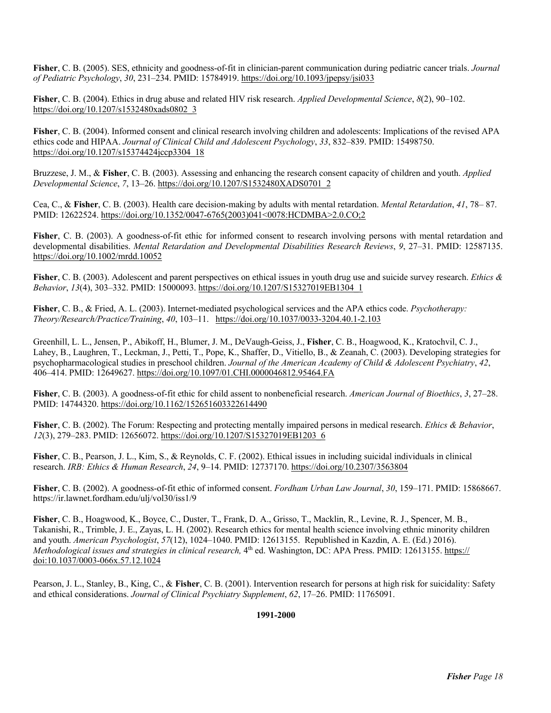**Fisher**, C. B. (2005). SES, ethnicity and goodness-of-fit in clinician-parent communication during pediatric cancer trials. *Journal of Pediatric Psychology*, *30*, 231–234. PMID: 15784919. https://doi.org/10.1093/jpepsy/jsi033

**Fisher**, C. B. (2004). Ethics in drug abuse and related HIV risk research. *Applied Developmental Science*, *8*(2), 90–102. https://doi.org/10.1207/s1532480xads0802\_3

**Fisher**, C. B. (2004). Informed consent and clinical research involving children and adolescents: Implications of the revised APA ethics code and HIPAA. *Journal of Clinical Child and Adolescent Psychology*, *33*, 832–839. PMID: 15498750. https://doi.org/10.1207/s15374424jccp3304\_18

Bruzzese, J. M., & **Fisher**, C. B. (2003). Assessing and enhancing the research consent capacity of children and youth. *Applied Developmental Science*, *7*, 13–26. https://doi.org/10.1207/S1532480XADS0701\_2

Cea, C., & **Fisher**, C. B. (2003). Health care decision-making by adults with mental retardation. *Mental Retardation*, *41*, 78– 87. PMID: 12622524. https://doi.org/10.1352/0047-6765(2003)041<0078:HCDMBA>2.0.CO;2

**Fisher**, C. B. (2003). A goodness-of-fit ethic for informed consent to research involving persons with mental retardation and developmental disabilities. *Mental Retardation and Developmental Disabilities Research Reviews*, *9*, 27–31. PMID: 12587135. https://doi.org/10.1002/mrdd.10052

**Fisher**, C. B. (2003). Adolescent and parent perspectives on ethical issues in youth drug use and suicide survey research. *Ethics & Behavior*, *13*(4), 303–332. PMID: 15000093. https://doi.org/10.1207/S15327019EB1304\_1

**Fisher**, C. B., & Fried, A. L. (2003). Internet-mediated psychological services and the APA ethics code. *Psychotherapy: Theory/Research/Practice/Training*, *40*, 103–11. https://doi.org/10.1037/0033-3204.40.1-2.103

Greenhill, L. L., Jensen, P., Abikoff, H., Blumer, J. M., DeVaugh-Geiss, J., **Fisher**, C. B., Hoagwood, K., Kratochvil, C. J., Lahey, B., Laughren, T., Leckman, J., Petti, T., Pope, K., Shaffer, D., Vitiello, B., & Zeanah, C. (2003). Developing strategies for psychopharmacological studies in preschool children. *Journal of the American Academy of Child & Adolescent Psychiatry*, *42*, 406–414. PMID: 12649627. https://doi.org/10.1097/01.CHI.0000046812.95464.FA

**Fisher**, C. B. (2003). A goodness-of-fit ethic for child assent to nonbeneficial research. *American Journal of Bioethics*, *3*, 27–28. PMID: 14744320. https://doi.org/10.1162/152651603322614490

**Fisher**, C. B. (2002). The Forum: Respecting and protecting mentally impaired persons in medical research. *Ethics & Behavior*, *12*(3), 279–283. PMID: 12656072. https://doi.org/10.1207/S15327019EB1203\_6

**Fisher**, C. B., Pearson, J. L., Kim, S., & Reynolds, C. F. (2002). Ethical issues in including suicidal individuals in clinical research. *IRB: Ethics & Human Research*, *24*, 9–14. PMID: 12737170. https://doi.org/10.2307/3563804

**Fisher**, C. B. (2002). A goodness-of-fit ethic of informed consent. *Fordham Urban Law Journal*, *30*, 159–171. PMID: 15868667. https://ir.lawnet.fordham.edu/ulj/vol30/iss1/9

**Fisher**, C. B., Hoagwood, K., Boyce, C., Duster, T., Frank, D. A., Grisso, T., Macklin, R., Levine, R. J., Spencer, M. B., Takanishi, R., Trimble, J. E., Zayas, L. H. (2002). Research ethics for mental health science involving ethnic minority children and youth. *American Psychologist*, *57*(12), 1024–1040. PMID: 12613155. Republished in Kazdin, A. E. (Ed.) 2016). *Methodological issues and strategies in clinical research,* 4<sup>th</sup> ed. Washington, DC: APA Press. PMID: 12613155. https:// doi:10.1037/0003-066x.57.12.1024

Pearson, J. L., Stanley, B., King, C., & **Fisher**, C. B. (2001). Intervention research for persons at high risk for suicidality: Safety and ethical considerations. *Journal of Clinical Psychiatry Supplement*, *62*, 17–26. PMID: 11765091.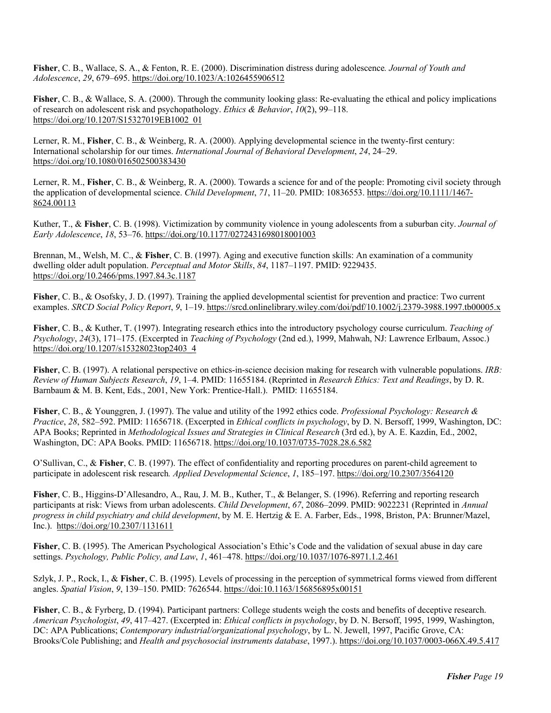**Fisher**, C. B., Wallace, S. A., & Fenton, R. E. (2000). Discrimination distress during adolescence*. Journal of Youth and Adolescence*, *29*, 679–695. https://doi.org/10.1023/A:1026455906512

**Fisher**, C. B., & Wallace, S. A. (2000). Through the community looking glass: Re-evaluating the ethical and policy implications of research on adolescent risk and psychopathology. *Ethics & Behavior*, *10*(2), 99–118. https://doi.org/10.1207/S15327019EB1002\_01

Lerner, R. M., **Fisher**, C. B., & Weinberg, R. A. (2000). Applying developmental science in the twenty-first century: International scholarship for our times. *International Journal of Behavioral Development*, *24*, 24–29. https://doi.org/10.1080/016502500383430

Lerner, R. M., **Fisher**, C. B., & Weinberg, R. A. (2000). Towards a science for and of the people: Promoting civil society through the application of developmental science. *Child Development*, *71*, 11–20. PMID: 10836553. https://doi.org/10.1111/1467- 8624.00113

Kuther, T., & **Fisher**, C. B. (1998). Victimization by community violence in young adolescents from a suburban city. *Journal of Early Adolescence*, *18*, 53–76. https://doi.org/10.1177/0272431698018001003

Brennan, M., Welsh, M. C., & **Fisher**, C. B. (1997). Aging and executive function skills: An examination of a community dwelling older adult population. *Perceptual and Motor Skills*, *84*, 1187–1197. PMID: 9229435. https://doi.org/10.2466/pms.1997.84.3c.1187

**Fisher**, C. B., & Osofsky, J. D. (1997). Training the applied developmental scientist for prevention and practice: Two current examples. *SRCD Social Policy Report*, *9*, 1–19. https://srcd.onlinelibrary.wiley.com/doi/pdf/10.1002/j.2379-3988.1997.tb00005.x

**Fisher**, C. B., & Kuther, T. (1997). Integrating research ethics into the introductory psychology course curriculum. *Teaching of Psychology*, *24*(3), 171–175. (Excerpted in *Teaching of Psychology* (2nd ed.), 1999, Mahwah, NJ: Lawrence Erlbaum, Assoc.) https://doi.org/10.1207/s15328023top2403\_4

**Fisher**, C. B. (1997). A relational perspective on ethics-in-science decision making for research with vulnerable populations. *IRB: Review of Human Subjects Research*, *19*, 1–4. PMID: 11655184. (Reprinted in *Research Ethics: Text and Readings*, by D. R. Barnbaum & M. B. Kent, Eds., 2001, New York: Prentice-Hall.). PMID: 11655184.

**Fisher**, C. B., & Younggren, J. (1997). The value and utility of the 1992 ethics code. *Professional Psychology: Research & Practice*, *28*, 582–592. PMID: 11656718. (Excerpted in *Ethical conflicts in psychology*, by D. N. Bersoff, 1999, Washington, DC: APA Books; Reprinted in *Methodological Issues and Strategies in Clinical Research* (3rd ed.), by A. E. Kazdin, Ed., 2002, Washington, DC: APA Books. PMID: 11656718. https://doi.org/10.1037/0735-7028.28.6.582

O'Sullivan, C., & **Fisher**, C. B. (1997). The effect of confidentiality and reporting procedures on parent-child agreement to participate in adolescent risk research*. Applied Developmental Science*, *1*, 185–197. https://doi.org/10.2307/3564120

**Fisher**, C. B., Higgins-D'Allesandro, A., Rau, J. M. B., Kuther, T., & Belanger, S. (1996). Referring and reporting research participants at risk: Views from urban adolescents. *Child Development*, *67*, 2086–2099. PMID: 9022231 (Reprinted in *Annual progress in child psychiatry and child development*, by M. E. Hertzig & E. A. Farber, Eds., 1998, Briston, PA: Brunner/Mazel, Inc.). https://doi.org/10.2307/1131611

**Fisher**, C. B. (1995). The American Psychological Association's Ethic's Code and the validation of sexual abuse in day care settings. *Psychology, Public Policy, and Law*, *1*, 461–478. https://doi.org/10.1037/1076-8971.1.2.461

Szlyk, J. P., Rock, I., & **Fisher**, C. B. (1995). Levels of processing in the perception of symmetrical forms viewed from different angles. *Spatial Vision*, *9*, 139–150. PMID: 7626544. https://doi:10.1163/156856895x00151

**Fisher**, C. B., & Fyrberg, D. (1994). Participant partners: College students weigh the costs and benefits of deceptive research. *American Psychologist*, *49*, 417–427. (Excerpted in: *Ethical conflicts in psychology*, by D. N. Bersoff, 1995, 1999, Washington, DC: APA Publications; *Contemporary industrial/organizational psychology*, by L. N. Jewell, 1997, Pacific Grove, CA: Brooks/Cole Publishing; and *Health and psychosocial instruments database*, 1997.). https://doi.org/10.1037/0003-066X.49.5.417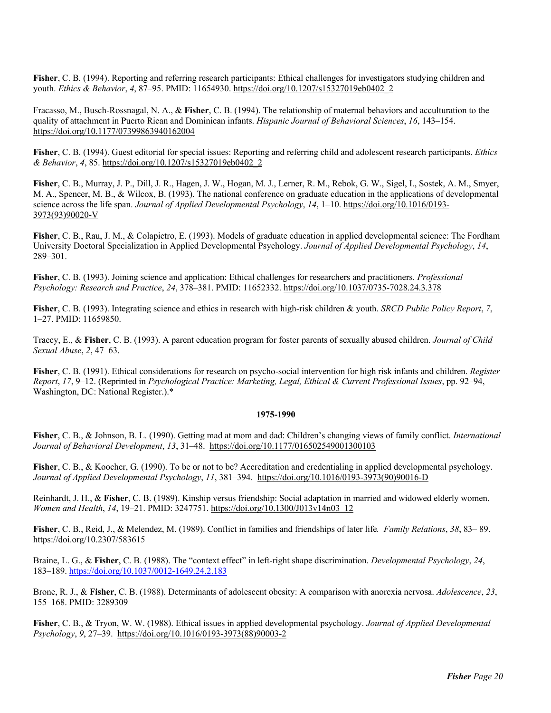**Fisher**, C. B. (1994). Reporting and referring research participants: Ethical challenges for investigators studying children and youth. *Ethics & Behavior*, *4*, 87–95. PMID: 11654930. https://doi.org/10.1207/s15327019eb0402\_2

Fracasso, M., Busch-Rossnagal, N. A., & **Fisher**, C. B. (1994). The relationship of maternal behaviors and acculturation to the quality of attachment in Puerto Rican and Dominican infants. *Hispanic Journal of Behavioral Sciences*, *16*, 143–154. https://doi.org/10.1177/07399863940162004

**Fisher**, C. B. (1994). Guest editorial for special issues: Reporting and referring child and adolescent research participants. *Ethics & Behavior*, *4*, 85. https://doi.org/10.1207/s15327019eb0402\_2

**Fisher**, C. B., Murray, J. P., Dill, J. R., Hagen, J. W., Hogan, M. J., Lerner, R. M., Rebok, G. W., Sigel, I., Sostek, A. M., Smyer, M. A., Spencer, M. B., & Wilcox, B. (1993). The national conference on graduate education in the applications of developmental science across the life span. *Journal of Applied Developmental Psychology*, *14*, 1–10. https://doi.org/10.1016/0193- 3973(93)90020-V

**Fisher**, C. B., Rau, J. M., & Colapietro, E. (1993). Models of graduate education in applied developmental science: The Fordham University Doctoral Specialization in Applied Developmental Psychology. *Journal of Applied Developmental Psychology*, *14*, 289–301.

**Fisher**, C. B. (1993). Joining science and application: Ethical challenges for researchers and practitioners. *Professional Psychology: Research and Practice*, *24*, 378–381. PMID: 11652332. https://doi.org/10.1037/0735-7028.24.3.378

**Fisher**, C. B. (1993). Integrating science and ethics in research with high-risk children & youth. *SRCD Public Policy Report*, *7*, 1–27. PMID: 11659850.

Traecy, E., & **Fisher**, C. B. (1993). A parent education program for foster parents of sexually abused children. *Journal of Child Sexual Abuse*, *2*, 47–63.

**Fisher**, C. B. (1991). Ethical considerations for research on psycho-social intervention for high risk infants and children. *Register Report*, *17*, 9–12. (Reprinted in *Psychological Practice: Marketing, Legal, Ethical & Current Professional Issues*, pp. 92–94, Washington, DC: National Register.).\*

#### **1975-1990**

**Fisher**, C. B., & Johnson, B. L. (1990). Getting mad at mom and dad: Children's changing views of family conflict. *International Journal of Behavioral Development*, *13*, 31–48. https://doi.org/10.1177/016502549001300103

**Fisher**, C. B., & Koocher, G. (1990). To be or not to be? Accreditation and credentialing in applied developmental psychology. *Journal of Applied Developmental Psychology*, *11*, 381–394. https://doi.org/10.1016/0193-3973(90)90016-D

Reinhardt, J. H., & **Fisher**, C. B. (1989). Kinship versus friendship: Social adaptation in married and widowed elderly women. *Women and Health*, *14*, 19–21. PMID: 3247751. https://doi.org/10.1300/J013v14n03\_12

**Fisher**, C. B., Reid, J., & Melendez, M. (1989). Conflict in families and friendships of later life*. Family Relations*, *38*, 83– 89. https://doi.org/10.2307/583615

Braine, L. G., & **Fisher**, C. B. (1988). The "context effect" in left-right shape discrimination. *Developmental Psychology*, *24*, 183–189. https://doi.org/10.1037/0012-1649.24.2.183

Brone, R. J., & **Fisher**, C. B. (1988). Determinants of adolescent obesity: A comparison with anorexia nervosa. *Adolescence*, *23*, 155–168. PMID: 3289309

**Fisher**, C. B., & Tryon, W. W. (1988). Ethical issues in applied developmental psychology. *Journal of Applied Developmental Psychology*, *9*, 27–39. https://doi.org/10.1016/0193-3973(88)90003-2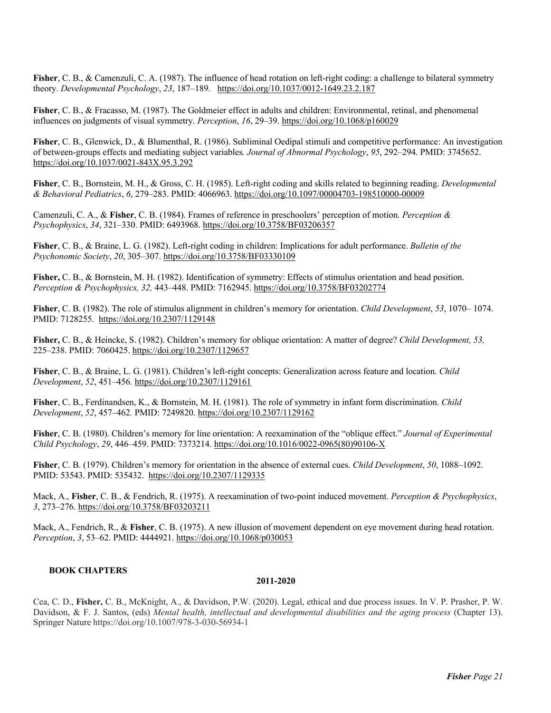**Fisher**, C. B., & Camenzuli, C. A. (1987). The influence of head rotation on left-right coding: a challenge to bilateral symmetry theory. *Developmental Psychology*, *23*, 187–189. https://doi.org/10.1037/0012-1649.23.2.187

**Fisher**, C. B., & Fracasso, M. (1987). The Goldmeier effect in adults and children: Environmental, retinal, and phenomenal influences on judgments of visual symmetry. *Perception*, *16*, 29–39. https://doi.org/10.1068/p160029

**Fisher**, C. B., Glenwick, D., & Blumenthal, R. (1986). Subliminal Oedipal stimuli and competitive performance: An investigation of between-groups effects and mediating subject variables*. Journal of Abnormal Psychology*, *95*, 292–294. PMID: 3745652. https://doi.org/10.1037/0021-843X.95.3.292

**Fisher**, C. B., Bornstein, M. H., & Gross, C. H. (1985). Left-right coding and skills related to beginning reading. *Developmental & Behavioral Pediatrics*, *6*, 279–283. PMID: 4066963. https://doi.org/10.1097/00004703-198510000-00009

Camenzuli, C. A., & **Fisher**, C. B. (1984). Frames of reference in preschoolers' perception of motion*. Perception & Psychophysics*, *34*, 321–330. PMID: 6493968. https://doi.org/10.3758/BF03206357

**Fisher**, C. B., & Braine, L. G. (1982). Left-right coding in children: Implications for adult performance. *Bulletin of the Psychonomic Society*, *20*, 305–307. https://doi.org/10.3758/BF03330109

**Fisher,** C. B., & Bornstein, M. H. (1982). Identification of symmetry: Effects of stimulus orientation and head position. *Perception & Psychophysics, 32,* 443–448. PMID: 7162945. https://doi.org/10.3758/BF03202774

**Fisher**, C. B. (1982). The role of stimulus alignment in children's memory for orientation. *Child Development*, *53*, 1070– 1074. PMID: 7128255. https://doi.org/10.2307/1129148

**Fisher,** C. B., & Heincke, S. (1982). Children's memory for oblique orientation: A matter of degree? *Child Development, 53,*  225–238. PMID: 7060425. https://doi.org/10.2307/1129657

**Fisher**, C. B., & Braine, L. G. (1981). Children's left-right concepts: Generalization across feature and location. *Child Development*, *52*, 451–456*.* https://doi.org/10.2307/1129161

**Fisher**, C. B., Ferdinandsen, K., & Bornstein, M. H. (1981)*.* The role of symmetry in infant form discrimination. *Child Development*, *52*, 457–462*.* PMID: 7249820. https://doi.org/10.2307/1129162

**Fisher**, C. B. (1980). Children's memory for line orientation: A reexamination of the "oblique effect." *Journal of Experimental Child Psychology*, *29*, 446–459. PMID: 7373214. https://doi.org/10.1016/0022-0965(80)90106-X

**Fisher**, C. B. (1979). Children's memory for orientation in the absence of external cues. *Child Development*, *50*, 1088–1092. PMID: 53543. PMID: 535432. https://doi.org/10.2307/1129335

Mack, A., **Fisher**, C. B., & Fendrich, R. (1975). A reexamination of two-point induced movement. *Perception & Psychophysics*, *3*, 273–276. https://doi.org/10.3758/BF03203211

Mack, A., Fendrich, R., & **Fisher**, C. B. (1975). A new illusion of movement dependent on eye movement during head rotation. *Perception*, *3*, 53–62. PMID: 4444921. https://doi.org/10.1068/p030053

## **BOOK CHAPTERS**

#### **2011-2020**

Cea, C. D., **Fisher,** C. B., McKnight, A., & Davidson, P.W. (2020). Legal, ethical and due process issues. In V. P. Prasher, P. W. Davidson, & F. J. Santos, (eds) *Mental health, intellectual and developmental disabilities and the aging process* (Chapter 13). Springer Nature https://doi.org/10.1007/978-3-030-56934-1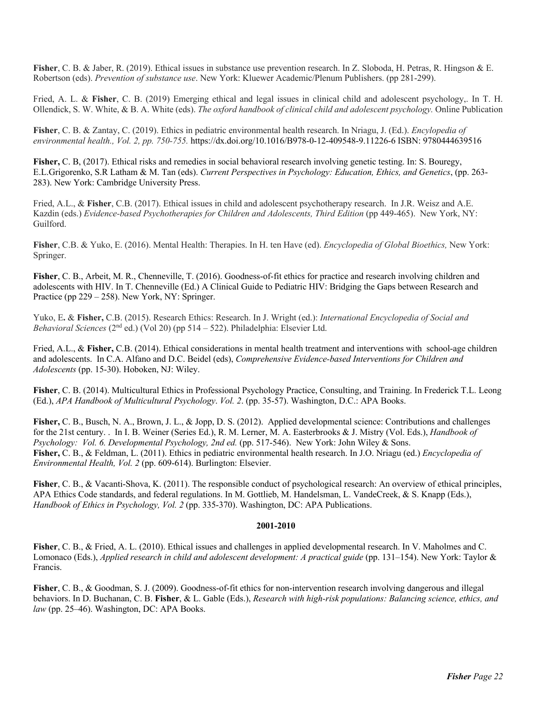**Fisher**, C. B. & Jaber, R. (2019). Ethical issues in substance use prevention research. In Z. Sloboda, H. Petras, R. Hingson & E. Robertson (eds). *Prevention of substance use*. New York: Kluewer Academic/Plenum Publishers. (pp 281-299).

Fried, A. L. & **Fisher**, C. B. (2019) Emerging ethical and legal issues in clinical child and adolescent psychology,. In T. H. Ollendick, S. W. White, & B. A. White (eds). *The oxford handbook of clinical child and adolescent psychology.* Online Publication

**Fisher**, C. B. & Zantay, C. (2019). Ethics in pediatric environmental health research. In Nriagu, J. (Ed.). *Encylopedia of environmental health., Vol. 2, pp. 750-755.* https://dx.doi.org/10.1016/B978-0-12-409548-9.11226-6 ISBN: 9780444639516

**Fisher,** C. B, (2017). Ethical risks and remedies in social behavioral research involving genetic testing. In: S. Bouregy, E.L.Grigorenko, S.R Latham & M. Tan (eds). *Current Perspectives in Psychology: Education, Ethics, and Genetics*, (pp. 263- 283). New York: Cambridge University Press.

Fried, A.L., & **Fisher**, C.B. (2017). Ethical issues in child and adolescent psychotherapy research. In J.R. Weisz and A.E. Kazdin (eds.) *Evidence-based Psychotherapies for Children and Adolescents, Third Edition* (pp 449-465). New York, NY: Guilford.

**Fisher**, C.B. & Yuko, E. (2016). Mental Health: Therapies. In H. ten Have (ed). *Encyclopedia of Global Bioethics,* New York: Springer.

**Fisher**, C. B., Arbeit, M. R., Chenneville, T. (2016). Goodness-of-fit ethics for practice and research involving children and adolescents with HIV. In T. Chenneville (Ed.) A Clinical Guide to Pediatric HIV: Bridging the Gaps between Research and Practice (pp 229 – 258). New York, NY: Springer.

Yuko, E**.** & **Fisher,** C.B. (2015). Research Ethics: Research. In J. Wright (ed.): *International Encyclopedia of Social and Behavioral Sciences* (2nd ed.) (Vol 20) (pp 514 – 522). Philadelphia: Elsevier Ltd.

Fried, A.L., & **Fisher,** C.B. (2014). Ethical considerations in mental health treatment and interventions with school-age children and adolescents. In C.A. Alfano and D.C. Beidel (eds), *Comprehensive Evidence-based Interventions for Children and Adolescents* (pp. 15-30). Hoboken, NJ: Wiley.

**Fisher**, C. B. (2014). Multicultural Ethics in Professional Psychology Practice, Consulting, and Training. In Frederick T.L. Leong (Ed.), *APA Handbook of Multicultural Psychology*. *Vol. 2*. (pp. 35-57). Washington, D.C.: APA Books.

**Fisher,** C. B., Busch, N. A., Brown, J. L., & Jopp, D. S. (2012). Applied developmental science: Contributions and challenges for the 21st century. . In I. B. Weiner (Series Ed.), R. M. Lerner, M. A. Easterbrooks & J. Mistry (Vol. Eds.), *Handbook of*  Psychology: Vol. 6. Developmental Psychology, 2nd ed. (pp. 517-546). New York: John Wiley & Sons. **Fisher,** C. B., & Feldman, L. (2011). Ethics in pediatric environmental health research. In J.O. Nriagu (ed.) *Encyclopedia of Environmental Health, Vol. 2* (pp. 609-614). Burlington: Elsevier.

**Fisher**, C. B., & Vacanti-Shova, K. (2011). The responsible conduct of psychological research: An overview of ethical principles, APA Ethics Code standards, and federal regulations. In M. Gottlieb, M. Handelsman, L. VandeCreek, & S. Knapp (Eds.), *Handbook of Ethics in Psychology, Vol. 2* (pp. 335-370). Washington, DC: APA Publications.

### **2001-2010**

**Fisher**, C. B., & Fried, A. L. (2010). Ethical issues and challenges in applied developmental research. In V. Maholmes and C. Lomonaco (Eds.), *Applied research in child and adolescent development: A practical guide* (pp. 131–154). New York: Taylor & Francis.

**Fisher**, C. B., & Goodman, S. J. (2009). Goodness-of-fit ethics for non-intervention research involving dangerous and illegal behaviors. In D. Buchanan, C. B. **Fisher**, & L. Gable (Eds.), *Research with high-risk populations: Balancing science, ethics, and law* (pp. 25–46). Washington, DC: APA Books.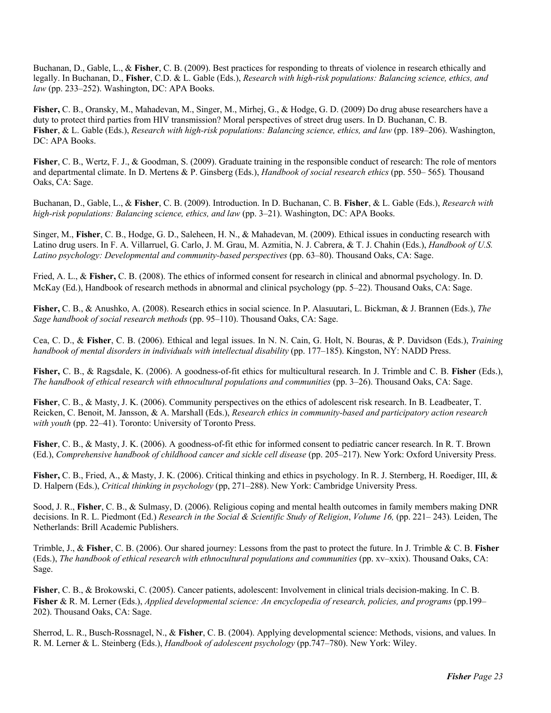Buchanan, D., Gable, L., & **Fisher**, C. B. (2009). Best practices for responding to threats of violence in research ethically and legally. In Buchanan, D., **Fisher**, C.D. & L. Gable (Eds.), *Research with high-risk populations: Balancing science, ethics, and law* (pp. 233–252). Washington, DC: APA Books.

**Fisher,** C. B., Oransky, M., Mahadevan, M., Singer, M., Mirhej, G., & Hodge, G. D. (2009) Do drug abuse researchers have a duty to protect third parties from HIV transmission? Moral perspectives of street drug users. In D. Buchanan, C. B. **Fisher**, & L. Gable (Eds.), *Research with high-risk populations: Balancing science, ethics, and law* (pp. 189–206). Washington, DC: APA Books.

**Fisher**, C. B., Wertz, F. J., & Goodman, S. (2009). Graduate training in the responsible conduct of research: The role of mentors and departmental climate. In D. Mertens & P. Ginsberg (Eds.), *Handbook of social research ethics* (pp. 550– 565)*.* Thousand Oaks, CA: Sage.

Buchanan, D., Gable, L., & **Fisher**, C. B. (2009). Introduction. In D. Buchanan, C. B. **Fisher**, & L. Gable (Eds.), *Research with high-risk populations: Balancing science, ethics, and law (pp. 3–21). Washington, DC: APA Books.* 

Singer, M., **Fisher**, C. B., Hodge, G. D., Saleheen, H. N., & Mahadevan, M. (2009). Ethical issues in conducting research with Latino drug users. In F. A. Villarruel, G. Carlo, J. M. Grau, M. Azmitia, N. J. Cabrera, & T. J. Chahin (Eds.), *Handbook of U.S.*  Latino psychology: Developmental and community-based perspectives (pp. 63–80). Thousand Oaks, CA: Sage.

Fried, A. L., & **Fisher,** C. B. (2008). The ethics of informed consent for research in clinical and abnormal psychology. In. D. McKay (Ed.), Handbook of research methods in abnormal and clinical psychology (pp. 5–22). Thousand Oaks, CA: Sage.

**Fisher,** C. B., & Anushko, A. (2008). Research ethics in social science. In P. Alasuutari, L. Bickman, & J. Brannen (Eds.), *The Sage handbook of social research methods* (pp. 95–110). Thousand Oaks, CA: Sage.

Cea, C. D., & **Fisher**, C. B. (2006). Ethical and legal issues. In N. N. Cain, G. Holt, N. Bouras, & P. Davidson (Eds.), *Training handbook of mental disorders in individuals with intellectual disability* (pp. 177–185). Kingston, NY: NADD Press.

**Fisher,** C. B., & Ragsdale, K. (2006). A goodness-of-fit ethics for multicultural research. In J. Trimble and C. B. **Fisher** (Eds.), *The handbook of ethical research with ethnocultural populations and communities* (pp. 3–26). Thousand Oaks, CA: Sage.

**Fisher**, C. B., & Masty, J. K. (2006). Community perspectives on the ethics of adolescent risk research. In B. Leadbeater, T. Reicken, C. Benoit, M. Jansson, & A. Marshall (Eds.), *Research ethics in community-based and participatory action research with youth* (pp. 22–41). Toronto: University of Toronto Press.

**Fisher**, C. B., & Masty, J. K. (2006). A goodness-of-fit ethic for informed consent to pediatric cancer research. In R. T. Brown (Ed.), *Comprehensive handbook of childhood cancer and sickle cell disease* (pp. 205–217). New York: Oxford University Press.

**Fisher,** C. B., Fried, A., & Masty, J. K. (2006). Critical thinking and ethics in psychology. In R. J. Sternberg, H. Roediger, III, & D. Halpern (Eds.), *Critical thinking in psychology* (pp, 271–288). New York: Cambridge University Press.

Sood, J. R., **Fisher**, C. B., & Sulmasy, D. (2006). Religious coping and mental health outcomes in family members making DNR decisions. In R. L. Piedmont (Ed.) *Research in the Social & Scientific Study of Religion*, *Volume 16,* (pp. 221– 243)*.* Leiden, The Netherlands: Brill Academic Publishers.

Trimble, J., & **Fisher**, C. B. (2006). Our shared journey: Lessons from the past to protect the future. In J. Trimble & C. B. **Fisher** (Eds.), *The handbook of ethical research with ethnocultural populations and communities* (pp. xv–xxix). Thousand Oaks, CA: Sage.

**Fisher**, C. B., & Brokowski, C. (2005). Cancer patients, adolescent: Involvement in clinical trials decision-making. In C. B. **Fisher** & R. M. Lerner (Eds.), *Applied developmental science: An encyclopedia of research, policies, and programs* (pp.199– 202). Thousand Oaks, CA: Sage.

Sherrod, L. R., Busch-Rossnagel, N., & **Fisher**, C. B. (2004). Applying developmental science: Methods, visions, and values. In R. M. Lerner & L. Steinberg (Eds.), *Handbook of adolescent psychology* (pp.747–780). New York: Wiley.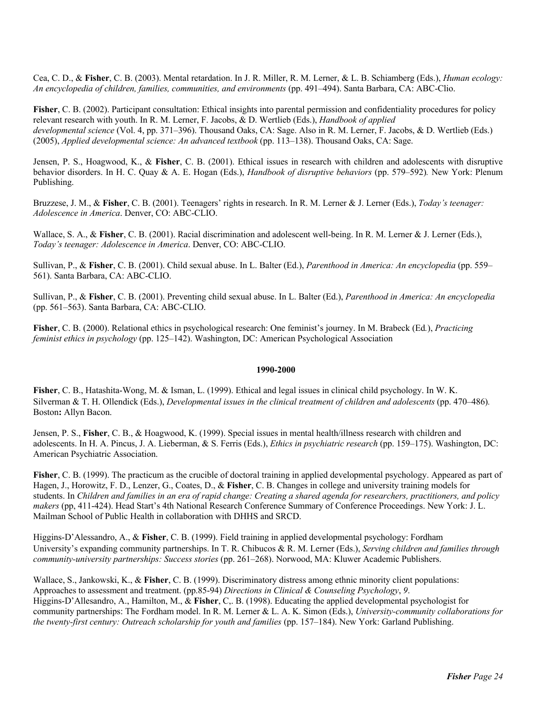Cea, C. D., & **Fisher**, C. B. (2003). Mental retardation. In J. R. Miller, R. M. Lerner, & L. B. Schiamberg (Eds.), *Human ecology: An encyclopedia of children, families, communities, and environments* (pp. 491–494). Santa Barbara, CA: ABC-Clio.

**Fisher**, C. B. (2002). Participant consultation: Ethical insights into parental permission and confidentiality procedures for policy relevant research with youth. In R. M. Lerner, F. Jacobs, & D. Wertlieb (Eds.), *Handbook of applied developmental science* (Vol. 4, pp. 371–396). Thousand Oaks, CA: Sage. Also in R. M. Lerner, F. Jacobs, & D. Wertlieb (Eds.) (2005), *Applied developmental science: An advanced textbook* (pp. 113–138). Thousand Oaks, CA: Sage.

Jensen, P. S., Hoagwood, K., & **Fisher**, C. B. (2001). Ethical issues in research with children and adolescents with disruptive behavior disorders. In H. C. Quay & A. E. Hogan (Eds.), *Handbook of disruptive behaviors* (pp. 579–592)*.* New York: Plenum Publishing.

Bruzzese, J. M., & **Fisher**, C. B. (2001). Teenagers' rights in research. In R. M. Lerner & J. Lerner (Eds.), *Today's teenager: Adolescence in America*. Denver, CO: ABC-CLIO.

Wallace, S. A., & **Fisher**, C. B. (2001). Racial discrimination and adolescent well-being. In R. M. Lerner & J. Lerner (Eds.), *Today's teenager: Adolescence in America*. Denver, CO: ABC-CLIO.

Sullivan, P., & **Fisher**, C. B. (2001). Child sexual abuse. In L. Balter (Ed.), *Parenthood in America: An encyclopedia* (pp. 559– 561). Santa Barbara, CA: ABC-CLIO.

Sullivan, P., & **Fisher**, C. B. (2001). Preventing child sexual abuse. In L. Balter (Ed.), *Parenthood in America: An encyclopedia* (pp. 561–563). Santa Barbara, CA: ABC-CLIO.

**Fisher**, C. B. (2000). Relational ethics in psychological research: One feminist's journey. In M. Brabeck (Ed*.*), *Practicing feminist ethics in psychology* (pp. 125–142). Washington, DC: American Psychological Association

#### **1990-2000**

**Fisher**, C. B., Hatashita-Wong, M. & Isman, L. (1999). Ethical and legal issues in clinical child psychology. In W. K. Silverman & T. H. Ollendick (Eds.), *Developmental issues in the clinical treatment of children and adolescents* (pp. 470–486)*.*  Boston**:** Allyn Bacon.

Jensen, P. S., **Fisher**, C. B., & Hoagwood, K. (1999). Special issues in mental health/illness research with children and adolescents. In H. A. Pincus, J. A. Lieberman, & S. Ferris (Eds.), *Ethics in psychiatric research* (pp. 159–175). Washington, DC: American Psychiatric Association.

**Fisher**, C. B. (1999). The practicum as the crucible of doctoral training in applied developmental psychology. Appeared as part of Hagen, J., Horowitz, F. D., Lenzer, G., Coates, D., & **Fisher**, C. B. Changes in college and university training models for students. In *Children and families in an era of rapid change: Creating a shared agenda for researchers, practitioners, and policy makers* (pp, 411-424). Head Start's 4th National Research Conference Summary of Conference Proceedings. New York: J. L. Mailman School of Public Health in collaboration with DHHS and SRCD.

Higgins-D'Alessandro, A., & **Fisher**, C. B. (1999). Field training in applied developmental psychology: Fordham University's expanding community partnerships. In T. R. Chibucos & R. M. Lerner (Eds.), *Serving children and families through community-university partnerships: Success stories* (pp. 261–268). Norwood, MA: Kluwer Academic Publishers.

Wallace, S., Jankowski, K., & **Fisher**, C. B. (1999). Discriminatory distress among ethnic minority client populations: Approaches to assessment and treatment. (pp.85-94) *Directions in Clinical & Counseling Psychology*, *9*. Higgins-D'Allesandro, A., Hamilton, M., & **Fisher**, C,. B. (1998). Educating the applied developmental psychologist for community partnerships: The Fordham model. In R. M. Lerner & L. A. K. Simon (Eds.), *University-community collaborations for the twenty-first century: Outreach scholarship for youth and families* (pp. 157–184). New York: Garland Publishing.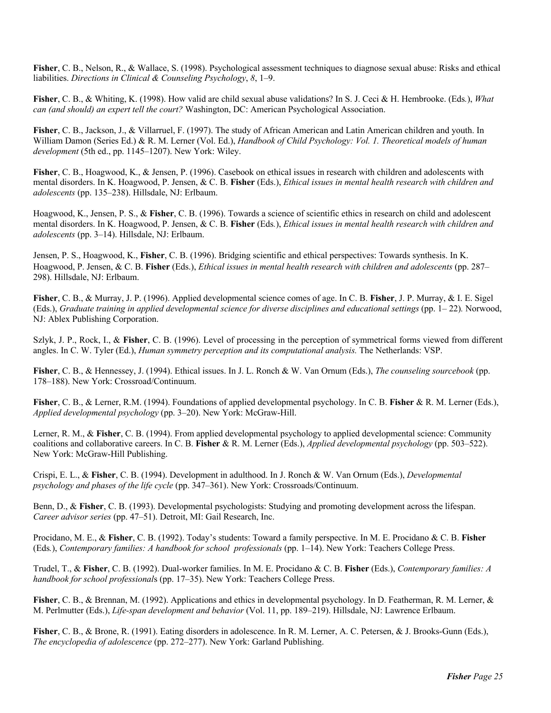**Fisher**, C. B., Nelson, R., & Wallace, S. (1998). Psychological assessment techniques to diagnose sexual abuse: Risks and ethical liabilities. *Directions in Clinical & Counseling Psychology*, *8*, 1–9.

**Fisher**, C. B., & Whiting, K. (1998). How valid are child sexual abuse validations? In S. J. Ceci & H. Hembrooke. (Eds*.*), *What can (and should) an expert tell the court?* Washington, DC: American Psychological Association.

**Fisher**, C. B., Jackson, J., & Villarruel, F. (1997). The study of African American and Latin American children and youth. In William Damon (Series Ed.) & R. M. Lerner (Vol. Ed.), *Handbook of Child Psychology: Vol. 1. Theoretical models of human development* (5th ed., pp. 1145–1207). New York: Wiley.

**Fisher**, C. B., Hoagwood, K., & Jensen, P. (1996). Casebook on ethical issues in research with children and adolescents with mental disorders. In K. Hoagwood, P. Jensen, & C. B. **Fisher** (Eds.), *Ethical issues in mental health research with children and adolescents* (pp. 135–238). Hillsdale, NJ: Erlbaum.

Hoagwood, K., Jensen, P. S., & **Fisher**, C. B. (1996). Towards a science of scientific ethics in research on child and adolescent mental disorders. In K. Hoagwood, P. Jensen, & C. B. **Fisher** (Eds*.*), *Ethical issues in mental health research with children and adolescents* (pp. 3–14). Hillsdale, NJ: Erlbaum.

Jensen, P. S., Hoagwood, K., **Fisher**, C. B. (1996). Bridging scientific and ethical perspectives: Towards synthesis. In K. Hoagwood, P. Jensen, & C. B. **Fisher** (Eds.), *Ethical issues in mental health research with children and adolescents* (pp. 287– 298). Hillsdale, NJ: Erlbaum.

**Fisher**, C. B., & Murray, J. P. (1996). Applied developmental science comes of age. In C. B. **Fisher**, J. P. Murray, & I. E. Sigel (Eds.), *Graduate training in applied developmental science for diverse disciplines and educational settings* (pp. 1– 22)*.* Norwood, NJ: Ablex Publishing Corporation.

Szlyk, J. P., Rock, I., & **Fisher**, C. B. (1996). Level of processing in the perception of symmetrical forms viewed from different angles. In C. W. Tyler (Ed.), *Human symmetry perception and its computational analysis.* The Netherlands: VSP.

**Fisher**, C. B., & Hennessey, J. (1994). Ethical issues. In J. L. Ronch & W. Van Ornum (Eds.), *The counseling sourcebook* (pp. 178–188). New York: Crossroad/Continuum.

**Fisher**, C. B., & Lerner, R.M. (1994). Foundations of applied developmental psychology. In C. B. **Fisher** & R. M. Lerner (Eds.), *Applied developmental psychology* (pp. 3–20). New York: McGraw-Hill.

Lerner, R. M., & **Fisher**, C. B. (1994). From applied developmental psychology to applied developmental science: Community coalitions and collaborative careers. In C. B. **Fisher** & R. M. Lerner (Eds.), *Applied developmental psychology* (pp. 503–522). New York: McGraw-Hill Publishing.

Crispi, E. L., & **Fisher**, C. B. (1994). Development in adulthood. In J. Ronch & W. Van Ornum (Eds.), *Developmental psychology and phases of the life cycle* (pp. 347–361). New York: Crossroads/Continuum.

Benn, D., & **Fisher**, C. B. (1993). Developmental psychologists: Studying and promoting development across the lifespan. *Career advisor series* (pp. 47–51). Detroit, MI: Gail Research, Inc.

Procidano, M. E., & **Fisher**, C. B. (1992). Today's students: Toward a family perspective. In M. E. Procidano & C. B. **Fisher** (Eds*.*), *Contemporary families: A handbook for school professionals* (pp. 1–14). New York: Teachers College Press.

Trudel, T., & **Fisher**, C. B. (1992). Dual-worker families. In M. E. Procidano & C. B. **Fisher** (Eds.), *Contemporary families: A handbook for school professional*s (pp. 17–35). New York: Teachers College Press.

**Fisher**, C. B., & Brennan, M. (1992). Applications and ethics in developmental psychology. In D. Featherman, R. M. Lerner, & M. Perlmutter (Eds.), *Life-span development and behavior* (Vol. 11, pp. 189–219). Hillsdale, NJ: Lawrence Erlbaum.

**Fisher**, C. B., & Brone, R. (1991). Eating disorders in adolescence. In R. M. Lerner, A. C. Petersen, & J. Brooks-Gunn (Eds.), *The encyclopedia of adolescence* (pp. 272–277). New York: Garland Publishing.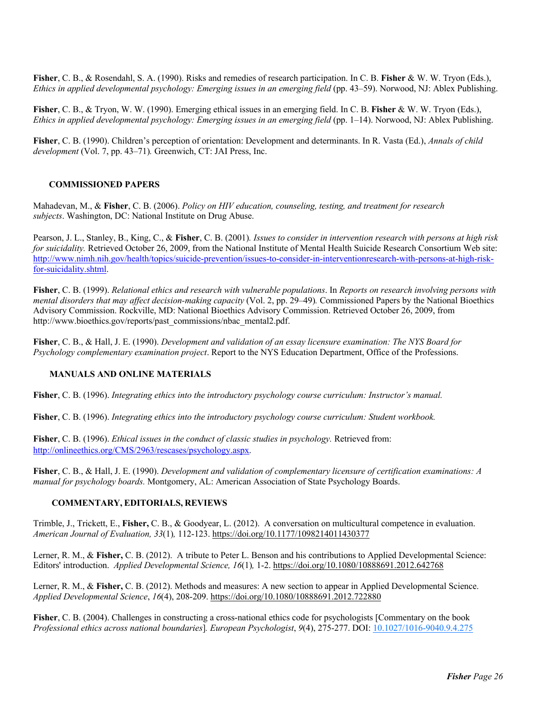**Fisher**, C. B., & Rosendahl, S. A. (1990). Risks and remedies of research participation. In C. B. **Fisher** & W. W. Tryon (Eds.), *Ethics in applied developmental psychology: Emerging issues in an emerging field* (pp. 43–59). Norwood, NJ: Ablex Publishing.

**Fisher**, C. B., & Tryon, W. W. (1990). Emerging ethical issues in an emerging field. In C. B. **Fisher** & W. W. Tryon (Eds.), *Ethics in applied developmental psychology: Emerging issues in an emerging field* (pp. 1–14). Norwood, NJ: Ablex Publishing.

**Fisher**, C. B. (1990). Children's perception of orientation: Development and determinants. In R. Vasta (Ed.), *Annals of child development* (Vol. 7, pp. 43–71)*.* Greenwich, CT: JAI Press, Inc.

# **COMMISSIONED PAPERS**

Mahadevan, M., & **Fisher**, C. B. (2006). *Policy on HIV education, counseling, testing, and treatment for research subjects*. Washington, DC: National Institute on Drug Abuse.

Pearson, J. L., Stanley, B., King, C., & **Fisher**, C. B. (2001)*. Issues to consider in intervention research with persons at high risk for suicidality.* Retrieved October 26, 2009, from the National Institute of Mental Health Suicide Research Consortium Web site: http://www.nimh.nih.gov/health/topics/suicide-prevention/issues-to-consider-in-interventionresearch-with-persons-at-high-riskfor-suicidality.shtml.

**Fisher**, C. B. (1999). *Relational ethics and research with vulnerable populations*. In *Reports on research involving persons with mental disorders that may affect decision-making capacity* (Vol. 2, pp. 29–49)*.* Commissioned Papers by the National Bioethics Advisory Commission. Rockville, MD: National Bioethics Advisory Commission. Retrieved October 26, 2009, from http://www.bioethics.gov/reports/past\_commissions/nbac\_mental2.pdf.

**Fisher**, C. B., & Hall, J. E. (1990). *Development and validation of an essay licensure examination: The NYS Board for Psychology complementary examination project*. Report to the NYS Education Department, Office of the Professions.

# **MANUALS AND ONLINE MATERIALS**

**Fisher**, C. B. (1996). *Integrating ethics into the introductory psychology course curriculum: Instructor's manual.*

**Fisher**, C. B. (1996). *Integrating ethics into the introductory psychology course curriculum: Student workbook.* 

**Fisher**, C. B. (1996). *Ethical issues in the conduct of classic studies in psychology.* Retrieved from: http://onlineethics.org/CMS/2963/rescases/psychology.aspx.

**Fisher**, C. B., & Hall, J. E. (1990). *Development and validation of complementary licensure of certification examinations: A manual for psychology boards.* Montgomery, AL: American Association of State Psychology Boards.

# **COMMENTARY, EDITORIALS, REVIEWS**

Trimble, J., Trickett, E., **Fisher,** C. B., & Goodyear, L. (2012). A conversation on multicultural competence in evaluation. *American Journal of Evaluation, 33*(1)*,* 112-123. https://doi.org/10.1177/1098214011430377

Lerner, R. M., & Fisher, C. B. (2012). A tribute to Peter L. Benson and his contributions to Applied Developmental Science: Editors' introduction. *Applied Developmental Science, 16*(1)*,* 1-2. https://doi.org/10.1080/10888691.2012.642768

Lerner, R. M., & **Fisher,** C. B. (2012). Methods and measures: A new section to appear in Applied Developmental Science. *Applied Developmental Science*, *16*(4), 208-209. https://doi.org/10.1080/10888691.2012.722880

**Fisher**, C. B. (2004). Challenges in constructing a cross-national ethics code for psychologists [Commentary on the book *Professional ethics across national boundaries*]*. European Psychologist*, *9*(4), 275-277. DOI: 10.1027/1016-9040.9.4.275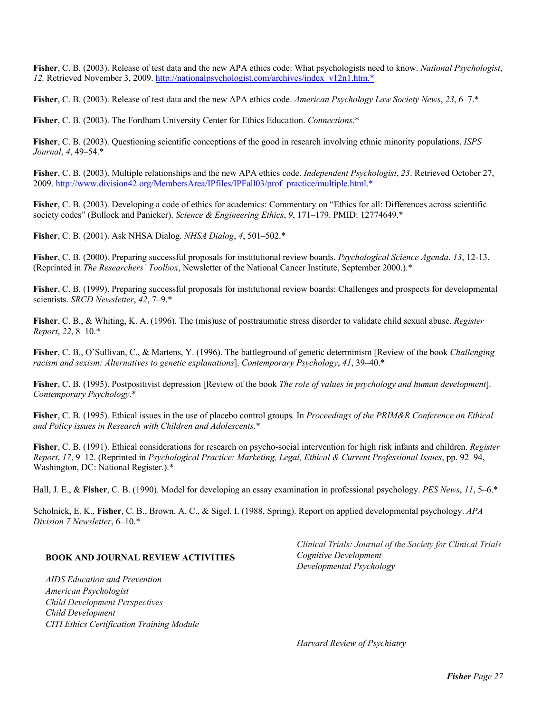**Fisher**, C. B. (2003). Release of test data and the new APA ethics code: What psychologists need to know. *National Psychologist*, *12.* Retrieved November 3, 2009. http://nationalpsychologist.com/archives/index\_v12n1.htm.\*

**Fisher**, C. B. (2003). Release of test data and the new APA ethics code. *American Psychology Law Society News*, *23*, 6–7.\*

**Fisher**, C. B. (2003). The Fordham University Center for Ethics Education. *Connections*.\*

**Fisher**, C. B. (2003). Questioning scientific conceptions of the good in research involving ethnic minority populations. *ISPS Journal*, *4*, 49–54.\*

**Fisher**, C. B. (2003). Multiple relationships and the new APA ethics code. *Independent Psychologist*, *23*. Retrieved October 27, 2009. http://www.division42.org/MembersArea/IPfiles/IPFall03/prof\_practice/multiple.html.\*

**Fisher**, C. B. (2003). Developing a code of ethics for academics: Commentary on "Ethics for all: Differences across scientific society codes" (Bullock and Panicker). *Science & Engineering Ethics*, *9*, 171–179. PMID: 12774649.\*

**Fisher**, C. B. (2001). Ask NHSA Dialog. *NHSA Dialog*, *4*, 501–502.\*

**Fisher**, C. B. (2000). Preparing successful proposals for institutional review boards. *Psychological Science Agenda*, *13*, 12-13. (Reprinted in *The Researchers' Toolbox*, Newsletter of the National Cancer Institute, September 2000.).\*

**Fisher**, C. B. (1999). Preparing successful proposals for institutional review boards: Challenges and prospects for developmental scientists. *SRCD Newsletter*, *42*, 7–9.\*

**Fisher**, C. B., & Whiting, K. A. (1996). The (mis)use of posttraumatic stress disorder to validate child sexual abuse. *Register Report*, *22*, 8–10.\*

**Fisher**, C. B., O'Sullivan, C., & Martens, Y. (1996). The battleground of genetic determinism [Review of the book *Challenging racism and sexism: Alternatives to genetic explanations*]. *Contemporary Psychology*, *41*, 39–40.\*

**Fisher**, C. B. (1995). Postpositivist depression [Review of the book *The role of values in psychology and human development*]. *Contemporary Psychology*.\*

**Fisher**, C. B. (1995). Ethical issues in the use of placebo control groups*.* In *Proceedings of the PRIM&R Conference on Ethical and Policy issues in Research with Children and Adolescents*.\*

**Fisher**, C. B. (1991). Ethical considerations for research on psycho-social intervention for high risk infants and children. *Register Report*, *17*, 9–12. (Reprinted in *Psychological Practice: Marketing, Legal, Ethical & Current Professional Issues*, pp. 92–94, Washington, DC: National Register.).\*

Hall, J. E., & **Fisher**, C. B. (1990). Model for developing an essay examination in professional psychology. *PES News*, *11*, 5–6.\*

Scholnick, E. K., **Fisher**, C. B., Brown, A. C., & Sigel, I. (1988, Spring). Report on applied developmental psychology. *APA Division 7 Newsletter*, 6–10.\*

#### **BOOK AND JOURNAL REVIEW ACTIVITIES**

*AIDS Education and Prevention American Psychologist Child Development Perspectives Child Development CITI Ethics Certification Training Module* 

*Clinical Trials: Journal of the Society for Clinical Trials Cognitive Development Developmental Psychology* 

*Harvard Review of Psychiatry*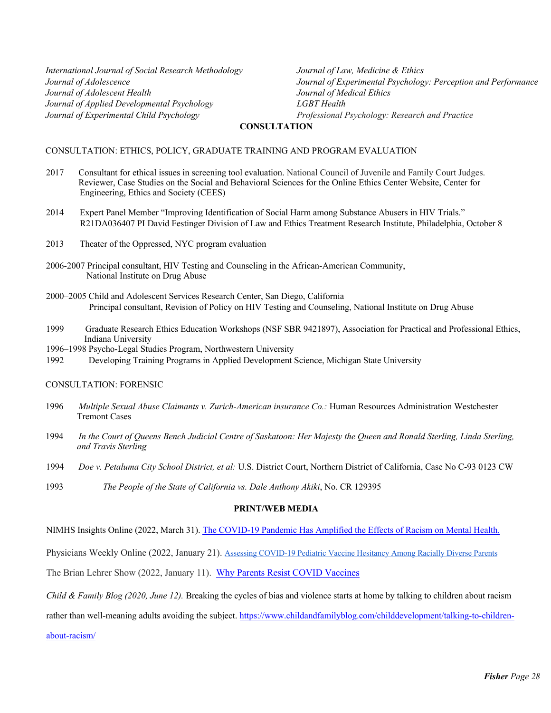*International Journal of Social Research Methodology Journal of Adolescence Journal of Adolescent Health Journal of Applied Developmental Psychology Journal of Experimental Child Psychology* 

*Journal of Law, Medicine & Ethics Journal of Experimental Psychology: Perception and Performance Journal of Medical Ethics LGBT Health Professional Psychology: Research and Practice*

#### **CONSULTATION**

#### CONSULTATION: ETHICS, POLICY, GRADUATE TRAINING AND PROGRAM EVALUATION

- 2017 Consultant for ethical issues in screening tool evaluation. National Council of Juvenile and Family Court Judges. Reviewer, Case Studies on the Social and Behavioral Sciences for the Online Ethics Center Website, Center for Engineering, Ethics and Society (CEES)
- 2014 Expert Panel Member "Improving Identification of Social Harm among Substance Abusers in HIV Trials." R21DA036407 PI David Festinger Division of Law and Ethics Treatment Research Institute, Philadelphia, October 8
- 2013 Theater of the Oppressed, NYC program evaluation
- 2006-2007 Principal consultant, HIV Testing and Counseling in the African-American Community, National Institute on Drug Abuse
- 2000–2005 Child and Adolescent Services Research Center, San Diego, California Principal consultant, Revision of Policy on HIV Testing and Counseling, National Institute on Drug Abuse
- 1999 Graduate Research Ethics Education Workshops (NSF SBR 9421897), Association for Practical and Professional Ethics, Indiana University
- 1996–1998 Psycho-Legal Studies Program, Northwestern University

1992 Developing Training Programs in Applied Development Science, Michigan State University

#### CONSULTATION: FORENSIC

- 1996 *Multiple Sexual Abuse Claimants v. Zurich-American insurance Co.:* Human Resources Administration Westchester Tremont Cases
- 1994 *In the Court of Queens Bench Judicial Centre of Saskatoon: Her Majesty the Queen and Ronald Sterling, Linda Sterling, and Travis Sterling*
- 1994 *Doe v. Petaluma City School District, et al:* U.S. District Court, Northern District of California, Case No C-93 0123 CW
- 1993 *The People of the State of California vs. Dale Anthony Akiki*, No. CR 129395

#### **PRINT/WEB MEDIA**

NIMHS Insights Online (2022, March 31). The COVID-19 Pandemic Has Amplified the Effects of Racism on Mental Health.

Physicians Weekly Online (2022, January 21). Assessing COVID-19 Pediatric Vaccine Hesitancy Among Racially Diverse Parents

The Brian Lehrer Show (2022, January 11). Why Parents Resist COVID Vaccines

*Child & Family Blog (2020, June 12).* Breaking the cycles of bias and violence starts at home by talking to children about racism

rather than well-meaning adults avoiding the subject. https://www.childandfamilyblog.com/childdevelopment/talking-to-children-

about-racism/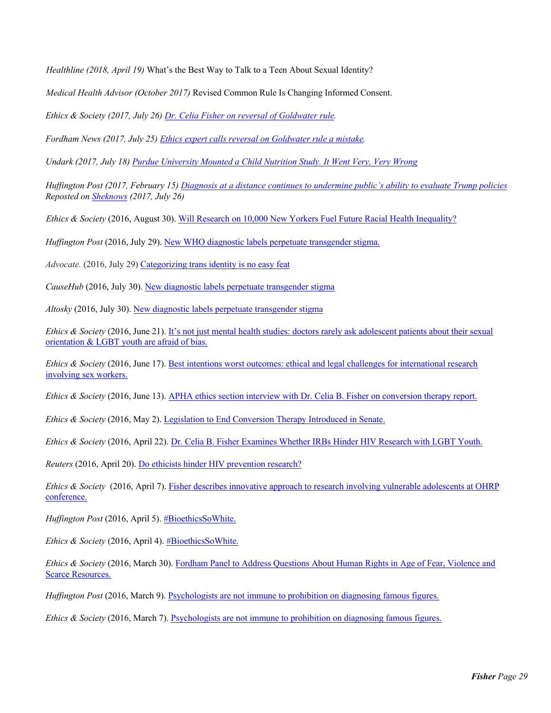*Healthline (2018, April 19)* What's the Best Way to Talk to a Teen About Sexual Identity?

*Medical Health Advisor (October 2017)* Revised Common Rule Is Changing Informed Consent.

*Ethics & Society (2017, July 26) Dr. Celia Fisher on reversal of Goldwater rule.*

*Fordham News (2017, July 25) Ethics expert calls reversal on Goldwater rule a mistake.*

*Undark (2017, July 18) Purdue University Mounted a Child Nutrition Study. It Went Very, Very Wrong*

*Huffington Post (2017, February 15) Diagnosis at a distance continues to undermine public's ability to evaluate Trump policies Reposted on Sheknows (2017, July 26)* 

*Ethics & Society* (2016, August 30). Will Research on 10,000 New Yorkers Fuel Future Racial Health Inequality?

*Huffington Post* (2016, July 29). New WHO diagnostic labels perpetuate transgender stigma.

*Advocate.* (2016, July 29) Categorizing trans identity is no easy feat

*CauseHub* (2016, July 30). New diagnostic labels perpetuate transgender stigma

*Altosky* (2016, July 30). New diagnostic labels perpetuate transgender stigma

*Ethics & Society* (2016, June 21). It's not just mental health studies: doctors rarely ask adolescent patients about their sexual orientation & LGBT youth are afraid of bias.

*Ethics & Society* (2016, June 17). Best intentions worst outcomes: ethical and legal challenges for international research involving sex workers.

*Ethics & Society* (2016, June 13). APHA ethics section interview with Dr. Celia B. Fisher on conversion therapy report.

*Ethics & Society* (2016, May 2). Legislation to End Conversion Therapy Introduced in Senate.

*Ethics & Society* (2016, April 22). Dr. Celia B. Fisher Examines Whether IRBs Hinder HIV Research with LGBT Youth.

*Reuters* (2016, April 20). Do ethicists hinder HIV prevention research?

*Ethics & Society* (2016, April 7). Fisher describes innovative approach to research involving vulnerable adolescents at OHRP conference.

*Huffington Post* (2016, April 5). #BioethicsSoWhite.

*Ethics & Society* (2016, April 4). #BioethicsSoWhite.

*Ethics & Society* (2016, March 30). Fordham Panel to Address Questions About Human Rights in Age of Fear, Violence and Scarce Resources.

*Huffington Post* (2016, March 9). Psychologists are not immune to prohibition on diagnosing famous figures.

*Ethics & Society* (2016, March 7). Psychologists are not immune to prohibition on diagnosing famous figures.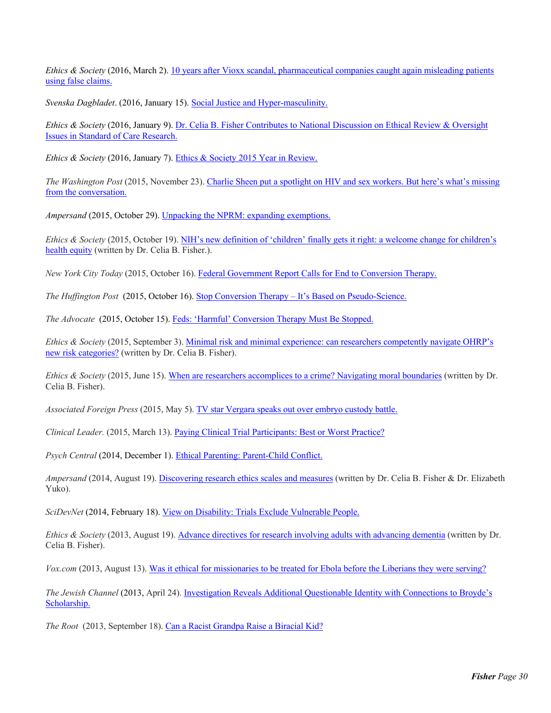*Ethics & Society* (2016, March 2). 10 years after Vioxx scandal, pharmaceutical companies caught again misleading patients using false claims.

*Svenska Dagbladet*. (2016, January 15). Social Justice and Hyper-masculinity.

*Ethics & Society* (2016, January 9). Dr. Celia B. Fisher Contributes to National Discussion on Ethical Review & Oversight Issues in Standard of Care Research.

*Ethics & Society* (2016, January 7). Ethics & Society 2015 Year in Review.

*The Washington Post* (2015, November 23). Charlie Sheen put a spotlight on HIV and sex workers. But here's what's missing from the conversation.

*Ampersand* (2015, October 29). Unpacking the NPRM: expanding exemptions.

*Ethics & Society* (2015, October 19). NIH's new definition of 'children' finally gets it right: a welcome change for children's health equity (written by Dr. Celia B. Fisher.).

*New York City Today* (2015, October 16). Federal Government Report Calls for End to Conversion Therapy.

*The Huffington Post* (2015, October 16). Stop Conversion Therapy – It's Based on Pseudo-Science.

*The Advocate* (2015, October 15). Feds: 'Harmful' Conversion Therapy Must Be Stopped.

*Ethics & Society* (2015, September 3). Minimal risk and minimal experience: can researchers competently navigate OHRP's new risk categories? (written by Dr. Celia B. Fisher).

*Ethics & Society* (2015, June 15). When are researchers accomplices to a crime? Navigating moral boundaries (written by Dr. Celia B. Fisher).

*Associated Foreign Press* (2015, May 5). TV star Vergara speaks out over embryo custody battle.

*Clinical Leader.* (2015, March 13). Paying Clinical Trial Participants: Best or Worst Practice?

*Psych Central* (2014, December 1). Ethical Parenting: Parent-Child Conflict.

*Ampersand* (2014, August 19). Discovering research ethics scales and measures (written by Dr. Celia B. Fisher & Dr. Elizabeth Yuko).

*SciDevNet* (2014, February 18). View on Disability: Trials Exclude Vulnerable People.

*Ethics & Society* (2013, August 19). Advance directives for research involving adults with advancing dementia (written by Dr. Celia B. Fisher).

*Vox.com* (2013, August 13). Was it ethical for missionaries to be treated for Ebola before the Liberians they were serving?

*The Jewish Channel* (2013, April 24). Investigation Reveals Additional Questionable Identity with Connections to Broyde's Scholarship.

*The Root* (2013, September 18). Can a Racist Grandpa Raise a Biracial Kid?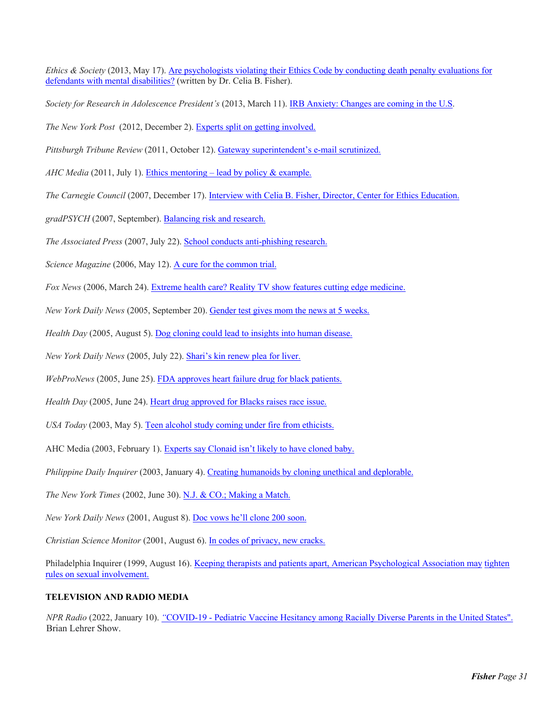*Ethics & Society* (2013, May 17). Are psychologists violating their Ethics Code by conducting death penalty evaluations for defendants with mental disabilities? (written by Dr. Celia B. Fisher).

*Society for Research in Adolescence President's* (2013, March 11). IRB Anxiety: Changes are coming in the U.S.

*The New York Post* (2012, December 2). Experts split on getting involved.

*Pittsburgh Tribune Review* (2011, October 12). Gateway superintendent's e-mail scrutinized.

*AHC Media* (2011, July 1). Ethics mentoring – lead by policy & example.

*The Carnegie Council* (2007, December 17). Interview with Celia B. Fisher, Director, Center for Ethics Education.

*gradPSYCH* (2007, September). Balancing risk and research.

*The Associated Press* (2007, July 22). School conducts anti-phishing research.

*Science Magazine* (2006, May 12). A cure for the common trial.

*Fox News* (2006, March 24). Extreme health care? Reality TV show features cutting edge medicine.

*New York Daily News* (2005, September 20). Gender test gives mom the news at 5 weeks.

*Health Day* (2005, August 5). Dog cloning could lead to insights into human disease.

*New York Daily News* (2005, July 22). Shari's kin renew plea for liver.

*WebProNews* (2005, June 25). FDA approves heart failure drug for black patients.

*Health Day* (2005, June 24). Heart drug approved for Blacks raises race issue.

*USA Today* (2003, May 5). Teen alcohol study coming under fire from ethicists.

AHC Media (2003, February 1). Experts say Clonaid isn't likely to have cloned baby.

*Philippine Daily Inquirer* (2003, January 4). Creating humanoids by cloning unethical and deplorable.

*The New York Times* (2002, June 30). N.J. & CO.; Making a Match.

*New York Daily News* (2001, August 8). Doc vows he'll clone 200 soon.

*Christian Science Monitor* (2001, August 6). In codes of privacy, new cracks.

Philadelphia Inquirer (1999, August 16). Keeping therapists and patients apart, American Psychological Association may tighten rules on sexual involvement.

# **TELEVISION AND RADIO MEDIA**

*NPR Radio* (2022, January 10). *"*COVID-19 - Pediatric Vaccine Hesitancy among Racially Diverse Parents in the United States". Brian Lehrer Show.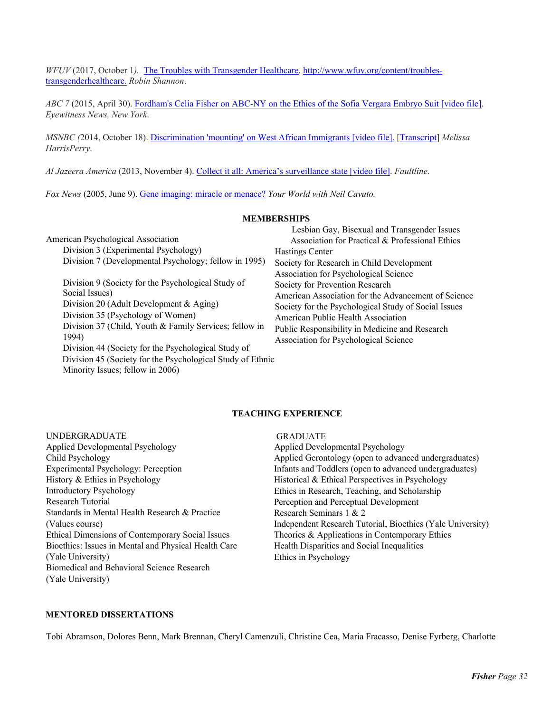*WFUV* (2017, October 1*).* The Troubles with Transgender Healthcare. http://www.wfuv.org/content/troublestransgenderhealthcare. *Robin Shannon*.

*ABC 7* (2015, April 30). Fordham's Celia Fisher on ABC-NY on the Ethics of the Sofia Vergara Embryo Suit [video file]. *Eyewitness News, New York*.

*MSNBC (*2014, October 18). Discrimination 'mounting' on West African Immigrants [video file]. [Transcript] *Melissa HarrisPerry*.

*Al Jazeera America* (2013, November 4). Collect it all: America's surveillance state [video file]. *Faultline*.

*Fox News* (2005, June 9). Gene imaging: miracle or menace? *Your World with Neil Cavuto.* 

#### **MEMBERSHIPS**

American Psychological Association Division 3 (Experimental Psychology) Division 7 (Developmental Psychology; fellow in 1995) Division 9 (Society for the Psychological Study of Social Issues) Division 20 (Adult Development & Aging) Division 35 (Psychology of Women) Division 37 (Child, Youth & Family Services; fellow in 1994) Division 44 (Society for the Psychological Study of Division 45 (Society for the Psychological Study of Ethnic Minority Issues; fellow in 2006)

| Lesbian Gay, Bisexual and Transgender Issues         |
|------------------------------------------------------|
| Association for Practical & Professional Ethics      |
| Hastings Center                                      |
| Society for Research in Child Development            |
| Association for Psychological Science                |
| Society for Prevention Research                      |
| American Association for the Advancement of Science  |
| Society for the Psychological Study of Social Issues |
| American Public Health Association                   |
| Public Responsibility in Medicine and Research       |
| Association for Psychological Science                |

#### **TEACHING EXPERIENCE**

#### UNDERGRADUATE

Applied Developmental Psychology Child Psychology Experimental Psychology: Perception History & Ethics in Psychology Introductory Psychology Research Tutorial Standards in Mental Health Research & Practice (Values course) Ethical Dimensions of Contemporary Social Issues Bioethics: Issues in Mental and Physical Health Care (Yale University) Biomedical and Behavioral Science Research (Yale University)

#### GRADUATE

Applied Developmental Psychology Applied Gerontology (open to advanced undergraduates) Infants and Toddlers (open to advanced undergraduates) Historical & Ethical Perspectives in Psychology Ethics in Research, Teaching, and Scholarship Perception and Perceptual Development Research Seminars 1 & 2 Independent Research Tutorial, Bioethics (Yale University) Theories & Applications in Contemporary Ethics Health Disparities and Social Inequalities Ethics in Psychology

# **MENTORED DISSERTATIONS**

Tobi Abramson, Dolores Benn, Mark Brennan, Cheryl Camenzuli, Christine Cea, Maria Fracasso, Denise Fyrberg, Charlotte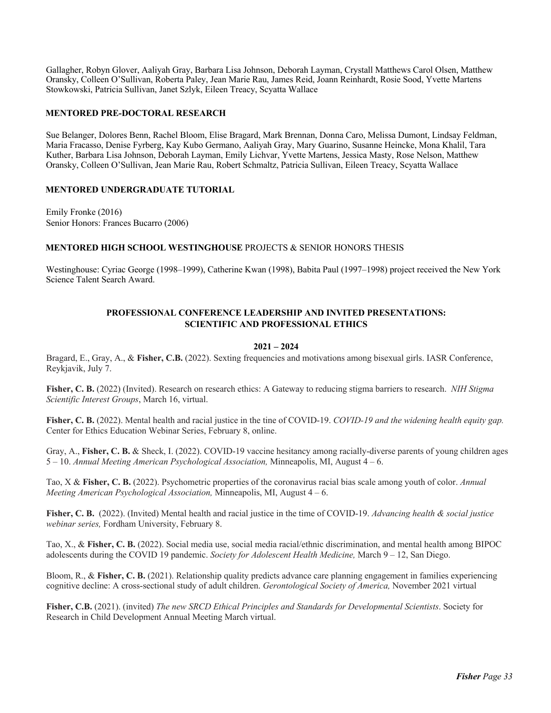Gallagher, Robyn Glover, Aaliyah Gray, Barbara Lisa Johnson, Deborah Layman, Crystall Matthews Carol Olsen, Matthew Oransky, Colleen O'Sullivan, Roberta Paley, Jean Marie Rau, James Reid, Joann Reinhardt, Rosie Sood, Yvette Martens Stowkowski, Patricia Sullivan, Janet Szlyk, Eileen Treacy, Scyatta Wallace

# **MENTORED PRE-DOCTORAL RESEARCH**

Sue Belanger, Dolores Benn, Rachel Bloom, Elise Bragard, Mark Brennan, Donna Caro, Melissa Dumont, Lindsay Feldman, Maria Fracasso, Denise Fyrberg, Kay Kubo Germano, Aaliyah Gray, Mary Guarino, Susanne Heincke, Mona Khalil, Tara Kuther, Barbara Lisa Johnson, Deborah Layman, Emily Lichvar, Yvette Martens, Jessica Masty, Rose Nelson, Matthew Oransky, Colleen O'Sullivan, Jean Marie Rau, Robert Schmaltz, Patricia Sullivan, Eileen Treacy, Scyatta Wallace

## **MENTORED UNDERGRADUATE TUTORIAL**

Emily Fronke (2016) Senior Honors: Frances Bucarro (2006)

## **MENTORED HIGH SCHOOL WESTINGHOUSE** PROJECTS & SENIOR HONORS THESIS

Westinghouse: Cyriac George (1998–1999), Catherine Kwan (1998), Babita Paul (1997–1998) project received the New York Science Talent Search Award.

## **PROFESSIONAL CONFERENCE LEADERSHIP AND INVITED PRESENTATIONS: SCIENTIFIC AND PROFESSIONAL ETHICS**

#### **2021 – 2024**

Bragard, E., Gray, A., & **Fisher, C.B.** (2022). Sexting frequencies and motivations among bisexual girls. IASR Conference, Reykjavik, July 7.

**Fisher, C. B.** (2022) (Invited). Research on research ethics: A Gateway to reducing stigma barriers to research. *NIH Stigma Scientific Interest Groups*, March 16, virtual.

Fisher, C. B. (2022). Mental health and racial justice in the tine of COVID-19. *COVID-19 and the widening health equity gap*. Center for Ethics Education Webinar Series, February 8, online.

Gray, A., **Fisher, C. B.** & Sheck, I. (2022). COVID-19 vaccine hesitancy among racially-diverse parents of young children ages 5 – 10. *Annual Meeting American Psychological Association,* Minneapolis, MI, August 4 – 6.

Tao, X & **Fisher, C. B.** (2022). Psychometric properties of the coronavirus racial bias scale among youth of color. *Annual Meeting American Psychological Association,* Minneapolis, MI, August 4 – 6.

**Fisher, C. B.** (2022). (Invited) Mental health and racial justice in the time of COVID-19. *Advancing health & social justice webinar series,* Fordham University, February 8.

Tao, X., & **Fisher, C. B.** (2022). Social media use, social media racial/ethnic discrimination, and mental health among BIPOC adolescents during the COVID 19 pandemic. *Society for Adolescent Health Medicine,* March 9 – 12, San Diego.

Bloom, R., & **Fisher, C. B.** (2021). Relationship quality predicts advance care planning engagement in families experiencing cognitive decline: A cross-sectional study of adult children. *Gerontological Society of America,* November 2021 virtual

**Fisher, C.B.** (2021). (invited) *The new SRCD Ethical Principles and Standards for Developmental Scientists*. Society for Research in Child Development Annual Meeting March virtual.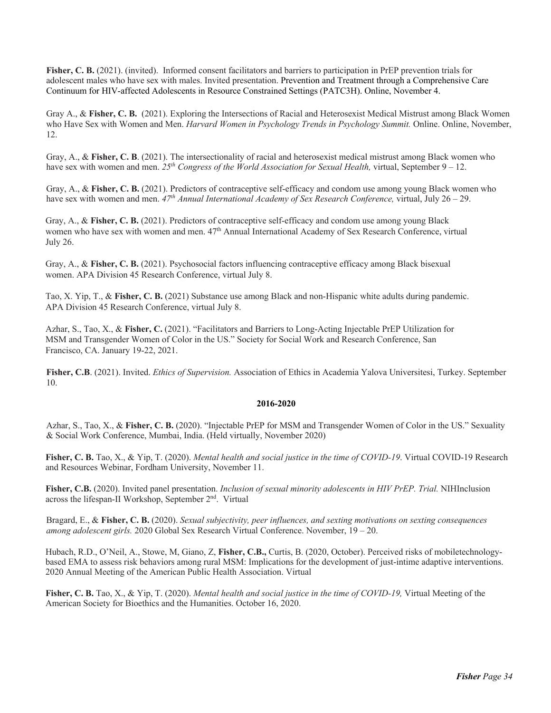**Fisher, C. B.** (2021). (invited). Informed consent facilitators and barriers to participation in PrEP prevention trials for adolescent males who have sex with males. Invited presentation. Prevention and Treatment through a Comprehensive Care Continuum for HIV-affected Adolescents in Resource Constrained Settings (PATC3H). Online, November 4.

Gray A., & **Fisher, C. B.** (2021). Exploring the Intersections of Racial and Heterosexist Medical Mistrust among Black Women who Have Sex with Women and Men. *Harvard Women in Psychology Trends in Psychology Summit*. Online. Online, November, 12.

Gray, A., & **Fisher, C. B**. (2021). The intersectionality of racial and heterosexist medical mistrust among Black women who have sex with women and men. *25th Congress of the World Association for Sexual Health,* virtual, September 9 – 12.

Gray, A., & **Fisher, C. B.** (2021). Predictors of contraceptive self-efficacy and condom use among young Black women who have sex with women and men. *47th Annual International Academy of Sex Research Conference,* virtual, July 26 – 29.

Gray, A., & **Fisher, C. B.** (2021). Predictors of contraceptive self-efficacy and condom use among young Black women who have sex with women and men. 47th Annual International Academy of Sex Research Conference, virtual July 26.

Gray, A., & **Fisher, C. B.** (2021). Psychosocial factors influencing contraceptive efficacy among Black bisexual women. APA Division 45 Research Conference, virtual July 8.

Tao, X. Yip, T., & **Fisher, C. B.** (2021) Substance use among Black and non-Hispanic white adults during pandemic. APA Division 45 Research Conference, virtual July 8.

Azhar, S., Tao, X., & **Fisher, C.** (2021). "Facilitators and Barriers to Long-Acting Injectable PrEP Utilization for MSM and Transgender Women of Color in the US." Society for Social Work and Research Conference, San Francisco, CA. January 19-22, 2021.

**Fisher, C.B**. (2021). Invited. *Ethics of Supervision.* Association of Ethics in Academia Yalova Universitesi, Turkey. September 10.

#### **2016-2020**

Azhar, S., Tao, X., & **Fisher, C. B.** (2020). "Injectable PrEP for MSM and Transgender Women of Color in the US." Sexuality & Social Work Conference, Mumbai, India. (Held virtually, November 2020)

**Fisher, C. B.** Tao, X., & Yip, T. (2020). *Mental health and social justice in the time of COVID-19*. Virtual COVID-19 Research and Resources Webinar, Fordham University, November 11.

**Fisher, C.B.** (2020). Invited panel presentation. *Inclusion of sexual minority adolescents in HIV PrEP. Trial.* NIHInclusion across the lifespan-II Workshop, September 2<sup>nd</sup>. Virtual

Bragard, E., & **Fisher, C. B.** (2020). *Sexual subjectivity, peer influences, and sexting motivations on sexting consequences among adolescent girls.* 2020 Global Sex Research Virtual Conference. November, 19 – 20.

Hubach, R.D., O'Neil, A., Stowe, M, Giano, Z, **Fisher, C.B.,** Curtis, B. (2020, October). Perceived risks of mobiletechnologybased EMA to assess risk behaviors among rural MSM: Implications for the development of just-intime adaptive interventions. 2020 Annual Meeting of the American Public Health Association. Virtual

**Fisher, C. B.** Tao, X., & Yip, T. (2020). *Mental health and social justice in the time of COVID-19,* Virtual Meeting of the American Society for Bioethics and the Humanities. October 16, 2020.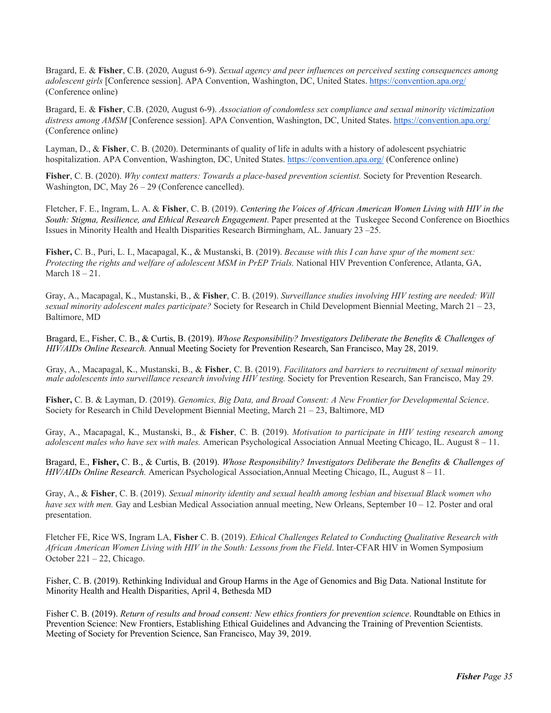Bragard, E. & **Fisher**, C.B. (2020, August 6-9). *Sexual agency and peer influences on perceived sexting consequences among adolescent girls* [Conference session]. APA Convention, Washington, DC, United States. https://convention.apa.org/ (Conference online)

Bragard, E. & **Fisher**, C.B. (2020, August 6-9). *Association of condomless sex compliance and sexual minority victimization distress among AMSM* [Conference session]. APA Convention, Washington, DC, United States. https://convention.apa.org/ (Conference online)

Layman, D., & **Fisher**, C. B. (2020). Determinants of quality of life in adults with a history of adolescent psychiatric hospitalization. APA Convention, Washington, DC, United States. https://convention.apa.org/ (Conference online)

**Fisher**, C. B. (2020). *Why context matters: Towards a place-based prevention scientist.* Society for Prevention Research. Washington, DC, May 26 – 29 (Conference cancelled).

Fletcher, F. E., Ingram, L. A. & **Fisher**, C. B. (2019). *Centering the Voices of African American Women Living with HIV in the South: Stigma, Resilience, and Ethical Research Engagement*. Paper presented at the Tuskegee Second Conference on Bioethics Issues in Minority Health and Health Disparities Research Birmingham, AL. January 23 –25.

**Fisher,** C. B., Puri, L. I., Macapagal, K., & Mustanski, B. (2019). *Because with this I can have spur of the moment sex: Protecting the rights and welfare of adolescent MSM in PrEP Trials.* National HIV Prevention Conference, Atlanta, GA, March 18 – 21.

Gray, A., Macapagal, K., Mustanski, B., & **Fisher**, C. B. (2019). *Surveillance studies involving HIV testing are needed: Will sexual minority adolescent males participate?* Society for Research in Child Development Biennial Meeting, March 21 – 23, Baltimore, MD

Bragard, E., Fisher, C. B., & Curtis, B. (2019). *Whose Responsibility? Investigators Deliberate the Benefits & Challenges of HIV/AIDs Online Research.* Annual Meeting Society for Prevention Research, San Francisco, May 28, 2019.

Gray, A., Macapagal, K., Mustanski, B., & **Fisher**, C. B. (2019). *Facilitators and barriers to recruitment of sexual minority male adolescents into surveillance research involving HIV testing.* Society for Prevention Research, San Francisco, May 29.

**Fisher,** C. B. & Layman, D. (2019). *Genomics, Big Data, and Broad Consent: A New Frontier for Developmental Science*. Society for Research in Child Development Biennial Meeting, March 21 – 23, Baltimore, MD

Gray, A., Macapagal, K., Mustanski, B., & **Fisher**, C. B. (2019). *Motivation to participate in HIV testing research among adolescent males who have sex with males.* American Psychological Association Annual Meeting Chicago, IL. August 8 – 11.

Bragard, E., **Fisher,** C. B., & Curtis, B. (2019). *Whose Responsibility? Investigators Deliberate the Benefits & Challenges of HIV/AIDs Online Research.* American Psychological Association,Annual Meeting Chicago, IL, August 8 – 11.

Gray, A., & **Fisher**, C. B. (2019). *Sexual minority identity and sexual health among lesbian and bisexual Black women who have sex with men.* Gay and Lesbian Medical Association annual meeting, New Orleans, September 10 – 12. Poster and oral presentation.

Fletcher FE, Rice WS, Ingram LA, **Fisher** C. B. (2019). *Ethical Challenges Related to Conducting Qualitative Research with African American Women Living with HIV in the South: Lessons from the Field*. Inter-CFAR HIV in Women Symposium October 221 – 22, Chicago.

Fisher, C. B. (2019). Rethinking Individual and Group Harms in the Age of Genomics and Big Data. National Institute for Minority Health and Health Disparities, April 4, Bethesda MD

Fisher C. B. (2019). *Return of results and broad consent: New ethics frontiers for prevention science*. Roundtable on Ethics in Prevention Science: New Frontiers, Establishing Ethical Guidelines and Advancing the Training of Prevention Scientists. Meeting of Society for Prevention Science, San Francisco, May 39, 2019.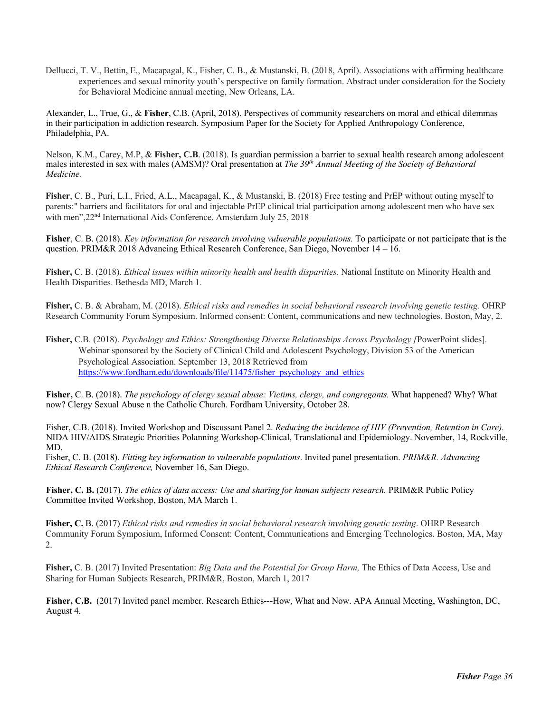Dellucci, T. V., Bettin, E., Macapagal, K., Fisher, C. B., & Mustanski, B. (2018, April). Associations with affirming healthcare experiences and sexual minority youth's perspective on family formation. Abstract under consideration for the Society for Behavioral Medicine annual meeting, New Orleans, LA.

Alexander, L., True, G., & **Fisher**, C.B. (April, 2018). Perspectives of community researchers on moral and ethical dilemmas in their participation in addiction research. Symposium Paper for the Society for Applied Anthropology Conference, Philadelphia, PA.

Nelson, K.M., Carey, M.P, & **Fisher, C.B**. (2018). Is guardian permission a barrier to sexual health research among adolescent males interested in sex with males (AMSM)? Oral presentation at *The 39th Annual Meeting of the Society of Behavioral Medicine.*

**Fisher**, C. B., Puri, L.I., Fried, A.L., Macapagal, K., & Mustanski, B. (2018) Free testing and PrEP without outing myself to parents:" barriers and facilitators for oral and injectable PrEP clinical trial participation among adolescent men who have sex with men",  $22<sup>nd</sup>$  International Aids Conference. Amsterdam July 25, 2018

**Fisher**, C. B. (2018). *Key information for research involving vulnerable populations.* To participate or not participate that is the question. PRIM&R 2018 Advancing Ethical Research Conference, San Diego, November 14 – 16.

**Fisher,** C. B. (2018). *Ethical issues within minority health and health disparities.* National Institute on Minority Health and Health Disparities. Bethesda MD, March 1.

**Fisher,** C. B. & Abraham, M. (2018). *Ethical risks and remedies in social behavioral research involving genetic testing.* OHRP Research Community Forum Symposium. Informed consent: Content, communications and new technologies. Boston, May, 2.

**Fisher,** C.B. (2018). *Psychology and Ethics: Strengthening Diverse Relationships Across Psychology [*PowerPoint slides]. Webinar sponsored by the Society of Clinical Child and Adolescent Psychology, Division 53 of the American Psychological Association. September 13, 2018 Retrieved from https://www.fordham.edu/downloads/file/11475/fisher\_psychology\_and\_ethics

**Fisher,** C. B. (2018). *The psychology of clergy sexual abuse: Victims, clergy, and congregants.* What happened? Why? What now? Clergy Sexual Abuse n the Catholic Church. Fordham University, October 28.

Fisher, C.B. (2018). Invited Workshop and Discussant Panel 2. *Reducing the incidence of HIV (Prevention, Retention in Care).*  NIDA HIV/AIDS Strategic Priorities Polanning Workshop-Clinical, Translational and Epidemiology. November, 14, Rockville, MD.

Fisher, C. B. (2018). *Fitting key information to vulnerable populations*. Invited panel presentation. *PRIM&R. Advancing Ethical Research Conference,* November 16, San Diego.

**Fisher, C. B.** (2017). *The ethics of data access: Use and sharing for human subjects research.* PRIM&R Public Policy Committee Invited Workshop, Boston, MA March 1.

**Fisher, C.** B. (2017) *Ethical risks and remedies in social behavioral research involving genetic testing*. OHRP Research Community Forum Symposium, Informed Consent: Content, Communications and Emerging Technologies. Boston, MA, May 2.

**Fisher,** C. B. (2017) Invited Presentation: *Big Data and the Potential for Group Harm,* The Ethics of Data Access, Use and Sharing for Human Subjects Research, PRIM&R, Boston, March 1, 2017

**Fisher, C.B.** (2017) Invited panel member. Research Ethics---How, What and Now. APA Annual Meeting, Washington, DC, August 4.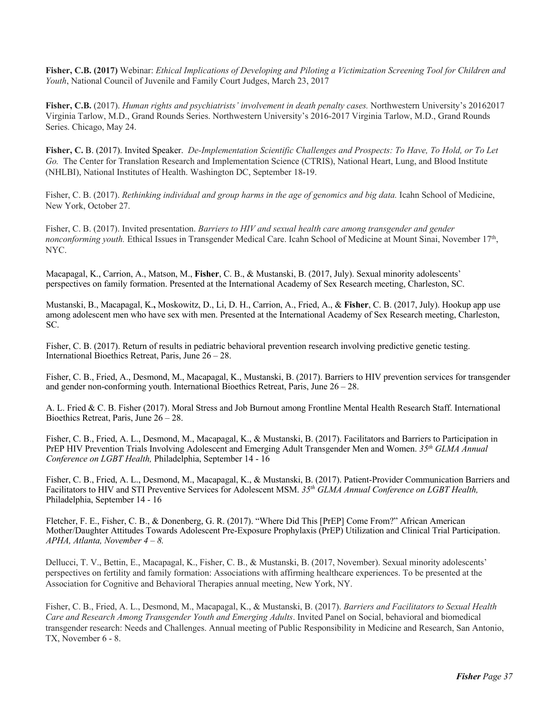**Fisher, C.B. (2017)** Webinar: *Ethical Implications of Developing and Piloting a Victimization Screening Tool for Children and Youth*, National Council of Juvenile and Family Court Judges, March 23, 2017

**Fisher, C.B.** (2017). *Human rights and psychiatrists' involvement in death penalty cases.* Northwestern University's 20162017 Virginia Tarlow, M.D., Grand Rounds Series. Northwestern University's 2016-2017 Virginia Tarlow, M.D., Grand Rounds Series. Chicago, May 24.

**Fisher, C.** B. (2017). Invited Speaker.*De-Implementation Scientific Challenges and Prospects: To Have, To Hold, or To Let Go.* The Center for Translation Research and Implementation Science (CTRIS), National Heart, Lung, and Blood Institute (NHLBI), National Institutes of Health. Washington DC, September 18-19.

Fisher, C. B. (2017). *Rethinking individual and group harms in the age of genomics and big data*. Icahn School of Medicine, New York, October 27.

Fisher, C. B. (2017). Invited presentation. *Barriers to HIV and sexual health care among transgender and gender nonconforming youth.* Ethical Issues in Transgender Medical Care. Icahn School of Medicine at Mount Sinai, November 17<sup>th</sup>, NYC.

Macapagal, K., Carrion, A., Matson, M., **Fisher**, C. B., & Mustanski, B. (2017, July). Sexual minority adolescents' perspectives on family formation. Presented at the International Academy of Sex Research meeting, Charleston, SC.

Mustanski, B., Macapagal, K.**,** Moskowitz, D., Li, D. H., Carrion, A., Fried, A., & **Fisher**, C. B. (2017, July). Hookup app use among adolescent men who have sex with men. Presented at the International Academy of Sex Research meeting, Charleston, SC.

Fisher, C. B. (2017). Return of results in pediatric behavioral prevention research involving predictive genetic testing. International Bioethics Retreat, Paris, June 26 – 28.

Fisher, C. B., Fried, A., Desmond, M., Macapagal, K., Mustanski, B. (2017). Barriers to HIV prevention services for transgender and gender non-conforming youth. International Bioethics Retreat, Paris, June 26 – 28.

A. L. Fried & C. B. Fisher (2017). Moral Stress and Job Burnout among Frontline Mental Health Research Staff. International Bioethics Retreat, Paris, June 26 – 28.

Fisher, C. B., Fried, A. L., Desmond, M., Macapagal, K., & Mustanski, B. (2017). Facilitators and Barriers to Participation in PrEP HIV Prevention Trials Involving Adolescent and Emerging Adult Transgender Men and Women. *35th GLMA Annual Conference on LGBT Health,* Philadelphia, September 14 - 16

Fisher, C. B., Fried, A. L., Desmond, M., Macapagal, K., & Mustanski, B. (2017). Patient-Provider Communication Barriers and Facilitators to HIV and STI Preventive Services for Adolescent MSM. *35th GLMA Annual Conference on LGBT Health,*  Philadelphia, September 14 - 16

Fletcher, F. E., Fisher, C. B., & Donenberg, G. R. (2017). "Where Did This [PrEP] Come From?" African American Mother/Daughter Attitudes Towards Adolescent Pre-Exposure Prophylaxis (PrEP) Utilization and Clinical Trial Participation. *APHA, Atlanta, November 4 – 8.* 

Dellucci, T. V., Bettin, E., Macapagal, K., Fisher, C. B., & Mustanski, B. (2017, November). Sexual minority adolescents' perspectives on fertility and family formation: Associations with affirming healthcare experiences. To be presented at the Association for Cognitive and Behavioral Therapies annual meeting, New York, NY.

Fisher, C. B., Fried, A. L., Desmond, M., Macapagal, K., & Mustanski, B. (2017). *Barriers and Facilitators to Sexual Health Care and Research Among Transgender Youth and Emerging Adults*. Invited Panel on Social, behavioral and biomedical transgender research: Needs and Challenges. Annual meeting of Public Responsibility in Medicine and Research, San Antonio, TX, November 6 - 8.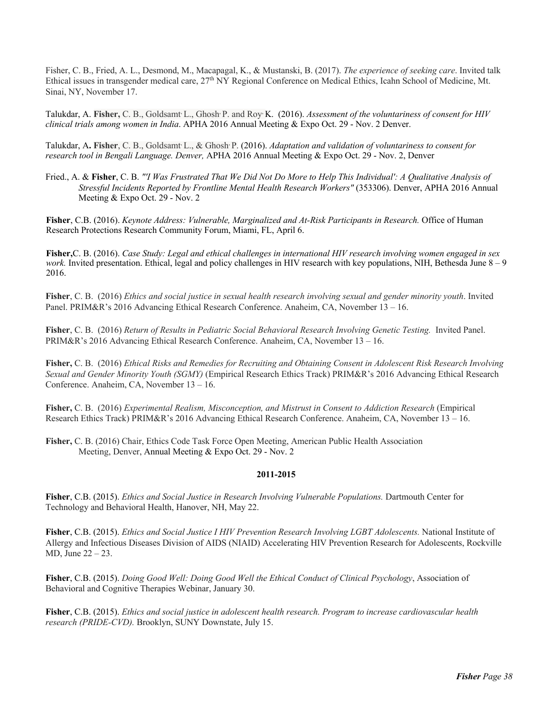Fisher, C. B., Fried, A. L., Desmond, M., Macapagal, K., & Mustanski, B. (2017). *The experience of seeking care*. Invited talk Ethical issues in transgender medical care, 27th NY Regional Conference on Medical Ethics, Icahn School of Medicine, Mt. Sinai, NY, November 17.

Talukdar, A. Fisher, C. B., Goldsamt L., Ghosh P. and Roy K. (2016). *Assessment of the voluntariness of consent for HIV clinical trials among women in India*. APHA 2016 Annual Meeting & Expo Oct. 29 - Nov. 2 Denver.

Talukdar, A. Fisher, C. B., Goldsamt L., & Ghosh P. (2016). *Adaptation and validation of voluntariness to consent for research tool in Bengali Language. Denver,* APHA 2016 Annual Meeting & Expo Oct. 29 - Nov. 2, Denver

Fried., A. & **Fisher**, C. B. *"'I Was Frustrated That We Did Not Do More to Help This Individual': A Qualitative Analysis of Stressful Incidents Reported by Frontline Mental Health Research Workers"* (353306). Denver, APHA 2016 Annual Meeting & Expo Oct. 29 - Nov. 2

**Fisher**, C.B. (2016). *Keynote Address: Vulnerable, Marginalized and At-Risk Participants in Research.* Office of Human Research Protections Research Community Forum, Miami, FL, April 6.

**Fisher,**C. B. (2016). *Case Study: Legal and ethical challenges in international HIV research involving women engaged in sex work.* Invited presentation. Ethical, legal and policy challenges in HIV research with key populations, NIH, Bethesda June 8 – 9 2016.

**Fisher**, C. B. (2016) *Ethics and social justice in sexual health research involving sexual and gender minority youth*. Invited Panel. PRIM&R's 2016 Advancing Ethical Research Conference. Anaheim, CA, November 13 – 16.

**Fisher**, C. B. (2016) *Return of Results in Pediatric Social Behavioral Research Involving Genetic Testing.* Invited Panel. PRIM&R's 2016 Advancing Ethical Research Conference. Anaheim, CA, November 13 – 16.

**Fisher,** C. B. (2016) *Ethical Risks and Remedies for Recruiting and Obtaining Consent in Adolescent Risk Research Involving Sexual and Gender Minority Youth (SGMY)* (Empirical Research Ethics Track) PRIM&R's 2016 Advancing Ethical Research Conference. Anaheim, CA, November 13 – 16.

**Fisher,** C. B. (2016) *Experimental Realism, Misconception, and Mistrust in Consent to Addiction Research* (Empirical Research Ethics Track) PRIM&R's 2016 Advancing Ethical Research Conference. Anaheim, CA, November 13 – 16.

**Fisher,** C. B. (2016) Chair, Ethics Code Task Force Open Meeting, American Public Health Association Meeting, Denver, Annual Meeting & Expo Oct. 29 - Nov. 2

# **2011-2015**

**Fisher**, C.B. (2015). *Ethics and Social Justice in Research Involving Vulnerable Populations.* Dartmouth Center for Technology and Behavioral Health, Hanover, NH, May 22.

**Fisher**, C.B. (2015). *Ethics and Social Justice I HIV Prevention Research Involving LGBT Adolescents.* National Institute of Allergy and Infectious Diseases Division of AIDS (NIAID) Accelerating HIV Prevention Research for Adolescents, Rockville MD, June 22 – 23.

**Fisher**, C.B. (2015). *Doing Good Well: Doing Good Well the Ethical Conduct of Clinical Psychology*, Association of Behavioral and Cognitive Therapies Webinar, January 30.

**Fisher**, C.B. (2015). *Ethics and social justice in adolescent health research. Program to increase cardiovascular health research (PRIDE-CVD).* Brooklyn, SUNY Downstate, July 15.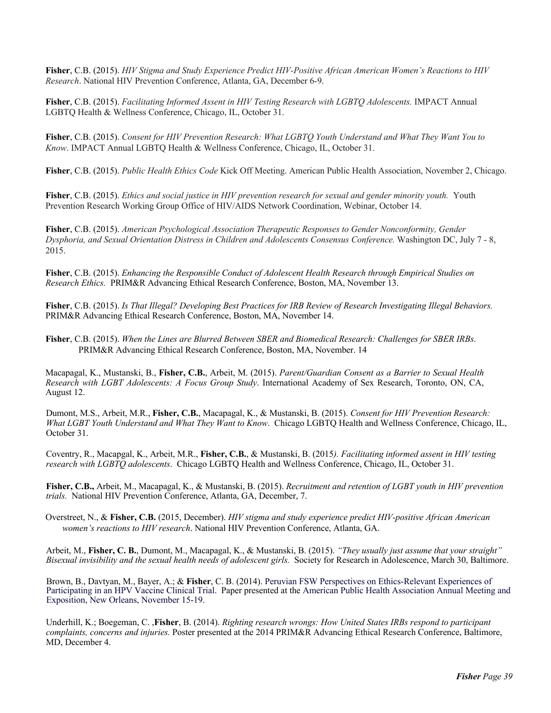**Fisher**, C.B. (2015). *HIV Stigma and Study Experience Predict HIV-Positive African American Women's Reactions to HIV Research*. National HIV Prevention Conference, Atlanta, GA, December 6-9.

**Fisher**, C.B. (2015). *Facilitating Informed Assent in HIV Testing Research with LGBTQ Adolescents.* IMPACT Annual LGBTQ Health & Wellness Conference, Chicago, IL, October 31.

**Fisher**, C.B. (2015). *Consent for HIV Prevention Research: What LGBTQ Youth Understand and What They Want You to Know*. IMPACT Annual LGBTQ Health & Wellness Conference, Chicago, IL, October 31.

**Fisher**, C.B. (2015). *Public Health Ethics Code* Kick Off Meeting. American Public Health Association, November 2, Chicago.

**Fisher**, C.B. (2015). *Ethics and social justice in HIV prevention research for sexual and gender minority youth.* Youth Prevention Research Working Group Office of HIV/AIDS Network Coordination, Webinar, October 14.

**Fisher**, C.B. (2015). *American Psychological Association Therapeutic Responses to Gender Nonconformity, Gender Dysphoria, and Sexual Orientation Distress in Children and Adolescents Consensus Conference.* Washington DC, July 7 - 8, 2015.

**Fisher**, C.B. (2015). *Enhancing the Responsible Conduct of Adolescent Health Research through Empirical Studies on Research Ethics.* PRIM&R Advancing Ethical Research Conference, Boston, MA, November 13.

**Fisher**, C.B. (2015). *Is That Illegal? Developing Best Practices for IRB Review of Research Investigating Illegal Behaviors.* PRIM&R Advancing Ethical Research Conference, Boston, MA, November 14.

**Fisher**, C.B. (2015). *When the Lines are Blurred Between SBER and Biomedical Research: Challenges for SBER IRBs*. PRIM&R Advancing Ethical Research Conference, Boston, MA, November. 14

Macapagal, K., Mustanski, B., **Fisher, C.B.**, Arbeit, M. (2015). *Parent/Guardian Consent as a Barrier to Sexual Health Research with LGBT Adolescents: A Focus Group Study*. International Academy of Sex Research, Toronto, ON, CA, August 12.

Dumont, M.S., Arbeit, M.R., **Fisher, C.B.**, Macapagal, K., & Mustanski, B. (2015). *Consent for HIV Prevention Research: What LGBT Youth Understand and What They Want to Know*. Chicago LGBTQ Health and Wellness Conference, Chicago, IL, October 31.

Coventry, R., Macapgal, K., Arbeit, M.R., **Fisher, C.B.**, & Mustanski, B. (2015*). Facilitating informed assent in HIV testing research with LGBTQ adolescents*. Chicago LGBTQ Health and Wellness Conference, Chicago, IL, October 31.

**Fisher, C.B.,** Arbeit, M., Macapagal, K., & Mustanski, B. (2015). *Recruitment and retention of LGBT youth in HIV prevention trials.* National HIV Prevention Conference, Atlanta, GA, December, 7.

Overstreet, N., & **Fisher, C.B.** (2015, December). *HIV stigma and study experience predict HIV-positive African American women's reactions to HIV research*. National HIV Prevention Conference, Atlanta, GA.

Arbeit, M., **Fisher, C. B.**, Dumont, M., Macapagal, K., & Mustanski, B. (2015). *"They usually just assume that your straight" Bisexual invisibility and the sexual health needs of adolescent girls.* Society for Research in Adolescence, March 30, Baltimore.

Brown, B., Davtyan, M., Bayer, A.; & **Fisher**, C. B. (2014). Peruvian FSW Perspectives on Ethics-Relevant Experiences of Participating in an HPV Vaccine Clinical Trial. Paper presented at the American Public Health Association Annual Meeting and Exposition, New Orleans, November 15-19.

Underhill, K.; Boegeman, C. ,**Fisher**, B. (2014). *Righting research wrongs: How United States IRBs respond to participant complaints, concerns and injuries.* Poster presented at the 2014 PRIM&R Advancing Ethical Research Conference, Baltimore, MD, December 4.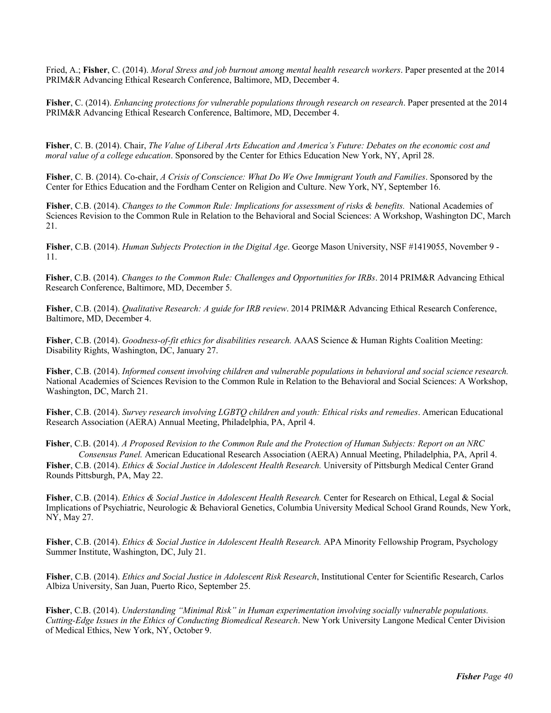Fried, A.; **Fisher**, C. (2014). *Moral Stress and job burnout among mental health research workers*. Paper presented at the 2014 PRIM&R Advancing Ethical Research Conference, Baltimore, MD, December 4.

**Fisher**, C. (2014). *Enhancing protections for vulnerable populations through research on research*. Paper presented at the 2014 PRIM&R Advancing Ethical Research Conference, Baltimore, MD, December 4.

**Fisher**, C. B. (2014). Chair, *The Value of Liberal Arts Education and America's Future: Debates on the economic cost and moral value of a college education*. Sponsored by the Center for Ethics Education New York, NY, April 28.

**Fisher**, C. B. (2014). Co-chair, *A Crisis of Conscience: What Do We Owe Immigrant Youth and Families*. Sponsored by the Center for Ethics Education and the Fordham Center on Religion and Culture. New York, NY, September 16.

**Fisher**, C.B. (2014). *Changes to the Common Rule: Implications for assessment of risks & benefits.* National Academies of Sciences Revision to the Common Rule in Relation to the Behavioral and Social Sciences: A Workshop, Washington DC, March 21.

**Fisher**, C.B. (2014). *Human Subjects Protection in the Digital Age*. George Mason University, NSF #1419055, November 9 - 11.

**Fisher**, C.B. (2014). *Changes to the Common Rule: Challenges and Opportunities for IRBs*. 2014 PRIM&R Advancing Ethical Research Conference, Baltimore, MD, December 5.

**Fisher**, C.B. (2014). *Qualitative Research: A guide for IRB review*. 2014 PRIM&R Advancing Ethical Research Conference, Baltimore, MD, December 4.

**Fisher**, C.B. (2014). *Goodness-of-fit ethics for disabilities research.* AAAS Science & Human Rights Coalition Meeting: Disability Rights, Washington, DC, January 27.

**Fisher**, C.B. (2014). *Informed consent involving children and vulnerable populations in behavioral and social science research.*  National Academies of Sciences Revision to the Common Rule in Relation to the Behavioral and Social Sciences: A Workshop, Washington, DC, March 21.

**Fisher**, C.B. (2014). *Survey research involving LGBTQ children and youth: Ethical risks and remedies*. American Educational Research Association (AERA) Annual Meeting, Philadelphia, PA, April 4.

**Fisher**, C.B. (2014). *A Proposed Revision to the Common Rule and the Protection of Human Subjects: Report on an NRC* 

*Consensus Panel.* American Educational Research Association (AERA) Annual Meeting, Philadelphia, PA, April 4. **Fisher**, C.B. (2014). *Ethics & Social Justice in Adolescent Health Research.* University of Pittsburgh Medical Center Grand Rounds Pittsburgh, PA, May 22.

**Fisher**, C.B. (2014). *Ethics & Social Justice in Adolescent Health Research.* Center for Research on Ethical, Legal & Social Implications of Psychiatric, Neurologic & Behavioral Genetics, Columbia University Medical School Grand Rounds, New York, NY, May 27.

**Fisher**, C.B. (2014). *Ethics & Social Justice in Adolescent Health Research.* APA Minority Fellowship Program, Psychology Summer Institute, Washington, DC, July 21.

**Fisher**, C.B. (2014). *Ethics and Social Justice in Adolescent Risk Research*, Institutional Center for Scientific Research, Carlos Albiza University, San Juan, Puerto Rico, September 25.

**Fisher**, C.B. (2014). *Understanding "Minimal Risk" in Human experimentation involving socially vulnerable populations. Cutting-Edge Issues in the Ethics of Conducting Biomedical Research*. New York University Langone Medical Center Division of Medical Ethics, New York, NY, October 9.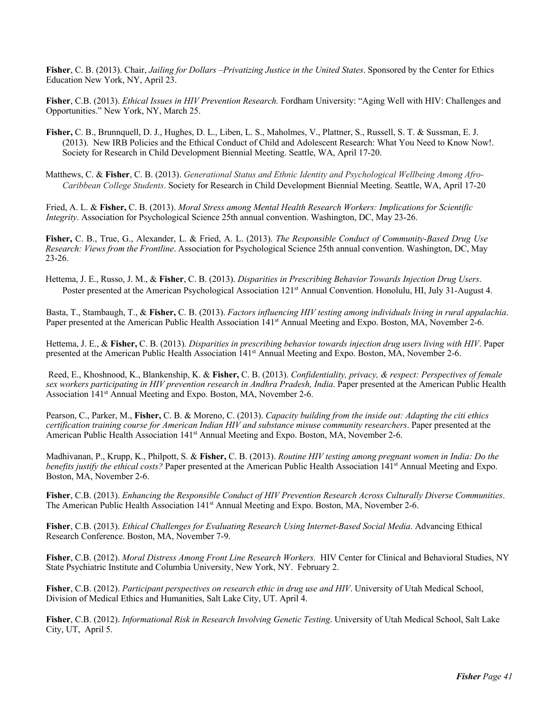**Fisher**, C. B. (2013). Chair, *Jailing for Dollars –Privatizing Justice in the United States*. Sponsored by the Center for Ethics Education New York, NY, April 23.

**Fisher**, C.B. (2013). *Ethical Issues in HIV Prevention Research.* Fordham University: "Aging Well with HIV: Challenges and Opportunities." New York, NY, March 25.

- **Fisher,** C. B., Brunnquell, D. J., Hughes, D. L., Liben, L. S., Maholmes, V., Plattner, S., Russell, S. T. & Sussman, E. J. (2013). New IRB Policies and the Ethical Conduct of Child and Adolescent Research: What You Need to Know Now!. Society for Research in Child Development Biennial Meeting. Seattle, WA, April 17-20.
- Matthews, C. & **Fisher**, C. B. (2013). *Generational Status and Ethnic Identity and Psychological Wellbeing Among Afro-Caribbean College Students*. Society for Research in Child Development Biennial Meeting. Seattle, WA, April 17-20

Fried, A. L. & **Fisher,** C. B. (2013). *Moral Stress among Mental Health Research Workers: Implications for Scientific Integrity*. Association for Psychological Science 25th annual convention. Washington, DC, May 23-26.

**Fisher,** C. B., True, G., Alexander, L. & Fried, A. L. (2013). *The Responsible Conduct of Community-Based Drug Use Research: Views from the Frontline*. Association for Psychological Science 25th annual convention. Washington, DC, May 23-26.

Hettema, J. E., Russo, J. M., & **Fisher**, C. B. (2013). *Disparities in Prescribing Behavior Towards Injection Drug Users*. Poster presented at the American Psychological Association 121<sup>st</sup> Annual Convention. Honolulu, HI, July 31-August 4.

Basta, T., Stambaugh, T., & **Fisher,** C. B. (2013). *Factors influencing HIV testing among individuals living in rural appalachia*. Paper presented at the American Public Health Association 141<sup>st</sup> Annual Meeting and Expo. Boston, MA, November 2-6.

Hettema, J. E., & **Fisher,** C. B. (2013). *Disparities in prescribing behavior towards injection drug users living with HIV*. Paper presented at the American Public Health Association 141st Annual Meeting and Expo. Boston, MA, November 2-6.

Reed, E., Khoshnood, K., Blankenship, K. & **Fisher,** C. B. (2013). *Confidentiality, privacy, & respect: Perspectives of female sex workers participating in HIV prevention research in Andhra Pradesh, India*. Paper presented at the American Public Health Association 141<sup>st</sup> Annual Meeting and Expo. Boston, MA, November 2-6.

Pearson, C., Parker, M., **Fisher,** C. B. & Moreno, C. (2013). *Capacity building from the inside out: Adapting the citi ethics certification training course for American Indian HIV and substance misuse community researchers*. Paper presented at the American Public Health Association 141<sup>st</sup> Annual Meeting and Expo. Boston, MA, November 2-6.

Madhivanan, P., Krupp, K., Philpott, S. & **Fisher,** C. B. (2013). *Routine HIV testing among pregnant women in India: Do the benefits justify the ethical costs?* Paper presented at the American Public Health Association 141<sup>st</sup> Annual Meeting and Expo. Boston, MA, November 2-6.

**Fisher**, C.B. (2013). *Enhancing the Responsible Conduct of HIV Prevention Research Across Culturally Diverse Communities*. The American Public Health Association 141<sup>st</sup> Annual Meeting and Expo. Boston, MA, November 2-6.

**Fisher**, C.B. (2013). *Ethical Challenges for Evaluating Research Using Internet-Based Social Media*. Advancing Ethical Research Conference. Boston, MA, November 7-9.

**Fisher**, C.B. (2012). *Moral Distress Among Front Line Research Workers.* HIV Center for Clinical and Behavioral Studies, NY State Psychiatric Institute and Columbia University, New York, NY. February 2.

**Fisher**, C.B. (2012). *Participant perspectives on research ethic in drug use and HIV*. University of Utah Medical School, Division of Medical Ethics and Humanities, Salt Lake City, UT. April 4.

**Fisher**, C.B. (2012). *Informational Risk in Research Involving Genetic Testing*. University of Utah Medical School, Salt Lake City, UT, April 5.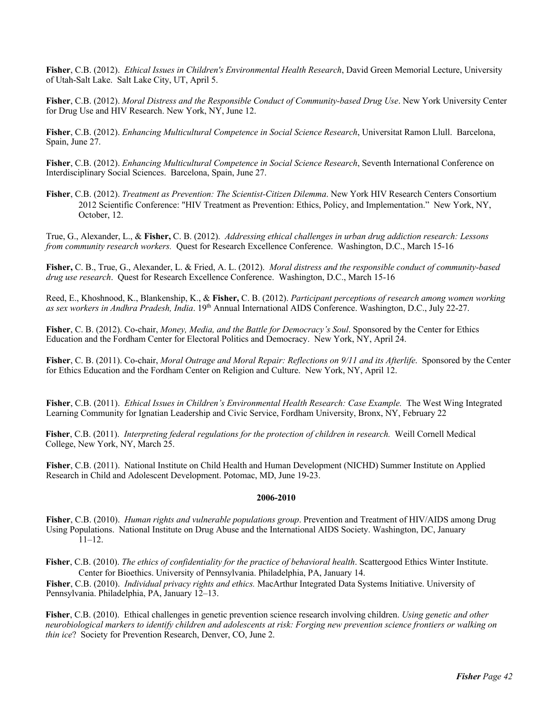**Fisher**, C.B. (2012). *Ethical Issues in Children's Environmental Health Research*, David Green Memorial Lecture, University of Utah-Salt Lake. Salt Lake City, UT, April 5.

**Fisher**, C.B. (2012). *Moral Distress and the Responsible Conduct of Community-based Drug Use*. New York University Center for Drug Use and HIV Research. New York, NY, June 12.

**Fisher**, C.B. (2012). *Enhancing Multicultural Competence in Social Science Research*, Universitat Ramon Llull. Barcelona, Spain, June 27.

**Fisher**, C.B. (2012). *Enhancing Multicultural Competence in Social Science Research*, Seventh International Conference on Interdisciplinary Social Sciences. Barcelona, Spain, June 27.

**Fisher**, C.B. (2012). *Treatment as Prevention: The Scientist-Citizen Dilemma*. New York HIV Research Centers Consortium 2012 Scientific Conference: "HIV Treatment as Prevention: Ethics, Policy, and Implementation." New York, NY, October, 12.

True, G., Alexander, L., & **Fisher,** C. B. (2012). *Addressing ethical challenges in urban drug addiction research: Lessons from community research workers.* Quest for Research Excellence Conference. Washington, D.C., March 15-16

**Fisher,** C. B., True, G., Alexander, L. & Fried, A. L. (2012). *Moral distress and the responsible conduct of community-based drug use research*. Quest for Research Excellence Conference. Washington, D.C., March 15-16

Reed, E., Khoshnood, K., Blankenship, K., & **Fisher,** C. B. (2012). *Participant perceptions of research among women working as sex workers in Andhra Pradesh, India*. 19th Annual International AIDS Conference. Washington, D.C., July 22-27.

**Fisher**, C. B. (2012). Co-chair, *Money, Media, and the Battle for Democracy's Soul*. Sponsored by the Center for Ethics Education and the Fordham Center for Electoral Politics and Democracy. New York, NY, April 24.

**Fisher**, C. B. (2011). Co-chair, *Moral Outrage and Moral Repair: Reflections on 9/11 and its Afterlife*. Sponsored by the Center for Ethics Education and the Fordham Center on Religion and Culture. New York, NY, April 12.

**Fisher**, C.B. (2011). *Ethical Issues in Children's Environmental Health Research: Case Example.* The West Wing Integrated Learning Community for Ignatian Leadership and Civic Service, Fordham University, Bronx, NY, February 22

**Fisher**, C.B. (2011). *Interpreting federal regulations for the protection of children in research.* Weill Cornell Medical College, New York, NY, March 25.

**Fisher**, C.B. (2011). National Institute on Child Health and Human Development (NICHD) Summer Institute on Applied Research in Child and Adolescent Development. Potomac, MD, June 19-23.

#### **2006-2010**

**Fisher**, C.B. (2010). *Human rights and vulnerable populations group*. Prevention and Treatment of HIV/AIDS among Drug Using Populations. National Institute on Drug Abuse and the International AIDS Society. Washington, DC, January 11–12.

**Fisher**, C.B. (2010). *The ethics of confidentiality for the practice of behavioral health*. Scattergood Ethics Winter Institute. Center for Bioethics. University of Pennsylvania. Philadelphia, PA, January 14.

**Fisher**, C.B. (2010). *Individual privacy rights and ethics.* MacArthur Integrated Data Systems Initiative. University of Pennsylvania. Philadelphia, PA, January 12–13.

**Fisher**, C.B. (2010). Ethical challenges in genetic prevention science research involving children. *Using genetic and other neurobiological markers to identify children and adolescents at risk: Forging new prevention science frontiers or walking on thin ice*? Society for Prevention Research, Denver, CO, June 2.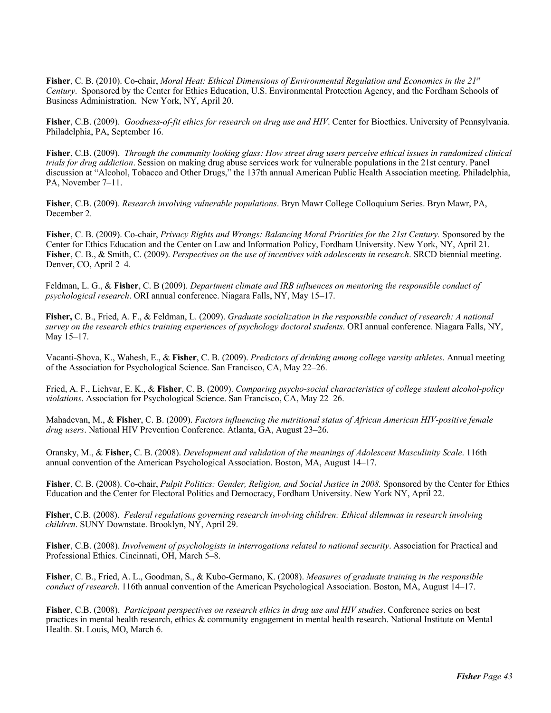**Fisher**, C. B. (2010). Co-chair, *Moral Heat: Ethical Dimensions of Environmental Regulation and Economics in the 21st Century*. Sponsored by the Center for Ethics Education, U.S. Environmental Protection Agency, and the Fordham Schools of Business Administration. New York, NY, April 20.

**Fisher**, C.B. (2009). *Goodness-of-fit ethics for research on drug use and HIV*. Center for Bioethics. University of Pennsylvania. Philadelphia, PA, September 16.

**Fisher**, C.B. (2009). *Through the community looking glass: How street drug users perceive ethical issues in randomized clinical trials for drug addiction*. Session on making drug abuse services work for vulnerable populations in the 21st century. Panel discussion at "Alcohol, Tobacco and Other Drugs," the 137th annual American Public Health Association meeting. Philadelphia, PA, November 7–11.

**Fisher**, C.B. (2009). *Research involving vulnerable populations*. Bryn Mawr College Colloquium Series. Bryn Mawr, PA, December 2.

**Fisher**, C. B. (2009). Co-chair, *Privacy Rights and Wrongs: Balancing Moral Priorities for the 21st Century.* Sponsored by the Center for Ethics Education and the Center on Law and Information Policy, Fordham University. New York, NY, April 21. **Fisher**, C. B., & Smith, C. (2009). *Perspectives on the use of incentives with adolescents in research*. SRCD biennial meeting. Denver, CO, April 2–4.

Feldman, L. G., & **Fisher**, C. B (2009). *Department climate and IRB influences on mentoring the responsible conduct of psychological research*. ORI annual conference. Niagara Falls, NY, May 15–17.

**Fisher,** C. B., Fried, A. F., & Feldman, L. (2009). *Graduate socialization in the responsible conduct of research: A national survey on the research ethics training experiences of psychology doctoral students*. ORI annual conference. Niagara Falls, NY, May 15–17.

Vacanti-Shova, K., Wahesh, E., & **Fisher**, C. B. (2009). *Predictors of drinking among college varsity athletes*. Annual meeting of the Association for Psychological Science. San Francisco, CA, May 22–26.

Fried, A. F., Lichvar, E. K., & **Fisher**, C. B. (2009). *Comparing psycho-social characteristics of college student alcohol-policy violations*. Association for Psychological Science. San Francisco, CA, May 22–26.

Mahadevan, M., & **Fisher**, C. B. (2009). *Factors influencing the nutritional status of African American HIV-positive female drug users*. National HIV Prevention Conference. Atlanta, GA, August 23–26.

Oransky, M., & **Fisher,** C. B. (2008). *Development and validation of the meanings of Adolescent Masculinity Scale*. 116th annual convention of the American Psychological Association. Boston, MA, August 14–17.

**Fisher**, C. B. (2008). Co-chair, *Pulpit Politics: Gender, Religion, and Social Justice in 2008.* Sponsored by the Center for Ethics Education and the Center for Electoral Politics and Democracy, Fordham University. New York NY, April 22.

**Fisher**, C.B. (2008). *Federal regulations governing research involving children: Ethical dilemmas in research involving children*. SUNY Downstate. Brooklyn, NY, April 29.

**Fisher**, C.B. (2008). *Involvement of psychologists in interrogations related to national security*. Association for Practical and Professional Ethics. Cincinnati, OH, March 5–8.

**Fisher**, C. B., Fried, A. L., Goodman, S., & Kubo-Germano, K. (2008). *Measures of graduate training in the responsible conduct of research*. 116th annual convention of the American Psychological Association. Boston, MA, August 14–17.

**Fisher**, C.B. (2008). *Participant perspectives on research ethics in drug use and HIV studies*. Conference series on best practices in mental health research, ethics & community engagement in mental health research. National Institute on Mental Health. St. Louis, MO, March 6.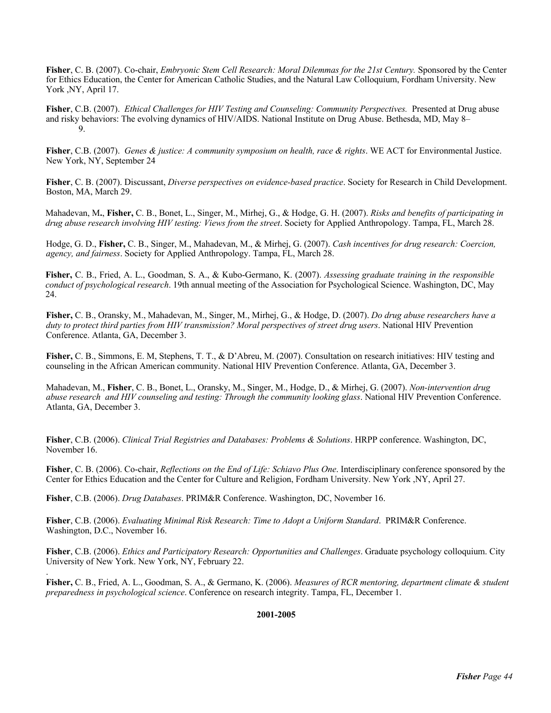**Fisher**, C. B. (2007). Co-chair, *Embryonic Stem Cell Research: Moral Dilemmas for the 21st Century.* Sponsored by the Center for Ethics Education, the Center for American Catholic Studies, and the Natural Law Colloquium, Fordham University. New York ,NY, April 17.

**Fisher**, C.B. (2007). *Ethical Challenges for HIV Testing and Counseling: Community Perspectives.* Presented at Drug abuse and risky behaviors: The evolving dynamics of HIV/AIDS. National Institute on Drug Abuse. Bethesda, MD, May 8– 9.

**Fisher**, C.B. (2007). *Genes & justice: A community symposium on health, race & rights*. WE ACT for Environmental Justice. New York, NY, September 24

**Fisher**, C. B. (2007). Discussant, *Diverse perspectives on evidence-based practice*. Society for Research in Child Development. Boston, MA, March 29.

Mahadevan, M**.**, **Fisher,** C. B., Bonet, L., Singer, M., Mirhej, G., & Hodge, G. H. (2007). *Risks and benefits of participating in drug abuse research involving HIV testing: Views from the street*. Society for Applied Anthropology. Tampa, FL, March 28.

Hodge, G. D., **Fisher,** C. B., Singer, M., Mahadevan, M., & Mirhej, G. (2007). *Cash incentives for drug research: Coercion, agency, and fairness*. Society for Applied Anthropology. Tampa, FL, March 28.

**Fisher,** C. B., Fried, A. L., Goodman, S. A., & Kubo-Germano, K. (2007). *Assessing graduate training in the responsible conduct of psychological research*. 19th annual meeting of the Association for Psychological Science. Washington, DC, May 24.

**Fisher,** C. B., Oransky, M., Mahadevan, M., Singer, M., Mirhej, G., & Hodge, D. (2007). *Do drug abuse researchers have a duty to protect third parties from HIV transmission? Moral perspectives of street drug users*. National HIV Prevention Conference. Atlanta, GA, December 3.

**Fisher,** C. B., Simmons, E. M, Stephens, T. T., & D'Abreu, M. (2007). Consultation on research initiatives: HIV testing and counseling in the African American community. National HIV Prevention Conference. Atlanta, GA, December 3.

Mahadevan, M., **Fisher**, C. B., Bonet, L., Oransky, M., Singer, M., Hodge, D., & Mirhej, G. (2007). *Non-intervention drug abuse research and HIV counseling and testing: Through the community looking glass*. National HIV Prevention Conference. Atlanta, GA, December 3.

**Fisher**, C.B. (2006). *Clinical Trial Registries and Databases: Problems & Solutions*. HRPP conference. Washington, DC, November 16.

**Fisher**, C. B. (2006). Co-chair, *Reflections on the End of Life: Schiavo Plus One*. Interdisciplinary conference sponsored by the Center for Ethics Education and the Center for Culture and Religion, Fordham University. New York ,NY, April 27.

**Fisher**, C.B. (2006). *Drug Databases*. PRIM&R Conference. Washington, DC, November 16.

.

**Fisher**, C.B. (2006). *Evaluating Minimal Risk Research: Time to Adopt a Uniform Standard*. PRIM&R Conference. Washington, D.C., November 16.

**Fisher**, C.B. (2006). *Ethics and Participatory Research: Opportunities and Challenges*. Graduate psychology colloquium. City University of New York. New York, NY, February 22.

**Fisher,** C. B., Fried, A. L., Goodman, S. A., & Germano, K. (2006). *Measures of RCR mentoring, department climate & student preparedness in psychological science*. Conference on research integrity. Tampa, FL, December 1.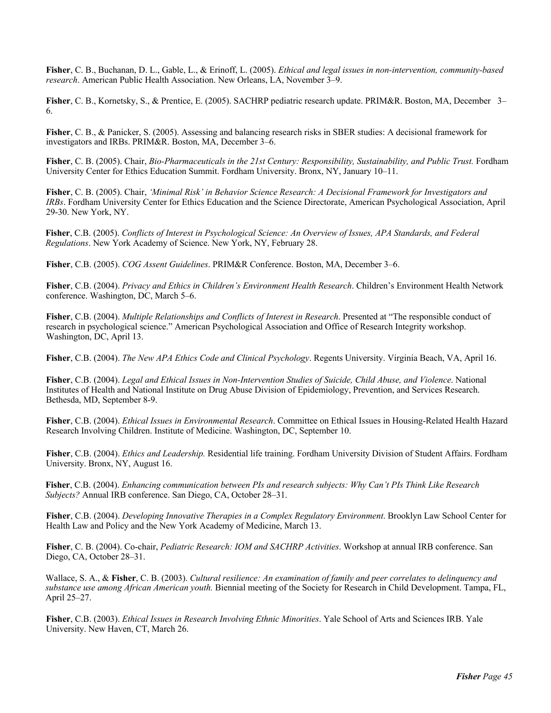**Fisher**, C. B., Buchanan, D. L., Gable, L., & Erinoff, L. (2005). *Ethical and legal issues in non-intervention, community-based research*. American Public Health Association. New Orleans, LA, November 3–9.

**Fisher**, C. B., Kornetsky, S., & Prentice, E. (2005). SACHRP pediatric research update. PRIM&R. Boston, MA, December 3– 6.

**Fisher**, C. B., & Panicker, S. (2005). Assessing and balancing research risks in SBER studies: A decisional framework for investigators and IRBs. PRIM&R. Boston, MA, December 3–6.

**Fisher**, C. B. (2005). Chair, *Bio-Pharmaceuticals in the 21st Century: Responsibility, Sustainability, and Public Trust.* Fordham University Center for Ethics Education Summit. Fordham University. Bronx, NY, January 10–11.

**Fisher**, C. B. (2005). Chair, *'Minimal Risk' in Behavior Science Research: A Decisional Framework for Investigators and IRBs*. Fordham University Center for Ethics Education and the Science Directorate, American Psychological Association, April 29-30. New York, NY.

**Fisher**, C.B. (2005). *Conflicts of Interest in Psychological Science: An Overview of Issues, APA Standards, and Federal Regulations*. New York Academy of Science. New York, NY, February 28.

**Fisher**, C.B. (2005). *COG Assent Guidelines*. PRIM&R Conference. Boston, MA, December 3–6.

**Fisher**, C.B. (2004). *Privacy and Ethics in Children's Environment Health Research*. Children's Environment Health Network conference. Washington, DC, March 5–6.

**Fisher**, C.B. (2004). *Multiple Relationships and Conflicts of Interest in Research*. Presented at "The responsible conduct of research in psychological science." American Psychological Association and Office of Research Integrity workshop. Washington, DC, April 13.

**Fisher**, C.B. (2004). *The New APA Ethics Code and Clinical Psychology*. Regents University. Virginia Beach, VA, April 16.

**Fisher**, C.B. (2004). *Legal and Ethical Issues in Non-Intervention Studies of Suicide, Child Abuse, and Violence*. National Institutes of Health and National Institute on Drug Abuse Division of Epidemiology, Prevention, and Services Research. Bethesda, MD, September 8-9.

**Fisher**, C.B. (2004). *Ethical Issues in Environmental Research*. Committee on Ethical Issues in Housing-Related Health Hazard Research Involving Children. Institute of Medicine. Washington, DC, September 10.

**Fisher**, C.B. (2004). *Ethics and Leadership.* Residential life training. Fordham University Division of Student Affairs. Fordham University. Bronx, NY, August 16.

**Fisher**, C.B. (2004). *Enhancing communication between PIs and research subjects: Why Can't PIs Think Like Research Subjects?* Annual IRB conference. San Diego, CA, October 28–31.

**Fisher**, C.B. (2004). *Developing Innovative Therapies in a Complex Regulatory Environment*. Brooklyn Law School Center for Health Law and Policy and the New York Academy of Medicine, March 13.

**Fisher**, C. B. (2004). Co-chair, *Pediatric Research: IOM and SACHRP Activities*. Workshop at annual IRB conference. San Diego, CA, October 28–31.

Wallace, S. A., & **Fisher**, C. B. (2003). *Cultural resilience: An examination of family and peer correlates to delinquency and substance use among African American youth.* Biennial meeting of the Society for Research in Child Development. Tampa, FL, April 25–27.

**Fisher**, C.B. (2003). *Ethical Issues in Research Involving Ethnic Minorities*. Yale School of Arts and Sciences IRB. Yale University. New Haven, CT, March 26.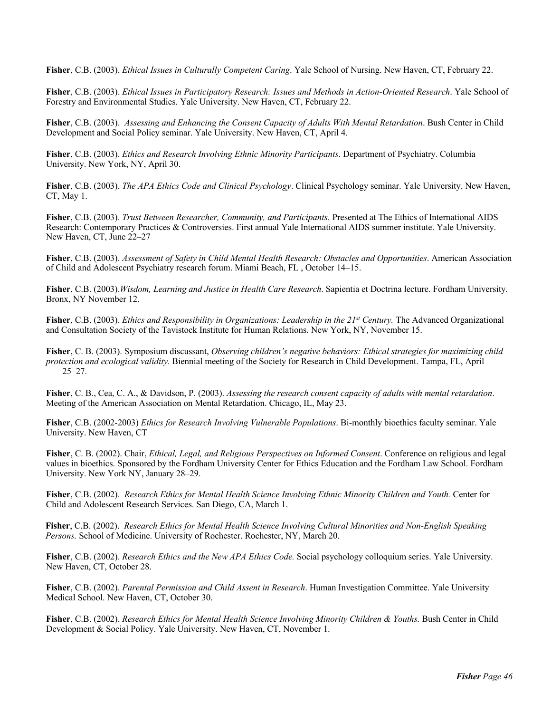**Fisher**, C.B. (2003). *Ethical Issues in Culturally Competent Caring*. Yale School of Nursing. New Haven, CT, February 22.

**Fisher**, C.B. (2003). *Ethical Issues in Participatory Research: Issues and Methods in Action-Oriented Research*. Yale School of Forestry and Environmental Studies. Yale University. New Haven, CT, February 22.

**Fisher**, C.B. (2003). *Assessing and Enhancing the Consent Capacity of Adults With Mental Retardation*. Bush Center in Child Development and Social Policy seminar. Yale University. New Haven, CT, April 4.

**Fisher**, C.B. (2003). *Ethics and Research Involving Ethnic Minority Participants*. Department of Psychiatry. Columbia University. New York, NY, April 30.

**Fisher**, C.B. (2003). *The APA Ethics Code and Clinical Psychology*. Clinical Psychology seminar. Yale University. New Haven, CT, May 1.

**Fisher**, C.B. (2003). *Trust Between Researcher, Community, and Participants.* Presented at The Ethics of International AIDS Research: Contemporary Practices & Controversies. First annual Yale International AIDS summer institute. Yale University. New Haven, CT, June 22–27

**Fisher**, C.B. (2003). *Assessment of Safety in Child Mental Health Research: Obstacles and Opportunities*. American Association of Child and Adolescent Psychiatry research forum. Miami Beach, FL , October 14–15.

**Fisher**, C.B. (2003).*Wisdom, Learning and Justice in Health Care Research*. Sapientia et Doctrina lecture. Fordham University. Bronx, NY November 12.

**Fisher**, C.B. (2003). *Ethics and Responsibility in Organizations: Leadership in the 21<sup>st</sup> Century. The Advanced Organizational* and Consultation Society of the Tavistock Institute for Human Relations. New York, NY, November 15.

**Fisher**, C. B. (2003). Symposium discussant, *Observing children's negative behaviors: Ethical strategies for maximizing child protection and ecological validity.* Biennial meeting of the Society for Research in Child Development. Tampa, FL, April  $25 - 27.$ 

**Fisher**, C. B., Cea, C. A., & Davidson, P. (2003). *Assessing the research consent capacity of adults with mental retardation*. Meeting of the American Association on Mental Retardation. Chicago, IL, May 23.

**Fisher**, C.B. (2002-2003) *Ethics for Research Involving Vulnerable Populations*. Bi-monthly bioethics faculty seminar. Yale University. New Haven, CT

**Fisher**, C. B. (2002). Chair, *Ethical, Legal, and Religious Perspectives on Informed Consent*. Conference on religious and legal values in bioethics. Sponsored by the Fordham University Center for Ethics Education and the Fordham Law School. Fordham University. New York NY, January 28–29.

**Fisher**, C.B. (2002). *Research Ethics for Mental Health Science Involving Ethnic Minority Children and Youth.* Center for Child and Adolescent Research Services. San Diego, CA, March 1.

**Fisher**, C.B. (2002). *Research Ethics for Mental Health Science Involving Cultural Minorities and Non-English Speaking Persons.* School of Medicine. University of Rochester. Rochester, NY, March 20.

**Fisher**, C.B. (2002). *Research Ethics and the New APA Ethics Code.* Social psychology colloquium series. Yale University. New Haven, CT, October 28.

**Fisher**, C.B. (2002). *Parental Permission and Child Assent in Research*. Human Investigation Committee. Yale University Medical School. New Haven, CT, October 30.

**Fisher**, C.B. (2002). *Research Ethics for Mental Health Science Involving Minority Children & Youths.* Bush Center in Child Development & Social Policy. Yale University. New Haven, CT, November 1.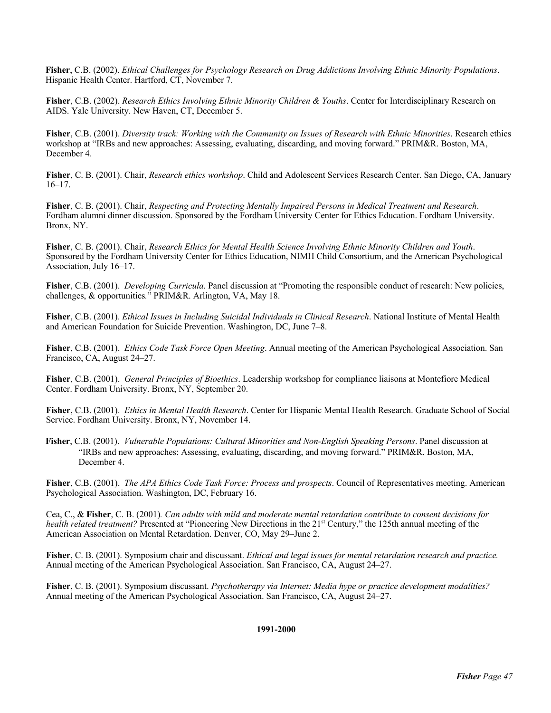**Fisher**, C.B. (2002). *Ethical Challenges for Psychology Research on Drug Addictions Involving Ethnic Minority Populations*. Hispanic Health Center. Hartford, CT, November 7.

**Fisher**, C.B. (2002). *Research Ethics Involving Ethnic Minority Children & Youths*. Center for Interdisciplinary Research on AIDS. Yale University. New Haven, CT, December 5.

**Fisher**, C.B. (2001). *Diversity track: Working with the Community on Issues of Research with Ethnic Minorities*. Research ethics workshop at "IRBs and new approaches: Assessing, evaluating, discarding, and moving forward." PRIM&R. Boston, MA, December 4.

**Fisher**, C. B. (2001). Chair, *Research ethics workshop*. Child and Adolescent Services Research Center. San Diego, CA, January 16–17.

**Fisher**, C. B. (2001). Chair, *Respecting and Protecting Mentally Impaired Persons in Medical Treatment and Research*. Fordham alumni dinner discussion. Sponsored by the Fordham University Center for Ethics Education. Fordham University. Bronx, NY.

**Fisher**, C. B. (2001). Chair, *Research Ethics for Mental Health Science Involving Ethnic Minority Children and Youth*. Sponsored by the Fordham University Center for Ethics Education, NIMH Child Consortium, and the American Psychological Association, July 16–17.

**Fisher**, C.B. (2001). *Developing Curricula*. Panel discussion at "Promoting the responsible conduct of research: New policies, challenges, & opportunities*.*" PRIM&R. Arlington, VA, May 18.

**Fisher**, C.B. (2001). *Ethical Issues in Including Suicidal Individuals in Clinical Research*. National Institute of Mental Health and American Foundation for Suicide Prevention. Washington, DC, June 7–8.

**Fisher**, C.B. (2001). *Ethics Code Task Force Open Meeting*. Annual meeting of the American Psychological Association. San Francisco, CA, August 24–27.

**Fisher**, C.B. (2001). *General Principles of Bioethics*. Leadership workshop for compliance liaisons at Montefiore Medical Center. Fordham University. Bronx, NY, September 20.

**Fisher**, C.B. (2001). *Ethics in Mental Health Research*. Center for Hispanic Mental Health Research. Graduate School of Social Service. Fordham University. Bronx, NY, November 14.

**Fisher**, C.B. (2001). *Vulnerable Populations: Cultural Minorities and Non-English Speaking Persons*. Panel discussion at "IRBs and new approaches: Assessing, evaluating, discarding, and moving forward." PRIM&R. Boston, MA, December 4.

**Fisher**, C.B. (2001). *The APA Ethics Code Task Force: Process and prospects*. Council of Representatives meeting. American Psychological Association. Washington, DC, February 16.

Cea, C., & **Fisher**, C. B. (2001)*. Can adults with mild and moderate mental retardation contribute to consent decisions for health related treatment?* Presented at "Pioneering New Directions in the 21<sup>st</sup> Century," the 125th annual meeting of the American Association on Mental Retardation. Denver, CO, May 29–June 2.

**Fisher**, C. B. (2001). Symposium chair and discussant. *Ethical and legal issues for mental retardation research and practice.*  Annual meeting of the American Psychological Association. San Francisco, CA, August 24–27.

**Fisher**, C. B. (2001). Symposium discussant. *Psychotherapy via Internet: Media hype or practice development modalities?*  Annual meeting of the American Psychological Association. San Francisco, CA, August 24–27.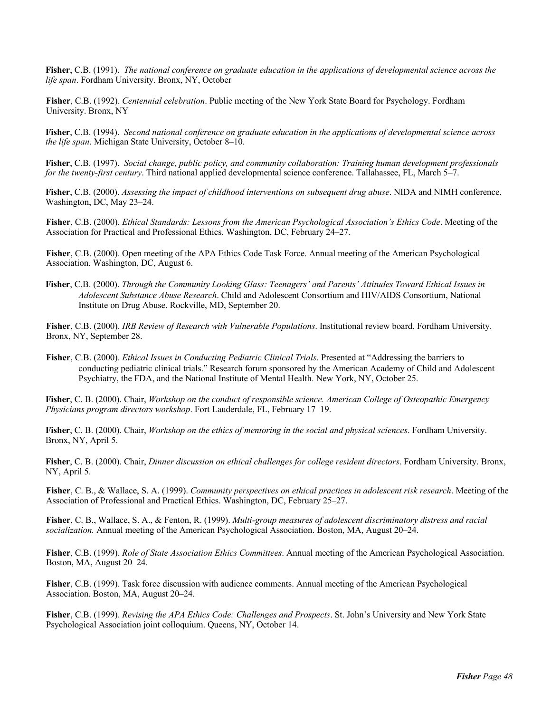**Fisher**, C.B. (1991). *The national conference on graduate education in the applications of developmental science across the life span*. Fordham University. Bronx, NY, October

**Fisher**, C.B. (1992). *Centennial celebration*. Public meeting of the New York State Board for Psychology. Fordham University. Bronx, NY

**Fisher**, C.B. (1994). *Second national conference on graduate education in the applications of developmental science across the life span*. Michigan State University, October 8–10.

**Fisher**, C.B. (1997). *Social change, public policy, and community collaboration: Training human development professionals for the twenty-first century*. Third national applied developmental science conference. Tallahassee, FL, March 5–7.

**Fisher**, C.B. (2000). *Assessing the impact of childhood interventions on subsequent drug abuse*. NIDA and NIMH conference. Washington, DC, May 23–24.

**Fisher**, C.B. (2000). *Ethical Standards: Lessons from the American Psychological Association's Ethics Code*. Meeting of the Association for Practical and Professional Ethics. Washington, DC, February 24–27.

**Fisher**, C.B. (2000). Open meeting of the APA Ethics Code Task Force. Annual meeting of the American Psychological Association. Washington, DC, August 6.

**Fisher**, C.B. (2000). *Through the Community Looking Glass: Teenagers' and Parents' Attitudes Toward Ethical Issues in Adolescent Substance Abuse Research*. Child and Adolescent Consortium and HIV/AIDS Consortium, National Institute on Drug Abuse. Rockville, MD, September 20.

**Fisher**, C.B. (2000). *IRB Review of Research with Vulnerable Populations*. Institutional review board. Fordham University. Bronx, NY, September 28.

**Fisher**, C.B. (2000). *Ethical Issues in Conducting Pediatric Clinical Trials*. Presented at "Addressing the barriers to conducting pediatric clinical trials." Research forum sponsored by the American Academy of Child and Adolescent Psychiatry, the FDA, and the National Institute of Mental Health. New York, NY, October 25.

**Fisher**, C. B. (2000). Chair, *Workshop on the conduct of responsible science. American College of Osteopathic Emergency Physicians program directors workshop*. Fort Lauderdale, FL, February 17–19.

**Fisher**, C. B. (2000). Chair, *Workshop on the ethics of mentoring in the social and physical sciences*. Fordham University. Bronx, NY, April 5.

**Fisher**, C. B. (2000). Chair, *Dinner discussion on ethical challenges for college resident directors*. Fordham University. Bronx, NY, April 5.

**Fisher**, C. B., & Wallace, S. A. (1999). *Community perspectives on ethical practices in adolescent risk research*. Meeting of the Association of Professional and Practical Ethics. Washington, DC, February 25–27.

**Fisher**, C. B., Wallace, S. A., & Fenton, R. (1999). *Multi-group measures of adolescent discriminatory distress and racial socialization.* Annual meeting of the American Psychological Association. Boston, MA, August 20–24.

**Fisher**, C.B. (1999). *Role of State Association Ethics Committees*. Annual meeting of the American Psychological Association. Boston, MA, August 20–24.

**Fisher**, C.B. (1999). Task force discussion with audience comments. Annual meeting of the American Psychological Association. Boston, MA, August 20–24.

**Fisher**, C.B. (1999). *Revising the APA Ethics Code: Challenges and Prospects*. St. John's University and New York State Psychological Association joint colloquium. Queens, NY, October 14.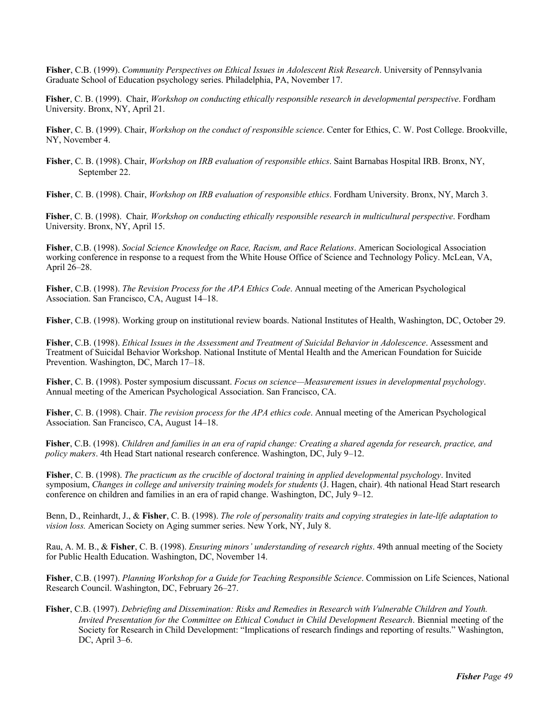**Fisher**, C.B. (1999). *Community Perspectives on Ethical Issues in Adolescent Risk Research*. University of Pennsylvania Graduate School of Education psychology series. Philadelphia, PA, November 17.

**Fisher**, C. B. (1999). Chair, *Workshop on conducting ethically responsible research in developmental perspective*. Fordham University. Bronx, NY, April 21.

**Fisher**, C. B. (1999). Chair, *Workshop on the conduct of responsible science*. Center for Ethics, C. W. Post College. Brookville, NY, November 4.

**Fisher**, C. B. (1998). Chair, *Workshop on IRB evaluation of responsible ethics*. Saint Barnabas Hospital IRB. Bronx, NY, September 22.

**Fisher**, C. B. (1998). Chair, *Workshop on IRB evaluation of responsible ethics*. Fordham University. Bronx, NY, March 3.

**Fisher**, C. B. (1998). Chair*, Workshop on conducting ethically responsible research in multicultural perspective*. Fordham University. Bronx, NY, April 15.

**Fisher**, C.B. (1998). *Social Science Knowledge on Race, Racism, and Race Relations*. American Sociological Association working conference in response to a request from the White House Office of Science and Technology Policy. McLean, VA, April 26–28.

**Fisher**, C.B. (1998). *The Revision Process for the APA Ethics Code*. Annual meeting of the American Psychological Association. San Francisco, CA, August 14–18.

**Fisher**, C.B. (1998). Working group on institutional review boards. National Institutes of Health, Washington, DC, October 29.

**Fisher**, C.B. (1998). *Ethical Issues in the Assessment and Treatment of Suicidal Behavior in Adolescence*. Assessment and Treatment of Suicidal Behavior Workshop. National Institute of Mental Health and the American Foundation for Suicide Prevention. Washington, DC, March 17–18.

**Fisher**, C. B. (1998). Poster symposium discussant. *Focus on science—Measurement issues in developmental psychology*. Annual meeting of the American Psychological Association. San Francisco, CA.

**Fisher**, C. B. (1998). Chair. *The revision process for the APA ethics code*. Annual meeting of the American Psychological Association. San Francisco, CA, August 14–18.

**Fisher**, C.B. (1998). *Children and families in an era of rapid change: Creating a shared agenda for research, practice, and policy makers*. 4th Head Start national research conference. Washington, DC, July 9–12.

**Fisher**, C. B. (1998). *The practicum as the crucible of doctoral training in applied developmental psychology*. Invited symposium, *Changes in college and university training models for students* (J. Hagen, chair). 4th national Head Start research conference on children and families in an era of rapid change. Washington, DC, July 9–12.

Benn, D., Reinhardt, J., & **Fisher**, C. B. (1998). *The role of personality traits and copying strategies in late-life adaptation to vision loss.* American Society on Aging summer series. New York, NY, July 8.

Rau, A. M. B., & **Fisher**, C. B. (1998). *Ensuring minors' understanding of research rights*. 49th annual meeting of the Society for Public Health Education. Washington, DC, November 14.

**Fisher**, C.B. (1997). *Planning Workshop for a Guide for Teaching Responsible Science*. Commission on Life Sciences, National Research Council. Washington, DC, February 26–27.

**Fisher**, C.B. (1997). *Debriefing and Dissemination: Risks and Remedies in Research with Vulnerable Children and Youth. Invited Presentation for the Committee on Ethical Conduct in Child Development Research*. Biennial meeting of the Society for Research in Child Development: "Implications of research findings and reporting of results." Washington, DC, April 3–6.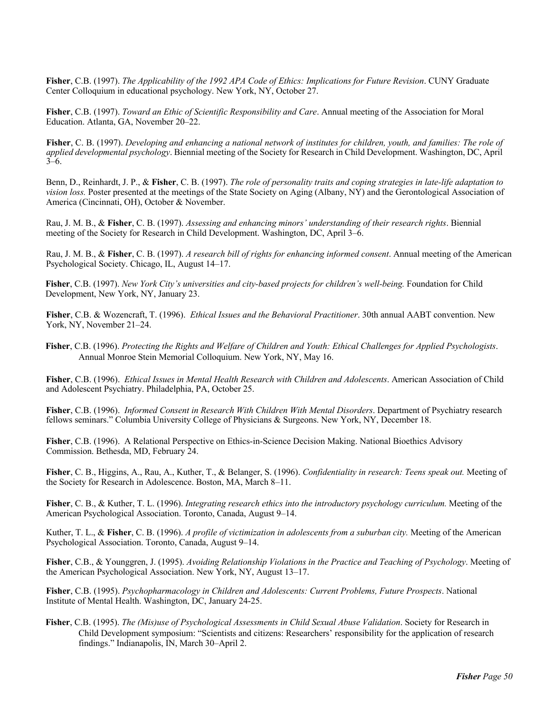**Fisher**, C.B. (1997). *The Applicability of the 1992 APA Code of Ethics: Implications for Future Revision*. CUNY Graduate Center Colloquium in educational psychology. New York, NY, October 27.

**Fisher**, C.B. (1997). *Toward an Ethic of Scientific Responsibility and Care*. Annual meeting of the Association for Moral Education. Atlanta, GA, November 20–22.

**Fisher**, C. B. (1997). *Developing and enhancing a national network of institutes for children, youth, and families: The role of applied developmental psychology*. Biennial meeting of the Society for Research in Child Development. Washington, DC, April 3–6.

Benn, D., Reinhardt, J. P., & **Fisher**, C. B. (1997). *The role of personality traits and coping strategies in late-life adaptation to vision loss.* Poster presented at the meetings of the State Society on Aging (Albany, NY) and the Gerontological Association of America (Cincinnati, OH), October & November.

Rau, J. M. B., & **Fisher**, C. B. (1997). *Assessing and enhancing minors' understanding of their research rights*. Biennial meeting of the Society for Research in Child Development. Washington, DC, April 3–6.

Rau, J. M. B., & **Fisher**, C. B. (1997). *A research bill of rights for enhancing informed consent*. Annual meeting of the American Psychological Society. Chicago, IL, August 14–17.

**Fisher**, C.B. (1997). *New York City's universities and city-based projects for children's well-being.* Foundation for Child Development, New York, NY, January 23.

**Fisher**, C.B. & Wozencraft, T. (1996). *Ethical Issues and the Behavioral Practitioner*. 30th annual AABT convention. New York, NY, November 21–24.

**Fisher**, C.B. (1996). *Protecting the Rights and Welfare of Children and Youth: Ethical Challenges for Applied Psychologists*. Annual Monroe Stein Memorial Colloquium. New York, NY, May 16.

**Fisher**, C.B. (1996). *Ethical Issues in Mental Health Research with Children and Adolescents*. American Association of Child and Adolescent Psychiatry. Philadelphia, PA, October 25.

**Fisher**, C.B. (1996). *Informed Consent in Research With Children With Mental Disorders*. Department of Psychiatry research fellows seminars." Columbia University College of Physicians & Surgeons. New York, NY, December 18.

**Fisher**, C.B. (1996). A Relational Perspective on Ethics-in-Science Decision Making. National Bioethics Advisory Commission. Bethesda, MD, February 24.

**Fisher**, C. B., Higgins, A., Rau, A., Kuther, T., & Belanger, S. (1996). *Confidentiality in research: Teens speak out.* Meeting of the Society for Research in Adolescence. Boston, MA, March 8–11.

**Fisher**, C. B., & Kuther, T. L. (1996). *Integrating research ethics into the introductory psychology curriculum.* Meeting of the American Psychological Association. Toronto, Canada, August 9–14.

Kuther, T. L., & **Fisher**, C. B. (1996). *A profile of victimization in adolescents from a suburban city.* Meeting of the American Psychological Association. Toronto, Canada, August 9–14.

**Fisher**, C.B., & Younggren, J. (1995). *Avoiding Relationship Violations in the Practice and Teaching of Psychology*. Meeting of the American Psychological Association. New York, NY, August 13–17.

**Fisher**, C.B. (1995). *Psychopharmacology in Children and Adolescents: Current Problems, Future Prospects*. National Institute of Mental Health. Washington, DC, January 24-25.

**Fisher**, C.B. (1995). *The (Mis)use of Psychological Assessments in Child Sexual Abuse Validation*. Society for Research in Child Development symposium: "Scientists and citizens: Researchers' responsibility for the application of research findings." Indianapolis, IN, March 30–April 2.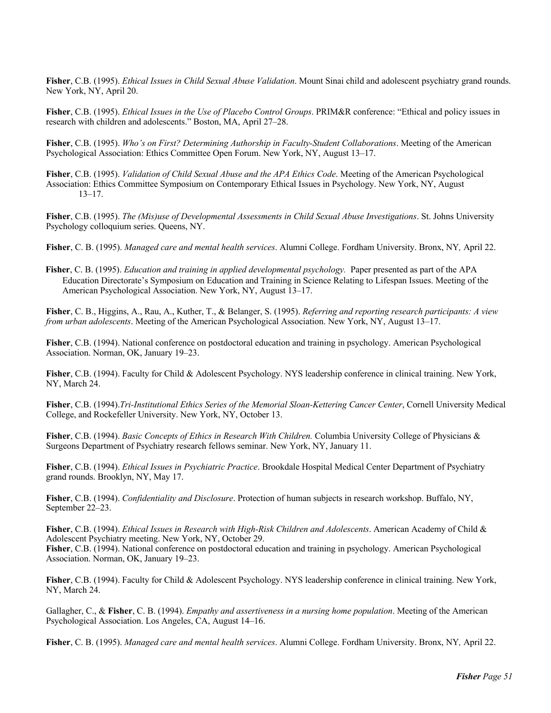**Fisher**, C.B. (1995). *Ethical Issues in Child Sexual Abuse Validation*. Mount Sinai child and adolescent psychiatry grand rounds. New York, NY, April 20.

**Fisher**, C.B. (1995). *Ethical Issues in the Use of Placebo Control Groups*. PRIM&R conference: "Ethical and policy issues in research with children and adolescents." Boston, MA, April 27–28.

**Fisher**, C.B. (1995). *Who's on First? Determining Authorship in Faculty-Student Collaborations*. Meeting of the American Psychological Association: Ethics Committee Open Forum. New York, NY, August 13–17.

**Fisher**, C.B. (1995). *Validation of Child Sexual Abuse and the APA Ethics Code*. Meeting of the American Psychological Association: Ethics Committee Symposium on Contemporary Ethical Issues in Psychology. New York, NY, August 13–17.

**Fisher**, C.B. (1995). *The (Mis)use of Developmental Assessments in Child Sexual Abuse Investigations*. St. Johns University Psychology colloquium series. Queens, NY.

**Fisher**, C. B. (1995). *Managed care and mental health services*. Alumni College. Fordham University. Bronx, NY*,* April 22.

**Fisher**, C. B. (1995). *Education and training in applied developmental psychology.* Paper presented as part of the APA Education Directorate's Symposium on Education and Training in Science Relating to Lifespan Issues. Meeting of the American Psychological Association. New York, NY, August 13–17.

**Fisher**, C. B., Higgins, A., Rau, A., Kuther, T., & Belanger, S. (1995). *Referring and reporting research participants: A view from urban adolescents*. Meeting of the American Psychological Association. New York, NY, August 13–17.

**Fisher**, C.B. (1994). National conference on postdoctoral education and training in psychology. American Psychological Association. Norman, OK, January 19–23.

**Fisher**, C.B. (1994). Faculty for Child & Adolescent Psychology. NYS leadership conference in clinical training. New York, NY, March 24.

**Fisher**, C.B. (1994).*Tri-Institutional Ethics Series of the Memorial Sloan-Kettering Cancer Center*, Cornell University Medical College, and Rockefeller University. New York, NY, October 13.

**Fisher**, C.B. (1994). *Basic Concepts of Ethics in Research With Children.* Columbia University College of Physicians & Surgeons Department of Psychiatry research fellows seminar. New York, NY, January 11.

**Fisher**, C.B. (1994). *Ethical Issues in Psychiatric Practice*. Brookdale Hospital Medical Center Department of Psychiatry grand rounds. Brooklyn, NY, May 17.

**Fisher**, C.B. (1994). *Confidentiality and Disclosure*. Protection of human subjects in research workshop. Buffalo, NY, September 22–23.

**Fisher**, C.B. (1994). *Ethical Issues in Research with High-Risk Children and Adolescents*. American Academy of Child & Adolescent Psychiatry meeting. New York, NY, October 29. **Fisher**, C.B. (1994). National conference on postdoctoral education and training in psychology. American Psychological Association. Norman, OK, January 19–23.

**Fisher**, C.B. (1994). Faculty for Child & Adolescent Psychology. NYS leadership conference in clinical training. New York, NY, March 24.

Gallagher, C., & **Fisher**, C. B. (1994). *Empathy and assertiveness in a nursing home population*. Meeting of the American Psychological Association. Los Angeles, CA, August 14–16.

**Fisher**, C. B. (1995). *Managed care and mental health services*. Alumni College. Fordham University. Bronx, NY*,* April 22.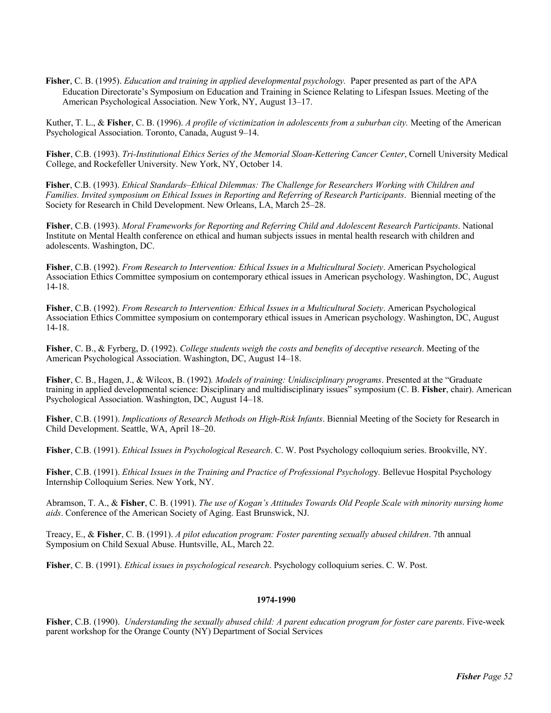**Fisher**, C. B. (1995). *Education and training in applied developmental psychology.* Paper presented as part of the APA Education Directorate's Symposium on Education and Training in Science Relating to Lifespan Issues. Meeting of the American Psychological Association. New York, NY, August 13–17.

Kuther, T. L., & **Fisher**, C. B. (1996). *A profile of victimization in adolescents from a suburban city.* Meeting of the American Psychological Association. Toronto, Canada, August 9–14.

**Fisher**, C.B. (1993). *Tri-Institutional Ethics Series of the Memorial Sloan-Kettering Cancer Center*, Cornell University Medical College, and Rockefeller University. New York, NY, October 14.

**Fisher**, C.B. (1993). *Ethical Standards–Ethical Dilemmas: The Challenge for Researchers Working with Children and Families. Invited symposium on Ethical Issues in Reporting and Referring of Research Participants*. Biennial meeting of the Society for Research in Child Development. New Orleans, LA, March 25–28.

**Fisher**, C.B. (1993). *Moral Frameworks for Reporting and Referring Child and Adolescent Research Participants*. National Institute on Mental Health conference on ethical and human subjects issues in mental health research with children and adolescents. Washington, DC.

**Fisher**, C.B. (1992). *From Research to Intervention: Ethical Issues in a Multicultural Society*. American Psychological Association Ethics Committee symposium on contemporary ethical issues in American psychology. Washington, DC, August 14-18.

**Fisher**, C.B. (1992). *From Research to Intervention: Ethical Issues in a Multicultural Society*. American Psychological Association Ethics Committee symposium on contemporary ethical issues in American psychology. Washington, DC, August 14-18.

**Fisher**, C. B., & Fyrberg, D. (1992). *College students weigh the costs and benefits of deceptive research*. Meeting of the American Psychological Association. Washington, DC, August 14–18.

**Fisher**, C. B., Hagen, J., & Wilcox, B. (1992)*. Models of training: Unidisciplinary programs*. Presented at the "Graduate training in applied developmental science: Disciplinary and multidisciplinary issues" symposium (C. B. **Fisher**, chair). American Psychological Association. Washington, DC, August 14–18.

**Fisher**, C.B. (1991). *Implications of Research Methods on High-Risk Infants*. Biennial Meeting of the Society for Research in Child Development. Seattle, WA, April 18–20.

**Fisher**, C.B. (1991). *Ethical Issues in Psychological Research*. C. W. Post Psychology colloquium series. Brookville, NY.

**Fisher**, C.B. (1991). *Ethical Issues in the Training and Practice of Professional Psycholog*y*.* Bellevue Hospital Psychology Internship Colloquium Series. New York, NY.

Abramson, T. A., & **Fisher**, C. B. (1991). *The use of Kogan's Attitudes Towards Old People Scale with minority nursing home aids*. Conference of the American Society of Aging. East Brunswick, NJ.

Treacy, E., & **Fisher**, C. B. (1991). *A pilot education program: Foster parenting sexually abused children*. 7th annual Symposium on Child Sexual Abuse. Huntsville, AL, March 22.

**Fisher**, C. B. (1991). *Ethical issues in psychological research*. Psychology colloquium series. C. W. Post.

#### **1974-1990**

**Fisher**, C.B. (1990). *Understanding the sexually abused child: A parent education program for foster care parents*. Five-week parent workshop for the Orange County (NY) Department of Social Services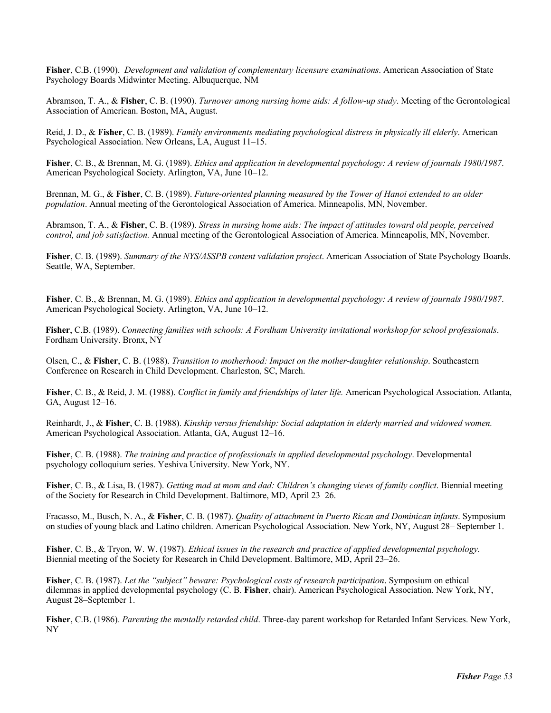**Fisher**, C.B. (1990). *Development and validation of complementary licensure examinations*. American Association of State Psychology Boards Midwinter Meeting. Albuquerque, NM

Abramson, T. A., & **Fisher**, C. B. (1990). *Turnover among nursing home aids: A follow-up study*. Meeting of the Gerontological Association of American. Boston, MA, August.

Reid, J. D., & **Fisher**, C. B. (1989). *Family environments mediating psychological distress in physically ill elderly*. American Psychological Association. New Orleans, LA, August 11–15.

**Fisher**, C. B., & Brennan, M. G. (1989). *Ethics and application in developmental psychology: A review of journals 1980/1987*. American Psychological Society. Arlington, VA, June 10–12.

Brennan, M. G., & **Fisher**, C. B. (1989). *Future-oriented planning measured by the Tower of Hanoi extended to an older population*. Annual meeting of the Gerontological Association of America. Minneapolis, MN, November.

Abramson, T. A., & **Fisher**, C. B. (1989). *Stress in nursing home aids: The impact of attitudes toward old people, perceived control, and job satisfaction.* Annual meeting of the Gerontological Association of America. Minneapolis, MN, November.

**Fisher**, C. B. (1989). *Summary of the NYS/ASSPB content validation project*. American Association of State Psychology Boards. Seattle, WA, September.

**Fisher**, C. B., & Brennan, M. G. (1989). *Ethics and application in developmental psychology: A review of journals 1980/1987*. American Psychological Society. Arlington, VA, June 10–12.

**Fisher**, C.B. (1989). *Connecting families with schools: A Fordham University invitational workshop for school professionals*. Fordham University. Bronx, NY

Olsen, C., & **Fisher**, C. B. (1988). *Transition to motherhood: Impact on the mother-daughter relationship*. Southeastern Conference on Research in Child Development. Charleston, SC, March.

**Fisher**, C. B., & Reid, J. M. (1988). *Conflict in family and friendships of later life.* American Psychological Association. Atlanta, GA, August 12–16.

Reinhardt, J., & **Fisher**, C. B. (1988). *Kinship versus friendship: Social adaptation in elderly married and widowed women.*  American Psychological Association. Atlanta, GA, August 12–16.

**Fisher**, C. B. (1988). *The training and practice of professionals in applied developmental psychology*. Developmental psychology colloquium series. Yeshiva University. New York, NY.

**Fisher**, C. B., & Lisa, B. (1987). *Getting mad at mom and dad: Children's changing views of family conflict*. Biennial meeting of the Society for Research in Child Development. Baltimore, MD, April 23–26.

Fracasso, M., Busch, N. A., & **Fisher**, C. B. (1987). *Quality of attachment in Puerto Rican and Dominican infants*. Symposium on studies of young black and Latino children. American Psychological Association. New York, NY, August 28– September 1.

**Fisher**, C. B., & Tryon, W. W. (1987). *Ethical issues in the research and practice of applied developmental psychology*. Biennial meeting of the Society for Research in Child Development. Baltimore, MD, April 23–26.

**Fisher**, C. B. (1987). *Let the "subject" beware: Psychological costs of research participation*. Symposium on ethical dilemmas in applied developmental psychology (C. B. **Fisher**, chair). American Psychological Association. New York, NY, August 28–September 1.

**Fisher**, C.B. (1986). *Parenting the mentally retarded child*. Three-day parent workshop for Retarded Infant Services. New York, NY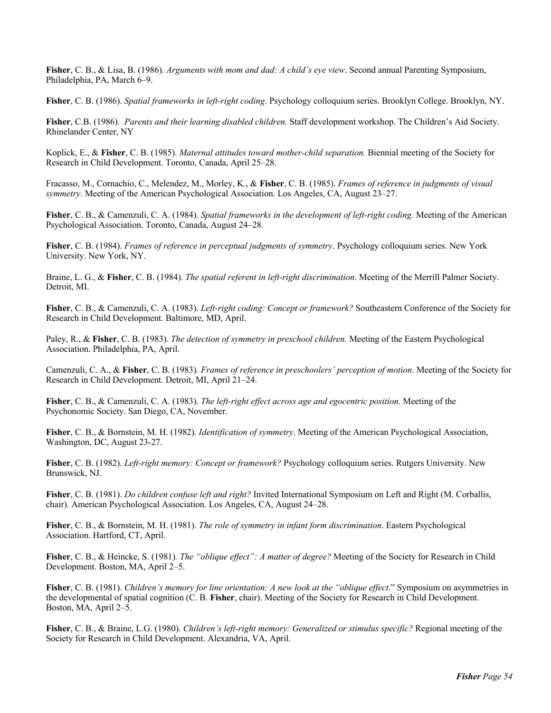**Fisher**, C. B., & Lisa, B. (1986)*. Arguments with mom and dad: A child's eye view*. Second annual Parenting Symposium, Philadelphia, PA, March 6–9.

**Fisher**, C. B. (1986). *Spatial frameworks in left-right coding*. Psychology colloquium series. Brooklyn College. Brooklyn, NY.

**Fisher**, C.B. (1986). *Parents and their learning disabled children.* Staff development workshop. The Children's Aid Society. Rhinelander Center, NY

Koplick, E., & **Fisher**, C. B. (1985). *Maternal attitudes toward mother-child separation.* Biennial meeting of the Society for Research in Child Development. Toronto, Canada, April 25–28.

Fracasso, M., Cornachio, C., Melendez, M., Morley, K., & **Fisher**, C. B. (1985). *Frames of reference in judgments of visual symmetry.* Meeting of the American Psychological Association. Los Angeles, CA, August 23–27.

**Fisher**, C. B., & Camenzuli, C. A. (1984). *Spatial frameworks in the development of left-right coding.* Meeting of the American Psychological Association. Toronto, Canada, August 24–28.

**Fisher**, C. B. (1984). *Frames of reference in perceptual judgments of symmetry*. Psychology colloquium series. New York University. New York, NY.

Braine, L. G., & **Fisher**, C. B. (1984). *The spatial referent in left-right discrimination*. Meeting of the Merrill Palmer Society. Detroit, MI.

**Fisher**, C. B., & Camenzuli, C. A. (1983). *Left-right coding: Concept or framework?* Southeastern Conference of the Society for Research in Child Development. Baltimore, MD, April.

Paley, R., & **Fisher**, C. B. (1983)*. The detection of symmetry in preschool children.* Meeting of the Eastern Psychological Association. Philadelphia, PA, April.

Camenzuli, C. A., & **Fisher**, C. B. (1983)*. Frames of reference in preschoolers' perception of motion*. Meeting of the Society for Research in Child Development. Detroit, MI, April 21–24.

**Fisher**, C. B., & Camenzuli, C. A. (1983). *The left-right effect across age and egocentric position*. Meeting of the Psychonomic Society. San Diego, CA, November.

**Fisher**, C. B., & Bornstein, M. H. (1982)*. Identification of symmetry*. Meeting of the American Psychological Association, Washington, DC, August 23-27.

**Fisher**, C. B. (1982). *Left-right memory: Concept or framework?* Psychology colloquium series. Rutgers University. New Brunswick, NJ.

**Fisher**, C. B. (1981). *Do children confuse left and right?* Invited International Symposium on Left and Right (M. Corballis, chair). American Psychological Association. Los Angeles, CA, August 24–28.

**Fisher**, C. B., & Bornstein, M. H. (1981). *The role of symmetry in infant form discrimination*. Eastern Psychological Association. Hartford, CT, April.

**Fisher**, C. B., & Heincke, S. (1981)*. The "oblique effect": A matter of degree?* Meeting of the Society for Research in Child Development. Boston, MA, April 2–5.

**Fisher**, C. B. (1981). *Children's memory for line orientation: A new look at the "oblique effect*." Symposium on asymmetries in the developmental of spatial cognition (C. B. **Fisher**, chair). Meeting of the Society for Research in Child Development. Boston, MA, April 2–5.

**Fisher**, C. B., & Braine, L.G. (1980). *Children's left-right memory: Generalized or stimulus specific?* Regional meeting of the Society for Research in Child Development. Alexandria, VA, April.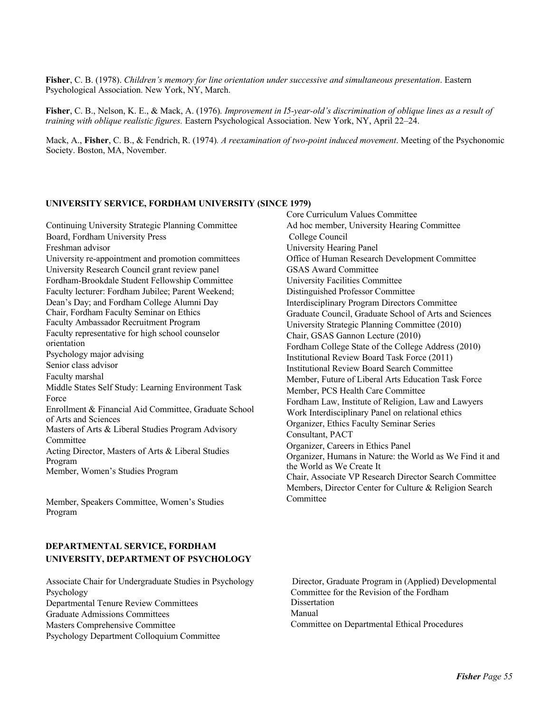**Fisher**, C. B. (1978). *Children's memory for line orientation under successive and simultaneous presentation*. Eastern Psychological Association. New York, NY, March.

**Fisher**, C. B., Nelson, K. E., & Mack, A. (1976)*. Improvement in I5-year-old's discrimination of oblique lines as a result of training with oblique realistic figures.* Eastern Psychological Association. New York, NY, April 22–24.

Mack, A., **Fisher**, C. B., & Fendrich, R. (1974)*. A reexamination of two-point induced movement*. Meeting of the Psychonomic Society. Boston, MA, November.

# **UNIVERSITY SERVICE, FORDHAM UNIVERSITY (SINCE 1979)**

Continuing University Strategic Planning Committee Board, Fordham University Press Freshman advisor University re-appointment and promotion committees University Research Council grant review panel Fordham-Brookdale Student Fellowship Committee Faculty lecturer: Fordham Jubilee; Parent Weekend; Dean's Day; and Fordham College Alumni Day Chair, Fordham Faculty Seminar on Ethics Faculty Ambassador Recruitment Program Faculty representative for high school counselor orientation Psychology major advising Senior class advisor Faculty marshal Middle States Self Study: Learning Environment Task Force Enrollment & Financial Aid Committee, Graduate School of Arts and Sciences Masters of Arts & Liberal Studies Program Advisory Committee Acting Director, Masters of Arts & Liberal Studies Program Member, Women's Studies Program

Member, Speakers Committee, Women's Studies Program

# **DEPARTMENTAL SERVICE, FORDHAM UNIVERSITY, DEPARTMENT OF PSYCHOLOGY**

Psychology Departmental Tenure Review Committees Graduate Admissions Committees Masters Comprehensive Committee Psychology Department Colloquium Committee Core Curriculum Values Committee Ad hoc member, University Hearing Committee College Council University Hearing Panel Office of Human Research Development Committee GSAS Award Committee University Facilities Committee Distinguished Professor Committee Interdisciplinary Program Directors Committee Graduate Council, Graduate School of Arts and Sciences University Strategic Planning Committee (2010) Chair, GSAS Gannon Lecture (2010) Fordham College State of the College Address (2010) Institutional Review Board Task Force (2011) Institutional Review Board Search Committee Member, Future of Liberal Arts Education Task Force Member, PCS Health Care Committee Fordham Law, Institute of Religion, Law and Lawyers Work Interdisciplinary Panel on relational ethics Organizer, Ethics Faculty Seminar Series Consultant, PACT Organizer, Careers in Ethics Panel Organizer, Humans in Nature: the World as We Find it and the World as We Create It Chair, Associate VP Research Director Search Committee Members, Director Center for Culture & Religion Search Committee

Associate Chair for Undergraduate Studies in Psychology Director, Graduate Program in (Applied) Developmental Committee for the Revision of the Fordham **Dissertation** Manual Committee on Departmental Ethical Procedures